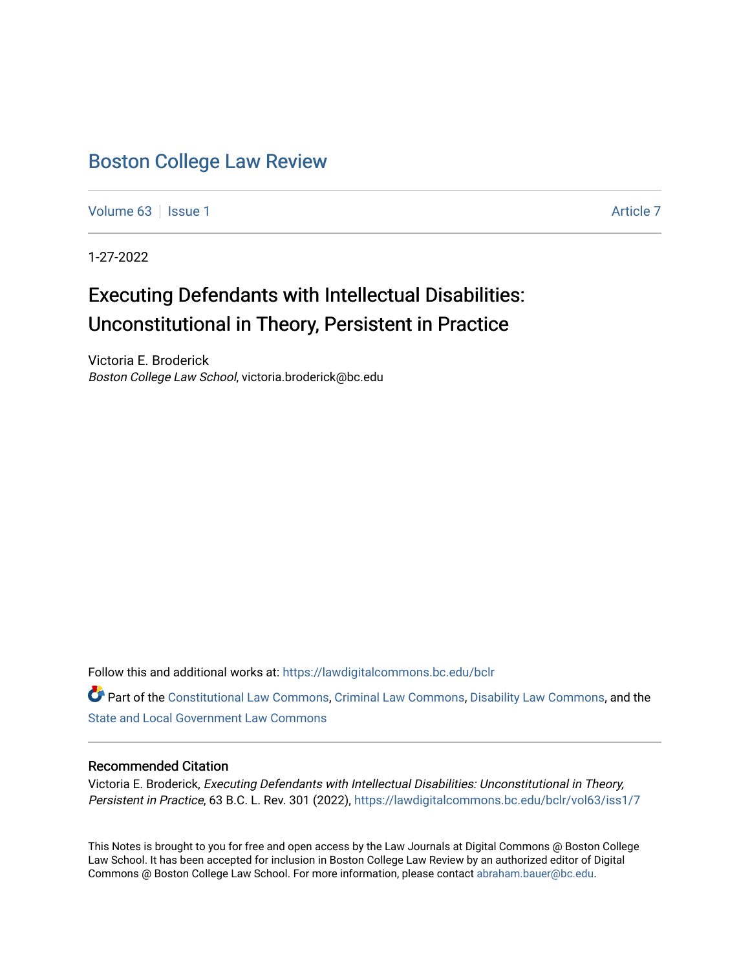### [Boston College Law Review](https://lawdigitalcommons.bc.edu/bclr)

[Volume 63](https://lawdigitalcommons.bc.edu/bclr/vol63) | [Issue 1](https://lawdigitalcommons.bc.edu/bclr/vol63/iss1) [Article 7](https://lawdigitalcommons.bc.edu/bclr/vol63/iss1/7) Article 7 Article 7 Article 7 Article 7 Article 7 Article 7

1-27-2022

# Executing Defendants with Intellectual Disabilities: Unconstitutional in Theory, Persistent in Practice

Victoria E. Broderick Boston College Law School, victoria.broderick@bc.edu

Follow this and additional works at: [https://lawdigitalcommons.bc.edu/bclr](https://lawdigitalcommons.bc.edu/bclr?utm_source=lawdigitalcommons.bc.edu%2Fbclr%2Fvol63%2Fiss1%2F7&utm_medium=PDF&utm_campaign=PDFCoverPages) 

Part of the [Constitutional Law Commons,](http://network.bepress.com/hgg/discipline/589?utm_source=lawdigitalcommons.bc.edu%2Fbclr%2Fvol63%2Fiss1%2F7&utm_medium=PDF&utm_campaign=PDFCoverPages) [Criminal Law Commons,](http://network.bepress.com/hgg/discipline/912?utm_source=lawdigitalcommons.bc.edu%2Fbclr%2Fvol63%2Fiss1%2F7&utm_medium=PDF&utm_campaign=PDFCoverPages) [Disability Law Commons,](http://network.bepress.com/hgg/discipline/1074?utm_source=lawdigitalcommons.bc.edu%2Fbclr%2Fvol63%2Fiss1%2F7&utm_medium=PDF&utm_campaign=PDFCoverPages) and the [State and Local Government Law Commons](http://network.bepress.com/hgg/discipline/879?utm_source=lawdigitalcommons.bc.edu%2Fbclr%2Fvol63%2Fiss1%2F7&utm_medium=PDF&utm_campaign=PDFCoverPages) 

#### Recommended Citation

Victoria E. Broderick, Executing Defendants with Intellectual Disabilities: Unconstitutional in Theory, Persistent in Practice, 63 B.C. L. Rev. 301 (2022), https://lawdigitalcommons.bc.edu/bclr/vol63/iss1/7

This Notes is brought to you for free and open access by the Law Journals at Digital Commons @ Boston College Law School. It has been accepted for inclusion in Boston College Law Review by an authorized editor of Digital Commons @ Boston College Law School. For more information, please contact [abraham.bauer@bc.edu.](mailto:abraham.bauer@bc.edu)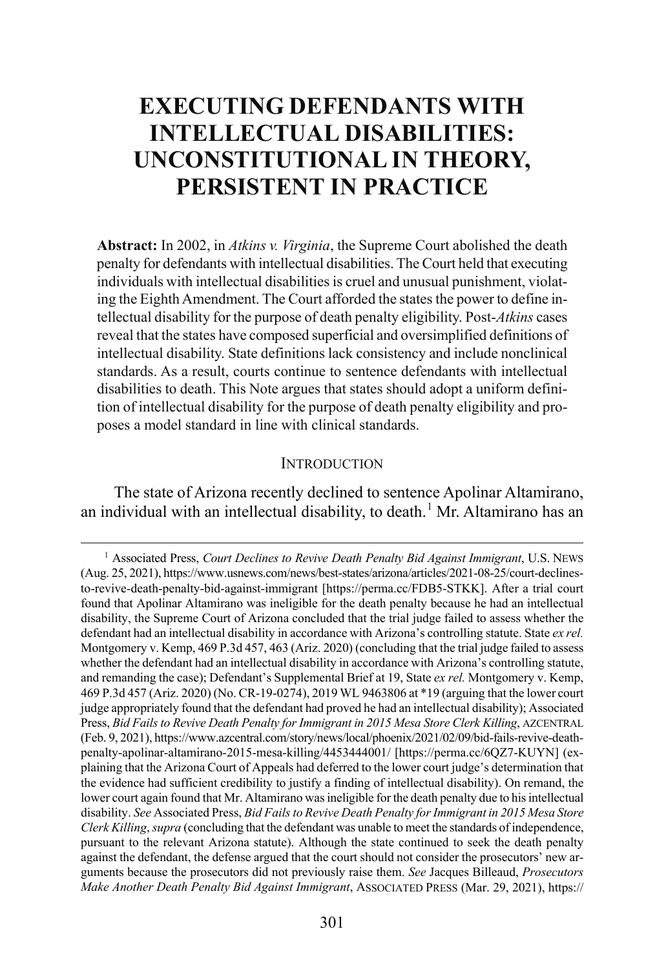## **EXECUTING DEFENDANTS WITH INTELLECTUAL DISABILITIES: UNCONSTITUTIONAL IN THEORY, PERSISTENT IN PRACTICE**

**Abstract:** In 2002, in *Atkins v. Virginia*, the Supreme Court abolished the death penalty for defendants with intellectual disabilities. The Court held that executing individuals with intellectual disabilities is cruel and unusual punishment, violating the Eighth Amendment. The Court afforded the states the power to define intellectual disability for the purpose of death penalty eligibility. Post-*Atkins* cases reveal that the states have composed superficial and oversimplified definitions of intellectual disability. State definitions lack consistency and include nonclinical standards. As a result, courts continue to sentence defendants with intellectual disabilities to death. This Note argues that states should adopt a uniform definition of intellectual disability for the purpose of death penalty eligibility and proposes a model standard in line with clinical standards.

#### <span id="page-1-1"></span>**INTRODUCTION**

The state of Arizona recently declined to sentence Apolinar Altamirano, an individual with an intellectual disability, to death.<sup>[1](#page-1-0)</sup> Mr. Altamirano has an

<span id="page-1-0"></span><sup>&</sup>lt;sup>1</sup> Associated Press, *Court Declines to Revive Death Penalty Bid Against Immigrant*, U.S. NEWS (Aug. 25, 2021), https://www.usnews.com/news/best-states/arizona/articles/2021-08-25/court-declinesto-revive-death-penalty-bid-against-immigrant [https://perma.cc/FDB5-STKK]. After a trial court found that Apolinar Altamirano was ineligible for the death penalty because he had an intellectual disability, the Supreme Court of Arizona concluded that the trial judge failed to assess whether the defendant had an intellectual disability in accordance with Arizona's controlling statute. State *ex rel.* Montgomery v. Kemp, 469 P.3d 457, 463 (Ariz. 2020) (concluding that the trial judge failed to assess whether the defendant had an intellectual disability in accordance with Arizona's controlling statute, and remanding the case); Defendant's Supplemental Brief at 19, State *ex rel.* Montgomery v. Kemp, 469 P.3d 457 (Ariz. 2020) (No. CR-19-0274), 2019 WL 9463806 at \*19 (arguing that the lower court judge appropriately found that the defendant had proved he had an intellectual disability); Associated Press, *Bid Fails to Revive Death Penalty for Immigrant in 2015 Mesa Store Clerk Killing*, AZCENTRAL (Feb. 9, 2021), https://www.azcentral.com/story/news/local/phoenix/2021/02/09/bid-fails-revive-deathpenalty-apolinar-altamirano-2015-mesa-killing/4453444001/ [https://perma.cc/6QZ7-KUYN] (explaining that the Arizona Court of Appeals had deferred to the lower court judge's determination that the evidence had sufficient credibility to justify a finding of intellectual disability). On remand, the lower court again found that Mr. Altamirano was ineligible for the death penalty due to his intellectual disability. *See* Associated Press, *Bid Fails to Revive Death Penalty for Immigrant in 2015 Mesa Store Clerk Killing*, *supra* (concluding that the defendant was unable to meet the standards of independence, pursuant to the relevant Arizona statute). Although the state continued to seek the death penalty against the defendant, the defense argued that the court should not consider the prosecutors' new arguments because the prosecutors did not previously raise them. *See* Jacques Billeaud, *Prosecutors Make Another Death Penalty Bid Against Immigrant*, ASSOCIATED PRESS (Mar. 29, 2021), https://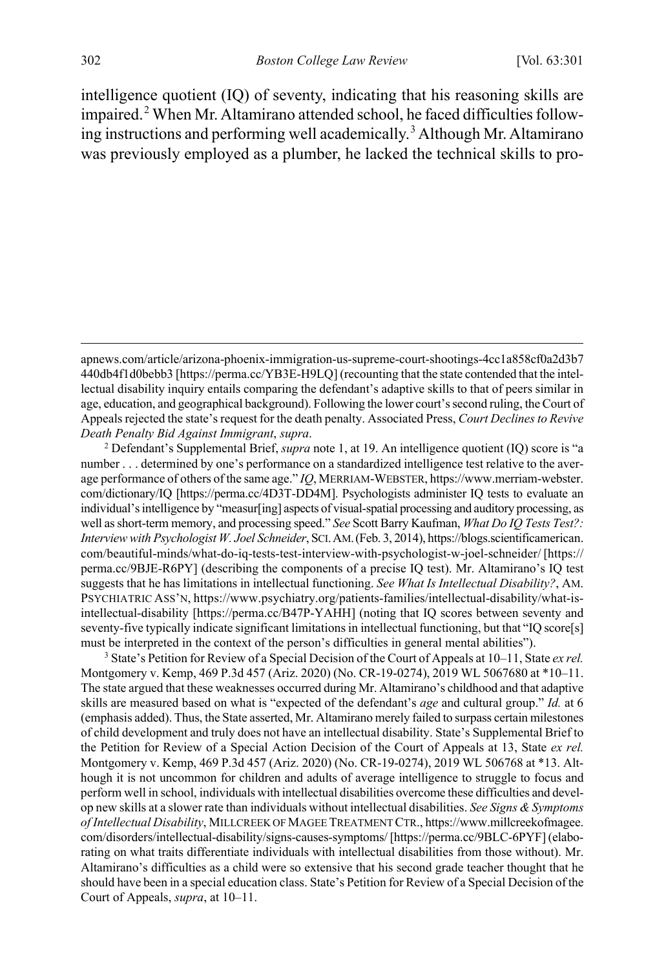<span id="page-2-3"></span><span id="page-2-2"></span>intelligence quotient (IQ) of seventy, indicating that his reasoning skills are impaired.<sup>[2](#page-2-0)</sup> When Mr. Altamirano attended school, he faced difficulties follow-ing instructions and performing well academically.<sup>[3](#page-2-1)</sup> Although Mr. Altamirano was previously employed as a plumber, he lacked the technical skills to pro-

<span id="page-2-0"></span>*Death Penalty Bid Against Immigrant*, *supra*. 2 Defendant's Supplemental Brief, *supra* not[e 1,](#page-1-1) at 19. An intelligence quotient (IQ) score is "a number . . . determined by one's performance on a standardized intelligence test relative to the average performance of others of the same age." *IQ*, MERRIAM-WEBSTER, https://www.merriam-webster. com/dictionary/IQ [https://perma.cc/4D3T-DD4M]. Psychologists administer IQ tests to evaluate an individual's intelligence by "measur[ing] aspects of visual-spatial processing and auditory processing, as well as short-term memory, and processing speed." *See* Scott Barry Kaufman, *What Do IQ Tests Test?: Interview with Psychologist W. Joel Schneider*, SCI.AM.(Feb. 3, 2014), https://blogs.scientificamerican. com/beautiful-minds/what-do-iq-tests-test-interview-with-psychologist-w-joel-schneider/ [https:// perma.cc/9BJE-R6PY] (describing the components of a precise IQ test). Mr. Altamirano's IQ test suggests that he has limitations in intellectual functioning. *See What Is Intellectual Disability?*, AM. PSYCHIATRIC ASS'N, https://www.psychiatry.org/patients-families/intellectual-disability/what-isintellectual-disability [https://perma.cc/B47P-YAHH] (noting that IQ scores between seventy and seventy-five typically indicate significant limitations in intellectual functioning, but that "IQ score[s] must be interpreted in the context of the person's difficulties in general mental abilities").

<span id="page-2-1"></span><sup>3</sup> State's Petition for Review of a Special Decision of the Court of Appeals at 10–11, State *ex rel.* Montgomery v. Kemp, 469 P.3d 457 (Ariz. 2020) (No. CR-19-0274), 2019 WL 5067680 at \*10–11. The state argued that these weaknesses occurred during Mr. Altamirano's childhood and that adaptive skills are measured based on what is "expected of the defendant's *age* and cultural group." *Id.* at 6 (emphasis added). Thus, the State asserted, Mr. Altamirano merely failed to surpass certain milestones of child development and truly does not have an intellectual disability. State's Supplemental Brief to the Petition for Review of a Special Action Decision of the Court of Appeals at 13, State *ex rel.* Montgomery v. Kemp, 469 P.3d 457 (Ariz. 2020) (No. CR-19-0274), 2019 WL 506768 at \*13. Although it is not uncommon for children and adults of average intelligence to struggle to focus and perform well in school, individuals with intellectual disabilities overcome these difficulties and develop new skills at a slower rate than individuals without intellectual disabilities. *See Signs & Symptoms of Intellectual Disability*, MILLCREEK OF MAGEE TREATMENT CTR., https://www.millcreekofmagee. com/disorders/intellectual-disability/signs-causes-symptoms/ [https://perma.cc/9BLC-6PYF] (elaborating on what traits differentiate individuals with intellectual disabilities from those without). Mr. Altamirano's difficulties as a child were so extensive that his second grade teacher thought that he should have been in a special education class. State's Petition for Review of a Special Decision of the Court of Appeals, *supra*, at 10–11.

apnews.com/article/arizona-phoenix-immigration-us-supreme-court-shootings-4cc1a858cf0a2d3b7 440db4f1d0bebb3 [https://perma.cc/YB3E-H9LQ] (recounting that the state contended that the intellectual disability inquiry entails comparing the defendant's adaptive skills to that of peers similar in age, education, and geographical background). Following the lower court's second ruling, the Court of Appeals rejected the state's request for the death penalty. Associated Press, *Court Declines to Revive*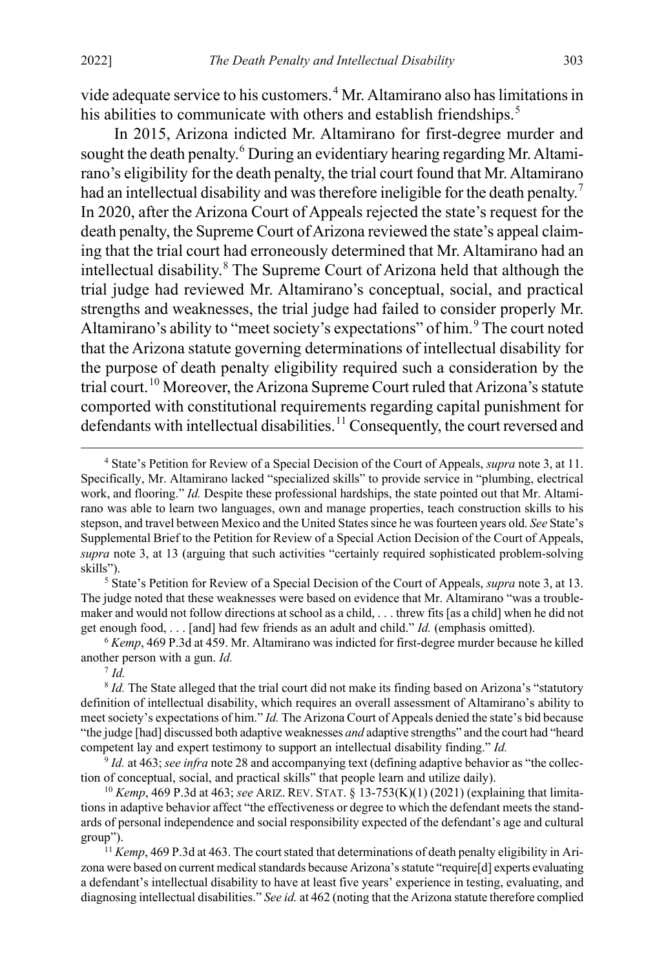vide adequate service to his customers.[4](#page-3-0) Mr. Altamirano also has limitations in his abilities to communicate with others and establish friendships.<sup>[5](#page-3-1)</sup>

In 2015, Arizona indicted Mr. Altamirano for first-degree murder and sought the death penalty.<sup>[6](#page-3-2)</sup> During an evidentiary hearing regarding Mr. Altamirano's eligibility for the death penalty, the trial court found that Mr. Altamirano had an intellectual disability and was therefore ineligible for the death penalty.<sup>[7](#page-3-3)</sup> In 2020, after the Arizona Court of Appeals rejected the state's request for the death penalty, the Supreme Court of Arizona reviewed the state's appeal claiming that the trial court had erroneously determined that Mr. Altamirano had an intellectual disability.<sup>[8](#page-3-4)</sup> The Supreme Court of Arizona held that although the trial judge had reviewed Mr. Altamirano's conceptual, social, and practical strengths and weaknesses, the trial judge had failed to consider properly Mr. Altamirano's ability to "meet society's expectations" of him.<sup>[9](#page-3-5)</sup> The court noted that the Arizona statute governing determinations of intellectual disability for the purpose of death penalty eligibility required such a consideration by the trial court.<sup>[10](#page-3-6)</sup> Moreover, the Arizona Supreme Court ruled that Arizona's statute comported with constitutional requirements regarding capital punishment for defendants with intellectual disabilities.<sup>[11](#page-3-7)</sup> Consequently, the court reversed and

<span id="page-3-1"></span><sup>5</sup> State's Petition for Review of a Special Decision of the Court of Appeals, *supra* not[e 3,](#page-2-2) at 13. The judge noted that these weaknesses were based on evidence that Mr. Altamirano "was a troublemaker and would not follow directions at school as a child, . . . threw fits [as a child] when he did not get enough food, . . . [and] had few friends as an adult and child." *Id.* (emphasis omitted).

<span id="page-3-2"></span><sup>6</sup> *Kemp*, 469 P.3d at 459. Mr. Altamirano was indicted for first-degree murder because he killed another person with a gun. *Id.*

 $^7$  *Id.* 

<span id="page-3-6"></span><sup>10</sup> *Kemp*, 469 P.3d at 463; *see* ARIZ. REV. STAT. § 13-753(K)(1) (2021) (explaining that limitations in adaptive behavior affect "the effectiveness or degree to which the defendant meets the standards of personal independence and social responsibility expected of the defendant's age and cultural group").

<span id="page-3-0"></span> <sup>4</sup> State's Petition for Review of a Special Decision of the Court of Appeals, *supra* not[e 3,](#page-2-2) at 11. Specifically, Mr. Altamirano lacked "specialized skills" to provide service in "plumbing, electrical work, and flooring." *Id.* Despite these professional hardships, the state pointed out that Mr. Altamirano was able to learn two languages, own and manage properties, teach construction skills to his stepson, and travel between Mexico and the United Statessince he was fourteen years old. *See* State's Supplemental Brief to the Petition for Review of a Special Action Decision of the Court of Appeals, *supra* note [3,](#page-2-2) at 13 (arguing that such activities "certainly required sophisticated problem-solving skills").

<span id="page-3-4"></span><span id="page-3-3"></span><sup>&</sup>lt;sup>8</sup> *Id.* The State alleged that the trial court did not make its finding based on Arizona's "statutory" definition of intellectual disability, which requires an overall assessment of Altamirano's ability to meet society's expectations of him." *Id.* The Arizona Court of Appeals denied the state's bid because "the judge [had] discussed both adaptive weaknesses *and* adaptive strengths" and the court had "heard competent lay and expert testimony to support an intellectual disability finding." *Id.*

<span id="page-3-5"></span><sup>9</sup> *Id.* at 463; *see infra* not[e 28](#page-6-0) and accompanying text (defining adaptive behavior as "the collection of conceptual, social, and practical skills" that people learn and utilize daily).

<span id="page-3-7"></span><sup>&</sup>lt;sup>11</sup> *Kemp*, 469 P.3d at 463. The court stated that determinations of death penalty eligibility in Arizona were based on current medical standards because Arizona's statute "require[d] experts evaluating a defendant's intellectual disability to have at least five years' experience in testing, evaluating, and diagnosing intellectual disabilities." *See id.* at 462 (noting that the Arizona statute therefore complied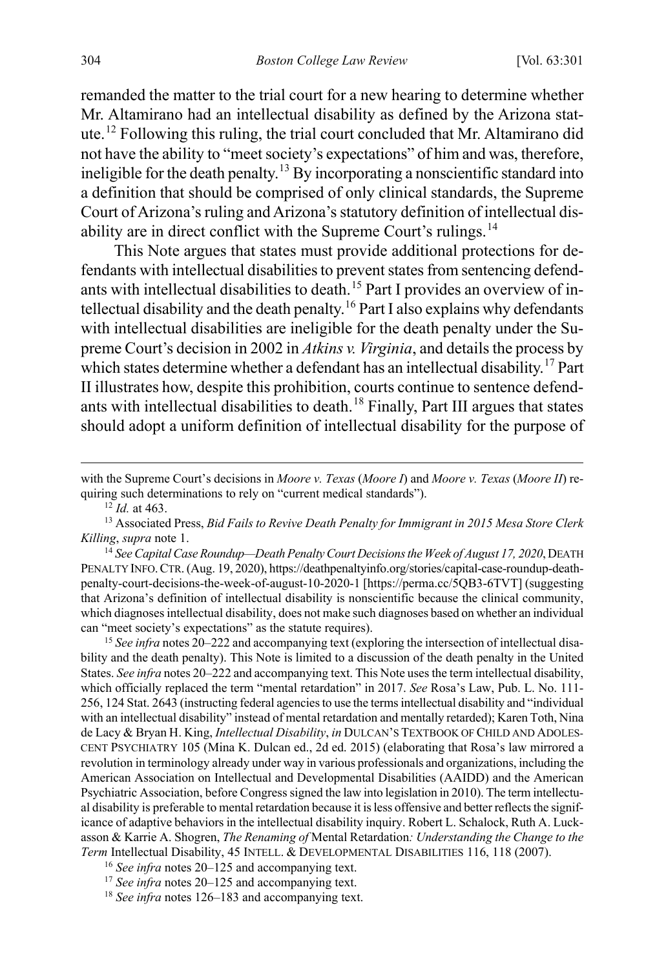remanded the matter to the trial court for a new hearing to determine whether Mr. Altamirano had an intellectual disability as defined by the Arizona statute.[12](#page-4-0) Following this ruling, the trial court concluded that Mr. Altamirano did not have the ability to "meet society's expectations" of him and was, therefore, ineligible for the death penalty.<sup>[13](#page-4-1)</sup> By incorporating a nonscientific standard into a definition that should be comprised of only clinical standards, the Supreme Court of Arizona's ruling and Arizona's statutory definition of intellectual dis-ability are in direct conflict with the Supreme Court's rulings.<sup>[14](#page-4-2)</sup>

This Note argues that states must provide additional protections for defendants with intellectual disabilities to prevent states from sentencing defend-ants with intellectual disabilities to death.<sup>[15](#page-4-3)</sup> Part I provides an overview of intellectual disability and the death penalty.[16](#page-4-4) Part I also explains why defendants with intellectual disabilities are ineligible for the death penalty under the Supreme Court's decision in 2002 in *Atkins v. Virginia*, and details the process by which states determine whether a defendant has an intellectual disability.<sup>[17](#page-4-5)</sup> Part II illustrates how, despite this prohibition, courts continue to sentence defend-ants with intellectual disabilities to death.<sup>[18](#page-4-6)</sup> Finally, Part III argues that states should adopt a uniform definition of intellectual disability for the purpose of

 $\overline{a}$ 

<span id="page-4-3"></span><sup>15</sup> See infra note[s 20–](#page-5-0)[222](#page-45-0) and accompanying text (exploring the intersection of intellectual disability and the death penalty). This Note is limited to a discussion of the death penalty in the United States. *See infra* note[s 20](#page-5-0)[–222](#page-45-0) and accompanying text. This Note uses the term intellectual disability, which officially replaced the term "mental retardation" in 2017. *See* Rosa's Law, Pub. L. No. 111- 256, 124 Stat. 2643 (instructing federal agencies to use the terms intellectual disability and "individual with an intellectual disability" instead of mental retardation and mentally retarded); Karen Toth, Nina de Lacy & Bryan H. King, *Intellectual Disability*, *in* DULCAN'S TEXTBOOK OF CHILD AND ADOLES-CENT PSYCHIATRY 105 (Mina K. Dulcan ed., 2d ed. 2015) (elaborating that Rosa's law mirrored a revolution in terminology already under way in various professionals and organizations, including the American Association on Intellectual and Developmental Disabilities (AAIDD) and the American Psychiatric Association, before Congress signed the law into legislation in 2010). The term intellectual disability is preferable to mental retardation because it is less offensive and better reflects the significance of adaptive behaviors in the intellectual disability inquiry. Robert L. Schalock, Ruth A. Luckasson & Karrie A. Shogren, *The Renaming of* Mental Retardation*: Understanding the Change to the Term* Intellectual Disability, 45 INTELL. & DEVELOPMENTAL DISABILITIES 116, 118 (2007). 16 *See infra* note[s 20–](#page-5-0)[125](#page-25-0) and accompanying text.

with the Supreme Court's decisions in *Moore v. Texas* (*Moore I*) and *Moore v. Texas* (*Moore II*) requiring such determinations to rely on "current medical standards").

 $^{12}$  *Id.* at 463.

<span id="page-4-1"></span><span id="page-4-0"></span><sup>13</sup> Associated Press, *Bid Fails to Revive Death Penalty for Immigrant in 2015 Mesa Store Clerk Killing*, *supra* not[e 1.](#page-1-1) 14 *See Capital Case Roundup—Death Penalty Court Decisions the Week of August 17, 2020*, DEATH

<span id="page-4-2"></span>PENALTY INFO.CTR. (Aug. 19, 2020), https://deathpenaltyinfo.org/stories/capital-case-roundup-deathpenalty-court-decisions-the-week-of-august-10-2020-1 [https://perma.cc/5QB3-6TVT] (suggesting that Arizona's definition of intellectual disability is nonscientific because the clinical community, which diagnoses intellectual disability, does not make such diagnoses based on whether an individual can "meet society's expectations" as the statute requires).

<span id="page-4-5"></span><span id="page-4-4"></span><sup>&</sup>lt;sup>17</sup> *See infra* note[s 20–](#page-5-0)[125](#page-25-0) and accompanying text.

<span id="page-4-6"></span><sup>18</sup> *See infra* note[s 126](#page-26-0)[–183](#page-37-0) and accompanying text.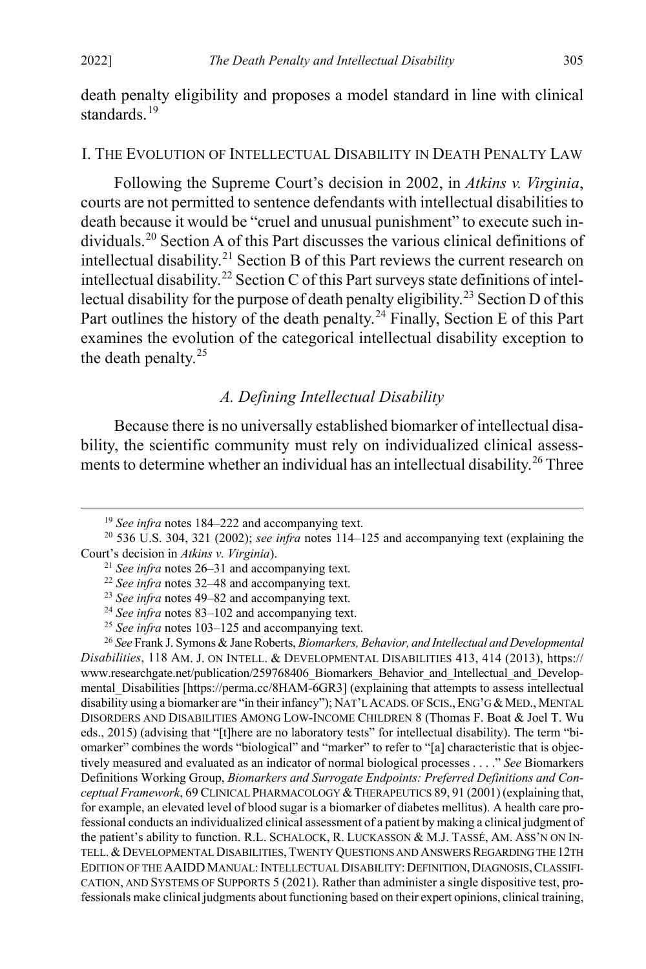death penalty eligibility and proposes a model standard in line with clinical standards.<sup>[19](#page-5-2)</sup>

#### I. THE EVOLUTION OF INTELLECTUAL DISABILITY IN DEATH PENALTY LAW

<span id="page-5-0"></span>Following the Supreme Court's decision in 2002, in *Atkins v. Virginia*, courts are not permitted to sentence defendants with intellectual disabilities to death because it would be "cruel and unusual punishment" to execute such individuals.[20](#page-5-3) Section A of this Part discusses the various clinical definitions of intellectual disability.<sup>[21](#page-5-4)</sup> Section B of this Part reviews the current research on intellectual disability.<sup>[22](#page-5-5)</sup> Section C of this Part surveys state definitions of intel-lectual disability for the purpose of death penalty eligibility.<sup>[23](#page-5-6)</sup> Section D of this Part outlines the history of the death penalty.<sup>[24](#page-5-7)</sup> Finally, Section E of this Part examines the evolution of the categorical intellectual disability exception to the death penalty.<sup>[25](#page-5-8)</sup>

#### <span id="page-5-1"></span>*A. Defining Intellectual Disability*

Because there is no universally established biomarker of intellectual disability, the scientific community must rely on individualized clinical assess-ments to determine whether an individual has an intellectual disability.<sup>[26](#page-5-9)</sup> Three

 <sup>19</sup> *See infra* note[s 184](#page-37-1)[–222](#page-45-0) and accompanying text.

<span id="page-5-5"></span><span id="page-5-4"></span><span id="page-5-3"></span><span id="page-5-2"></span><sup>20</sup> 536 U.S. 304, 321 (2002); *see infra* notes [114](#page-23-0)[–125](#page-25-0) and accompanying text (explaining the Court's decision in *Atkins v. Virginia*).

<sup>21</sup> *See infra* note[s 26–](#page-5-1)[31](#page-7-0) and accompanying text.

<sup>22</sup> *See infra* note[s 32–](#page-7-1)[48](#page-10-0) and accompanying text.

<sup>23</sup> *See infra* note[s 49–](#page-10-1)[82](#page-16-0) and accompanying text.

<sup>24</sup> *See infra* note[s 83–](#page-17-0)[102](#page-21-0) and accompanying text.

<sup>25</sup> *See infra* note[s 103](#page-21-1)[–125](#page-25-0) and accompanying text.

<span id="page-5-9"></span><span id="page-5-8"></span><span id="page-5-7"></span><span id="page-5-6"></span><sup>26</sup> *See* Frank J. Symons & Jane Roberts, *Biomarkers, Behavior, and Intellectual and Developmental Disabilities*, 118 AM. J. ON INTELL. & DEVELOPMENTAL DISABILITIES 413, 414 (2013), https:// www.researchgate.net/publication/259768406\_Biomarkers\_Behavior\_and\_Intellectual\_and\_Developmental Disabilities [https://perma.cc/8HAM-6GR3] (explaining that attempts to assess intellectual disability using a biomarker are "in their infancy"); NAT'L ACADS. OF SCIS., ENG'G & MED., MENTAL DISORDERS AND DISABILITIES AMONG LOW-INCOME CHILDREN 8 (Thomas F. Boat & Joel T. Wu eds., 2015) (advising that "[t]here are no laboratory tests" for intellectual disability). The term "biomarker" combines the words "biological" and "marker" to refer to "[a] characteristic that is objectively measured and evaluated as an indicator of normal biological processes . . . ." *See* Biomarkers Definitions Working Group, *Biomarkers and Surrogate Endpoints: Preferred Definitions and Conceptual Framework*, 69 CLINICAL PHARMACOLOGY &THERAPEUTICS 89, 91 (2001) (explaining that, for example, an elevated level of blood sugar is a biomarker of diabetes mellitus). A health care professional conducts an individualized clinical assessment of a patient by making a clinical judgment of the patient's ability to function. R.L. SCHALOCK, R. LUCKASSON & M.J. TASSÉ, AM. ASS'N ON IN-TELL.&DEVELOPMENTAL DISABILITIES,TWENTY QUESTIONS AND ANSWERS REGARDING THE 12TH EDITION OF THE AAIDD MANUAL: INTELLECTUAL DISABILITY: DEFINITION, DIAGNOSIS, CLASSIFI-CATION, AND SYSTEMS OF SUPPORTS 5 (2021). Rather than administer a single dispositive test, professionals make clinical judgments about functioning based on their expert opinions, clinical training,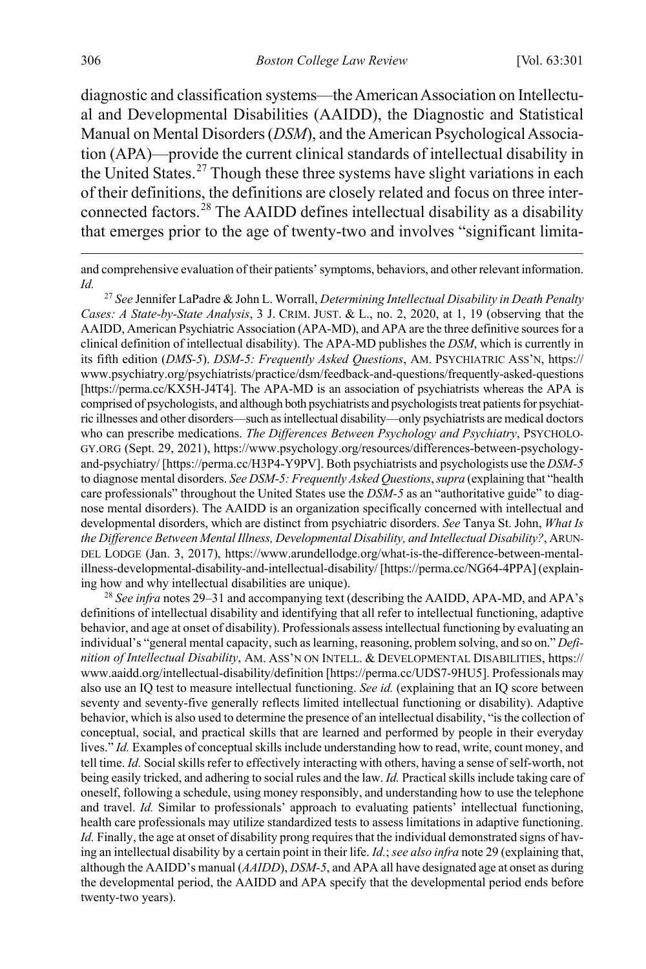<span id="page-6-3"></span>diagnostic and classification systems—the American Association on Intellectual and Developmental Disabilities (AAIDD), the Diagnostic and Statistical Manual on Mental Disorders (*DSM*), and the American Psychological Association (APA)—provide the current clinical standards of intellectual disability in the United States.<sup>[27](#page-6-1)</sup> Though these three systems have slight variations in each of their definitions, the definitions are closely related and focus on three interconnected factors.[28](#page-6-2) The AAIDD defines intellectual disability as a disability that emerges prior to the age of twenty-two and involves "significant limita-

<span id="page-6-0"></span>and comprehensive evaluation of their patients' symptoms, behaviors, and other relevant information. *Id.*

<span id="page-6-1"></span><sup>27</sup> *See* Jennifer LaPadre & John L. Worrall, *Determining Intellectual Disability in Death Penalty Cases: A State-by-State Analysis*, 3 J. CRIM. JUST. & L., no. 2, 2020, at 1, 19 (observing that the AAIDD, American Psychiatric Association (APA-MD), and APA are the three definitive sources for a clinical definition of intellectual disability). The APA-MD publishes the *DSM*, which is currently in its fifth edition (*DMS-5*). *DSM-5: Frequently Asked Questions*, AM. PSYCHIATRIC ASS'N, https:// www.psychiatry.org/psychiatrists/practice/dsm/feedback-and-questions/frequently-asked-questions [https://perma.cc/KX5H-J4T4]. The APA-MD is an association of psychiatrists whereas the APA is comprised of psychologists, and although both psychiatrists and psychologists treat patients for psychiatric illnesses and other disorders—such as intellectual disability—only psychiatrists are medical doctors who can prescribe medications. *The Differences Between Psychology and Psychiatry*, PSYCHOLO-GY.ORG (Sept. 29, 2021), https://www.psychology.org/resources/differences-between-psychologyand-psychiatry/ [https://perma.cc/H3P4-Y9PV]. Both psychiatrists and psychologists use the *DSM-5* to diagnose mental disorders. *See DSM-5: Frequently Asked Questions*, *supra* (explaining that "health care professionals" throughout the United States use the *DSM-5* as an "authoritative guide" to diagnose mental disorders). The AAIDD is an organization specifically concerned with intellectual and developmental disorders, which are distinct from psychiatric disorders. *See* Tanya St. John, *What Is the Difference Between Mental Illness, Developmental Disability, and Intellectual Disability?*, ARUN-DEL LODGE (Jan. 3, 2017), https://www.arundellodge.org/what-is-the-difference-between-mentalillness-developmental-disability-and-intellectual-disability/ [https://perma.cc/NG64-4PPA] (explaining how and why intellectual disabilities are unique). 28 *See infra* note[s 29](#page-7-2)[–31](#page-7-0) and accompanying text (describing the AAIDD, APA-MD, and APA's

<span id="page-6-2"></span>definitions of intellectual disability and identifying that all refer to intellectual functioning, adaptive behavior, and age at onset of disability). Professionals assess intellectual functioning by evaluating an individual's "general mental capacity, such as learning, reasoning, problem solving, and so on." *Definition of Intellectual Disability*, AM. ASS'N ON INTELL. & DEVELOPMENTAL DISABILITIES, https:// www.aaidd.org/intellectual-disability/definition [https://perma.cc/UDS7-9HU5]. Professionals may also use an IQ test to measure intellectual functioning. *See id.* (explaining that an IQ score between seventy and seventy-five generally reflects limited intellectual functioning or disability). Adaptive behavior, which is also used to determine the presence of an intellectual disability, "is the collection of conceptual, social, and practical skills that are learned and performed by people in their everyday lives." *Id.* Examples of conceptual skills include understanding how to read, write, count money, and tell time. *Id.* Social skills refer to effectively interacting with others, having a sense of self-worth, not being easily tricked, and adhering to social rules and the law. *Id.* Practical skillsinclude taking care of oneself, following a schedule, using money responsibly, and understanding how to use the telephone and travel. *Id.* Similar to professionals' approach to evaluating patients' intellectual functioning, health care professionals may utilize standardized tests to assess limitations in adaptive functioning. *Id.* Finally, the age at onset of disability prong requires that the individual demonstrated signs of having an intellectual disability by a certain point in their life. *Id.*; *see also infra* not[e 29](#page-7-2) (explaining that, although the AAIDD's manual (*AAIDD*), *DSM-5*, and APA all have designated age at onset as during the developmental period, the AAIDD and APA specify that the developmental period ends before twenty-two years).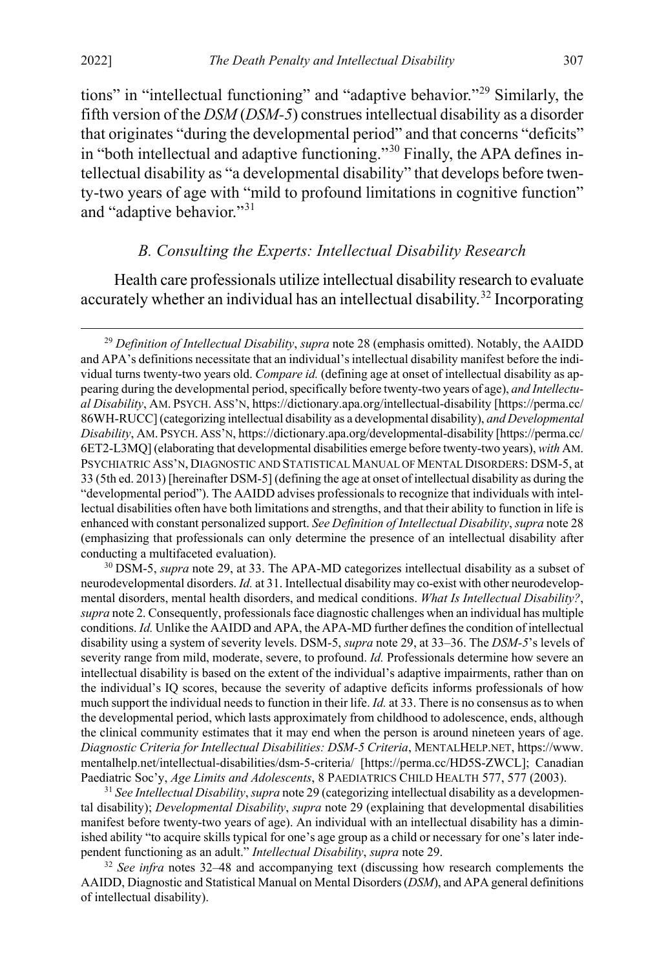tions" in "intellectual functioning" and "adaptive behavior."[29](#page-7-3) Similarly, the fifth version of the *DSM* (*DSM-5*) construes intellectual disability as a disorder that originates "during the developmental period" and that concerns "deficits" in "both intellectual and adaptive functioning."<sup>[30](#page-7-4)</sup> Finally, the APA defines intellectual disability as "a developmental disability" that develops before twenty-two years of age with "mild to profound limitations in cognitive function" and "adaptive behavior."[31](#page-7-5)

#### <span id="page-7-7"></span><span id="page-7-2"></span><span id="page-7-1"></span><span id="page-7-0"></span>*B. Consulting the Experts: Intellectual Disability Research*

Health care professionals utilize intellectual disability research to evaluate accurately whether an individual has an intellectual disability.<sup>[32](#page-7-6)</sup> Incorporating

<span id="page-7-4"></span><sup>30</sup> DSM-5, *supra* not[e 29,](#page-7-2) at 33. The APA-MD categorizes intellectual disability as a subset of neurodevelopmental disorders. *Id.* at 31. Intellectual disability may co-exist with other neurodevelopmental disorders, mental health disorders, and medical conditions. *What Is Intellectual Disability?*, *supra* not[e 2.](#page-2-3) Consequently, professionals face diagnostic challenges when an individual has multiple conditions. *Id.* Unlike the AAIDD and APA, the APA-MD further defines the condition of intellectual disability using a system of severity levels. DSM-5, *supra* not[e 29,](#page-7-2) at 33–36. The *DSM-5*'s levels of severity range from mild, moderate, severe, to profound. *Id.* Professionals determine how severe an intellectual disability is based on the extent of the individual's adaptive impairments, rather than on the individual's IQ scores, because the severity of adaptive deficits informs professionals of how much support the individual needs to function in their life. *Id.* at 33. There is no consensus as to when the developmental period, which lasts approximately from childhood to adolescence, ends, although the clinical community estimates that it may end when the person is around nineteen years of age. *Diagnostic Criteria for Intellectual Disabilities: DSM-5 Criteria*, MENTALHELP.NET, https://www. mentalhelp.net/intellectual-disabilities/dsm-5-criteria/ [https://perma.cc/HD5S-ZWCL]; Canadian Paediatric Soc'y, *Age Limits and Adolescents*, 8 PAEDIATRICS CHILD HEALTH 577, 577 (2003).

<span id="page-7-5"></span><sup>31</sup> *See Intellectual Disability*, *supra* not[e 29](#page-7-2) (categorizing intellectual disability as a developmental disability); *Developmental Disability*, *supra* note [29](#page-7-2) (explaining that developmental disabilities manifest before twenty-two years of age). An individual with an intellectual disability has a diminished ability "to acquire skills typical for one's age group as a child or necessary for one's later independent functioning as an adult." *Intellectual Disability*, *supra* not[e 29.](#page-7-2)

<span id="page-7-6"></span><sup>32</sup> *See infra* notes [32](#page-7-1)[–48](#page-10-0) and accompanying text (discussing how research complements the AAIDD, Diagnostic and Statistical Manual on Mental Disorders (*DSM*), and APA general definitions of intellectual disability).

<span id="page-7-3"></span><sup>&</sup>lt;sup>29</sup> Definition of Intellectual Disability, *supra* note [28](#page-6-0) (emphasis omitted). Notably, the AAIDD and APA's definitions necessitate that an individual's intellectual disability manifest before the individual turns twenty-two years old. *Compare id.* (defining age at onset of intellectual disability as appearing during the developmental period, specifically before twenty-two years of age), *and Intellectual Disability*, AM. PSYCH. ASS'N, https://dictionary.apa.org/intellectual-disability [https://perma.cc/ 86WH-RUCC] (categorizing intellectual disability as a developmental disability), *and Developmental Disability*, AM. PSYCH. ASS'N, https://dictionary.apa.org/developmental-disability [https://perma.cc/ 6ET2-L3MQ] (elaborating that developmental disabilities emerge before twenty-two years), *with* AM. PSYCHIATRIC ASS'N, DIAGNOSTIC AND STATISTICAL MANUAL OF MENTAL DISORDERS: DSM-5, at 33 (5th ed. 2013) [hereinafter DSM-5] (defining the age at onset of intellectual disability as during the "developmental period"). The AAIDD advises professionals to recognize that individuals with intellectual disabilities often have both limitations and strengths, and that their ability to function in life is enhanced with constant personalized support. *See Definition of Intellectual Disability*, *supra* not[e 28](#page-6-0) (emphasizing that professionals can only determine the presence of an intellectual disability after conducting a multifaceted evaluation).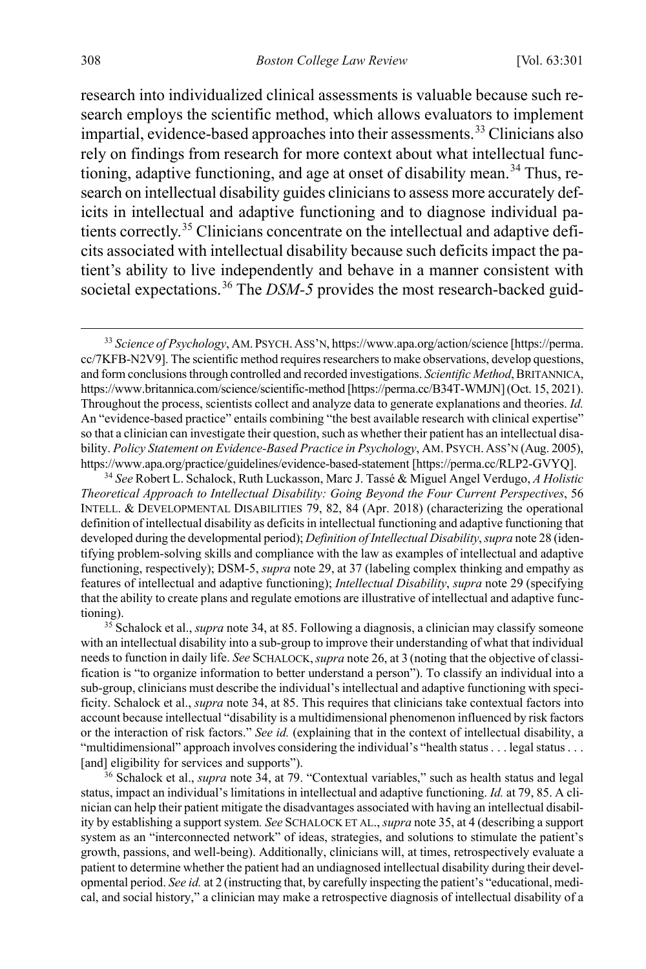<span id="page-8-0"></span>research into individualized clinical assessments is valuable because such research employs the scientific method, which allows evaluators to implement impartial, evidence-based approaches into their assessments.<sup>[33](#page-8-2)</sup> Clinicians also rely on findings from research for more context about what intellectual func-tioning, adaptive functioning, and age at onset of disability mean.<sup>[34](#page-8-3)</sup> Thus, research on intellectual disability guides clinicians to assess more accurately deficits in intellectual and adaptive functioning and to diagnose individual patients correctly. [35](#page-8-4) Clinicians concentrate on the intellectual and adaptive deficits associated with intellectual disability because such deficits impact the patient's ability to live independently and behave in a manner consistent with societal expectations.<sup>[36](#page-8-5)</sup> The *DSM-5* provides the most research-backed guid-

<span id="page-8-3"></span><sup>34</sup> *See* Robert L. Schalock, Ruth Luckasson, Marc J. Tassé & Miguel Angel Verdugo, *A Holistic Theoretical Approach to Intellectual Disability: Going Beyond the Four Current Perspectives*, 56 INTELL. & DEVELOPMENTAL DISABILITIES 79, 82, 84 (Apr. 2018) (characterizing the operational definition of intellectual disability as deficits in intellectual functioning and adaptive functioning that developed during the developmental period); *Definition of Intellectual Disability*, *supra* not[e 28](#page-6-0) (identifying problem-solving skills and compliance with the law as examples of intellectual and adaptive functioning, respectively); DSM-5, *supra* not[e 29,](#page-7-2) at 37 (labeling complex thinking and empathy as features of intellectual and adaptive functioning); *Intellectual Disability*, *supra* not[e 29 \(](#page-7-2)specifying that the ability to create plans and regulate emotions are illustrative of intellectual and adaptive functioning). 35 Schalock et al., *supra* not[e 34,](#page-8-0) at 85. Following a diagnosis, a clinician may classify someone

<span id="page-8-4"></span>with an intellectual disability into a sub-group to improve their understanding of what that individual needs to function in daily life. *See* SCHALOCK,*supra* not[e 26,](#page-5-1) at 3 (noting that the objective of classification is "to organize information to better understand a person"). To classify an individual into a sub-group, clinicians must describe the individual's intellectual and adaptive functioning with specificity. Schalock et al., *supra* not[e 34,](#page-8-0) at 85. This requires that clinicians take contextual factors into account because intellectual "disability is a multidimensional phenomenon influenced by risk factors or the interaction of risk factors." *See id.* (explaining that in the context of intellectual disability, a "multidimensional" approach involves considering the individual's "health status . . . legal status . . . [and] eligibility for services and supports").

<span id="page-8-5"></span><sup>36</sup> Schalock et al., *supra* note [34,](#page-8-0) at 79. "Contextual variables," such as health status and legal status, impact an individual's limitations in intellectual and adaptive functioning. *Id.* at 79, 85. A clinician can help their patient mitigate the disadvantages associated with having an intellectual disability by establishing a support system*. See* SCHALOCK ET AL., *supra* not[e 35,](#page-8-1) at 4 (describing a support system as an "interconnected network" of ideas, strategies, and solutions to stimulate the patient's growth, passions, and well-being). Additionally, clinicians will, at times, retrospectively evaluate a patient to determine whether the patient had an undiagnosed intellectual disability during their developmental period. *See id.* at 2 (instructing that, by carefully inspecting the patient's "educational, medical, and social history," a clinician may make a retrospective diagnosis of intellectual disability of a

<span id="page-8-2"></span><span id="page-8-1"></span> <sup>33</sup> *Science of Psychology*, AM. PSYCH.ASS'N, https://www.apa.org/action/science [https://perma. cc/7KFB-N2V9]. The scientific method requires researchers to make observations, develop questions, and form conclusions through controlled and recorded investigations. *Scientific Method*, BRITANNICA, https://www.britannica.com/science/scientific-method [https://perma.cc/B34T-WMJN] (Oct. 15, 2021). Throughout the process, scientists collect and analyze data to generate explanations and theories. *Id.* An "evidence-based practice" entails combining "the best available research with clinical expertise" so that a clinician can investigate their question, such as whether their patient has an intellectual disability. *Policy Statement on Evidence-Based Practice in Psychology*, AM. PSYCH. ASS'N (Aug. 2005), https://www.apa.org/practice/guidelines/evidence-based-statement [https://perma.cc/RLP2-GVYQ].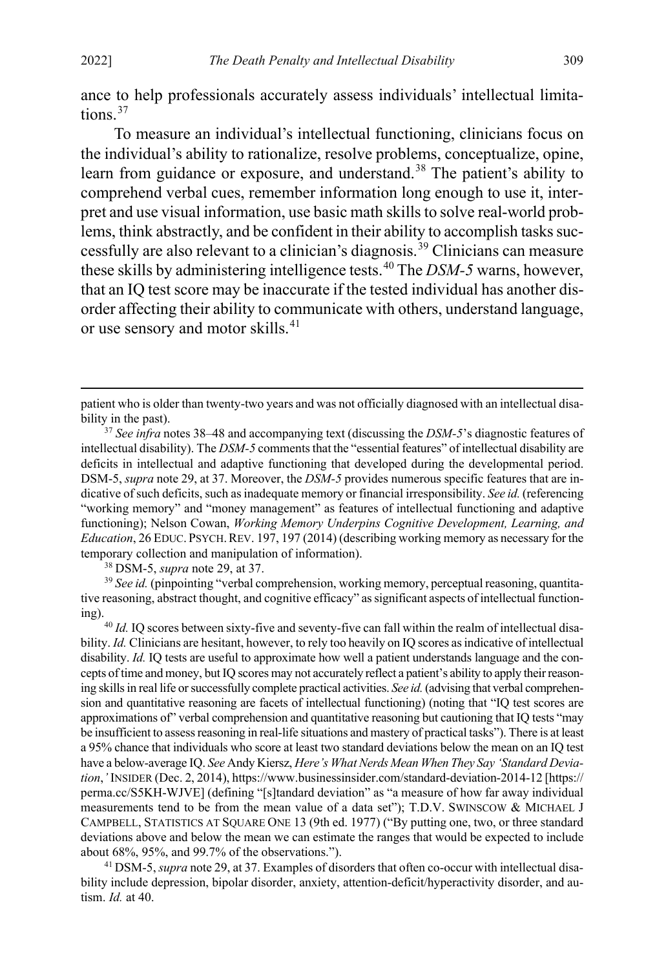ance to help professionals accurately assess individuals' intellectual limita-tions<sup>[37](#page-9-1)</sup>

<span id="page-9-0"></span>To measure an individual's intellectual functioning, clinicians focus on the individual's ability to rationalize, resolve problems, conceptualize, opine, learn from guidance or exposure, and understand.<sup>[38](#page-9-2)</sup> The patient's ability to comprehend verbal cues, remember information long enough to use it, interpret and use visual information, use basic math skills to solve real-world problems, think abstractly, and be confident in their ability to accomplish tasks successfully are also relevant to a clinician's diagnosis.[39](#page-9-3) Clinicians can measure these skills by administering intelligence tests.[40](#page-9-4) The *DSM-5* warns, however, that an IQ test score may be inaccurate if the tested individual has another disorder affecting their ability to communicate with others, understand language, or use sensory and motor skills.<sup>[41](#page-9-5)</sup>

<sup>38</sup> DSM-5, *supra* note [29,](#page-7-2) at 37.

<span id="page-9-3"></span><span id="page-9-2"></span><sup>39</sup> *See id.* (pinpointing "verbal comprehension, working memory, perceptual reasoning, quantitative reasoning, abstract thought, and cognitive efficacy" as significant aspects of intellectual functioning). 40 *Id.* IQ scores between sixty-five and seventy-five can fall within the realm of intellectual disa-

<span id="page-9-4"></span>bility. *Id.* Clinicians are hesitant, however, to rely too heavily on IQ scores as indicative of intellectual disability. *Id.* IQ tests are useful to approximate how well a patient understands language and the concepts of time and money, but IQ scores may not accurately reflect a patient's ability to apply their reasoning skills in real life or successfully complete practical activities. *See id.*(advising that verbal comprehension and quantitative reasoning are facets of intellectual functioning) (noting that "IQ test scores are approximations of" verbal comprehension and quantitative reasoning but cautioning that IQ tests "may be insufficient to assess reasoning in real-life situations and mastery of practical tasks"). There is at least a 95% chance that individuals who score at least two standard deviations below the mean on an IQ test have a below-average IQ. *See* Andy Kiersz, *Here's What Nerds Mean When They Say 'Standard Deviation*,*'* INSIDER (Dec. 2, 2014), https://www.businessinsider.com/standard-deviation-2014-12 [https:// perma.cc/S5KH-WJVE] (defining "[s]tandard deviation" as "a measure of how far away individual measurements tend to be from the mean value of a data set"); T.D.V. SWINSCOW & MICHAEL J CAMPBELL, STATISTICS AT SQUARE ONE 13 (9th ed. 1977) ("By putting one, two, or three standard deviations above and below the mean we can estimate the ranges that would be expected to include about 68%, 95%, and 99.7% of the observations.").

<span id="page-9-5"></span><sup>41</sup> DSM-5, *supra* not[e 29,](#page-7-2) at 37. Examples of disorders that often co-occur with intellectual disability include depression, bipolar disorder, anxiety, attention-deficit/hyperactivity disorder, and autism. *Id.* at 40.

patient who is older than twenty-two years and was not officially diagnosed with an intellectual disability in the past).

<span id="page-9-1"></span><sup>37</sup> *See infra* note[s 38–](#page-9-0)[48](#page-10-0) and accompanying text (discussing the *DSM-5*'s diagnostic features of intellectual disability). The *DSM-5* comments that the "essential features" of intellectual disability are deficits in intellectual and adaptive functioning that developed during the developmental period. DSM-5, *supra* not[e 29,](#page-7-2) at 37. Moreover, the *DSM-5* provides numerous specific features that are indicative of such deficits, such as inadequate memory or financial irresponsibility. *See id.* (referencing "working memory" and "money management" as features of intellectual functioning and adaptive functioning); Nelson Cowan, *Working Memory Underpins Cognitive Development, Learning, and Education*, 26 EDUC. PSYCH.REV. 197, 197 (2014) (describing working memory as necessary for the temporary collection and manipulation of information).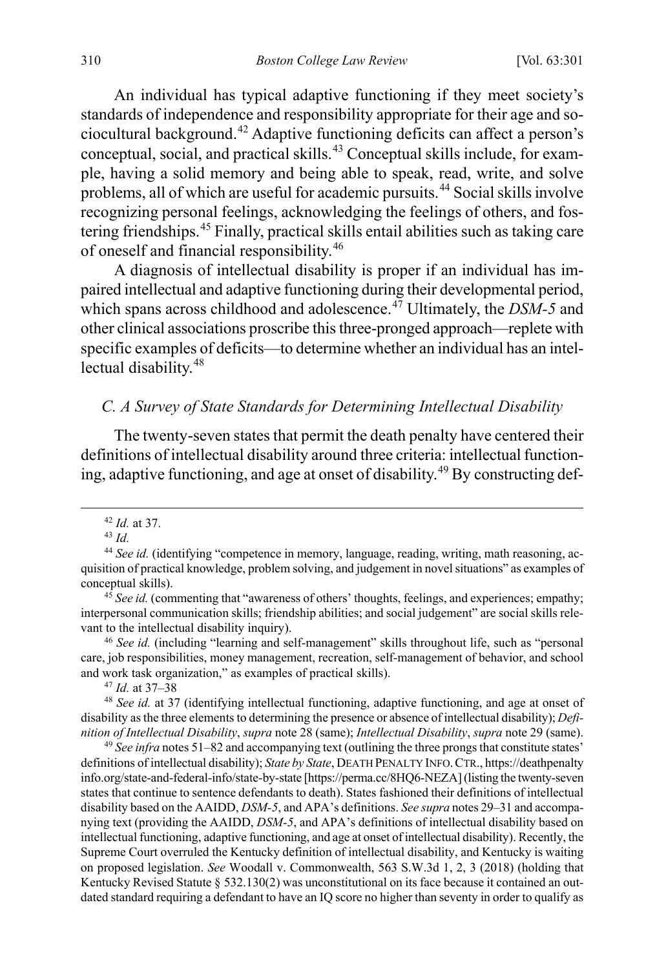An individual has typical adaptive functioning if they meet society's standards of independence and responsibility appropriate for their age and sociocultural background.[42](#page-10-2) Adaptive functioning deficits can affect a person's conceptual, social, and practical skills.[43](#page-10-3) Conceptual skills include, for example, having a solid memory and being able to speak, read, write, and solve problems, all of which are useful for academic pursuits.[44](#page-10-4) Social skills involve recognizing personal feelings, acknowledging the feelings of others, and fostering friendships.[45](#page-10-5) Finally, practical skills entail abilities such as taking care of oneself and financial responsibility.[46](#page-10-6)

A diagnosis of intellectual disability is proper if an individual has impaired intellectual and adaptive functioning during their developmental period, which spans across childhood and adolescence.<sup>[47](#page-10-7)</sup> Ultimately, the *DSM-5* and other clinical associations proscribe this three-pronged approach—replete with specific examples of deficits—to determine whether an individual has an intel-lectual disability.<sup>[48](#page-10-8)</sup>

#### <span id="page-10-0"></span>*C. A Survey of State Standards for Determining Intellectual Disability*

The twenty-seven states that permit the death penalty have centered their definitions of intellectual disability around three criteria: intellectual function-ing, adaptive functioning, and age at onset of disability.<sup>[49](#page-10-9)</sup> By constructing def-

<span id="page-10-6"></span><sup>46</sup> *See id.* (including "learning and self-management" skills throughout life, such as "personal care, job responsibilities, money management, recreation, self-management of behavior, and school and work task organization," as examples of practical skills).

<span id="page-10-1"></span> <sup>42</sup> *Id.* at 37.

<sup>43</sup> *Id.*

<span id="page-10-4"></span><span id="page-10-3"></span><span id="page-10-2"></span><sup>44</sup> *See id.* (identifying "competence in memory, language, reading, writing, math reasoning, acquisition of practical knowledge, problem solving, and judgement in novel situations" as examples of conceptual skills).

<span id="page-10-5"></span><sup>&</sup>lt;sup>45</sup> See id. (commenting that "awareness of others' thoughts, feelings, and experiences; empathy; interpersonal communication skills; friendship abilities; and social judgement" are social skills relevant to the intellectual disability inquiry).

<span id="page-10-8"></span><span id="page-10-7"></span><sup>&</sup>lt;sup>47</sup> *Id.* at 37–38<br><sup>48</sup> *See id.* at 37 (identifying intellectual functioning, adaptive functioning, and age at onset of disability as the three elements to determining the presence or absence of intellectual disability); *Definition of Intellectual Disability*, *supra* not[e 28](#page-6-0) (same); *Intellectual Disability*, *supra* not[e 29](#page-7-2) (same).

<span id="page-10-9"></span><sup>49</sup> *See infra* note[s 51](#page-11-0)[–82](#page-16-0) and accompanying text (outlining the three prongs that constitute states' definitions of intellectual disability); *State by State*, DEATH PENALTY INFO.CTR., https://deathpenalty info.org/state-and-federal-info/state-by-state [https://perma.cc/8HQ6-NEZA] (listing the twenty-seven states that continue to sentence defendants to death). States fashioned their definitions of intellectual disability based on the AAIDD, *DSM-5*, and APA's definitions. *See supra* note[s 29](#page-7-2)[–31](#page-7-0) and accompanying text (providing the AAIDD, *DSM-5*, and APA's definitions of intellectual disability based on intellectual functioning, adaptive functioning, and age at onset of intellectual disability). Recently, the Supreme Court overruled the Kentucky definition of intellectual disability, and Kentucky is waiting on proposed legislation. *See* Woodall v. Commonwealth, 563 S.W.3d 1, 2, 3 (2018) (holding that Kentucky Revised Statute § 532.130(2) was unconstitutional on its face because it contained an outdated standard requiring a defendant to have an IQ score no higher than seventy in order to qualify as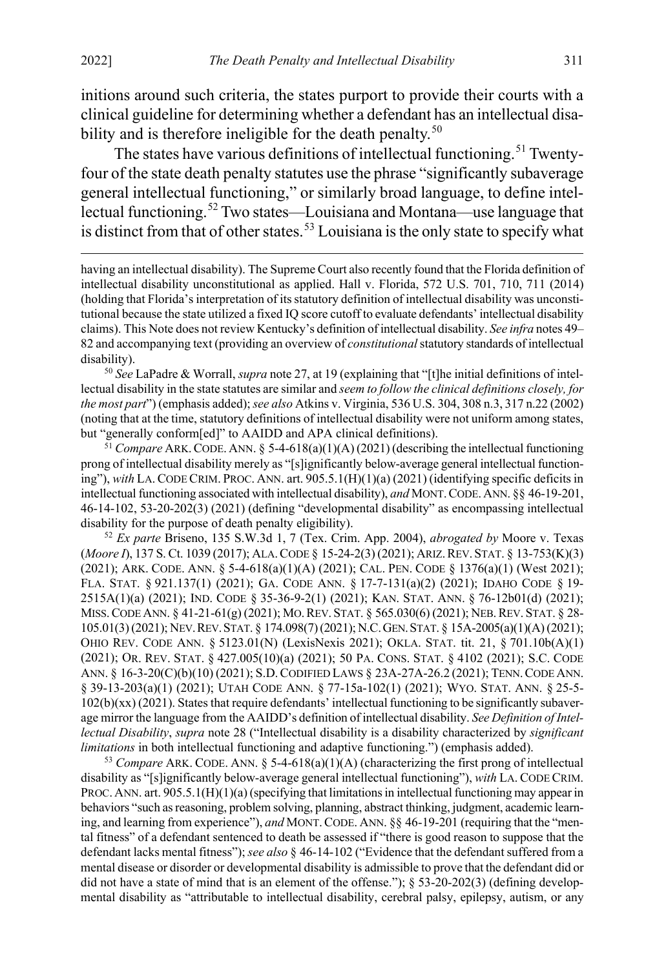<span id="page-11-5"></span> $\overline{a}$ 

initions around such criteria, the states purport to provide their courts with a clinical guideline for determining whether a defendant has an intellectual disa-bility and is therefore ineligible for the death penalty.<sup>[50](#page-11-1)</sup>

<span id="page-11-0"></span>The states have various definitions of intellectual functioning.<sup>[51](#page-11-2)</sup> Twentyfour of the state death penalty statutes use the phrase "significantly subaverage general intellectual functioning," or similarly broad language, to define intellectual functioning.[52](#page-11-3) Two states—Louisiana and Montana—use language that is distinct from that of other states.<sup>[53](#page-11-4)</sup> Louisiana is the only state to specify what

having an intellectual disability). The Supreme Court also recently found that the Florida definition of intellectual disability unconstitutional as applied. Hall v. Florida, 572 U.S. 701, 710, 711 (2014) (holding that Florida's interpretation of its statutory definition of intellectual disability was unconstitutional because the state utilized a fixed IQ score cutoff to evaluate defendants' intellectual disability claims). This Note does not review Kentucky's definition of intellectual disability. *See infra* note[s 49–](#page-10-1) [82](#page-16-0) and accompanying text (providing an overview of *constitutional* statutory standards of intellectual

<span id="page-11-1"></span>disability). 50 *See* LaPadre & Worrall, *supra* not[e 27,](#page-6-3) at 19 (explaining that "[t]he initial definitions of intellectual disability in the state statutes are similar and *seem to follow the clinical definitions closely, for the most part*") (emphasis added); *see also* Atkins v. Virginia, 536 U.S. 304, 308 n.3, 317 n.22 (2002) (noting that at the time, statutory definitions of intellectual disability were not uniform among states, but "generally conform[ed]" to AAIDD and APA clinical definitions).

<span id="page-11-2"></span><sup>51</sup> *Compare* ARK.CODE. ANN. § 5-4-618(a)(1)(A) (2021) (describing the intellectual functioning prong of intellectual disability merely as "[s]ignificantly below-average general intellectual functioning"), *with* LA.CODE CRIM. PROC. ANN. art. 905.5.1(H)(1)(a) (2021) (identifying specific deficits in intellectual functioning associated with intellectual disability), *and* MONT.CODE.ANN. §§ 46-19-201, 46-14-102, 53-20-202(3) (2021) (defining "developmental disability" as encompassing intellectual disability for the purpose of death penalty eligibility).

<span id="page-11-3"></span><sup>52</sup> *Ex parte* Briseno, 135 S.W.3d 1, 7 (Tex. Crim. App. 2004), *abrogated by* Moore v. Texas (*Moore I*), 137 S. Ct. 1039 (2017); ALA.CODE § 15-24-2(3) (2021); ARIZ.REV.STAT. § 13-753(K)(3) (2021); ARK. CODE. ANN. § 5-4-618(a)(1)(A) (2021); CAL. PEN. CODE § 1376(a)(1) (West 2021); FLA. STAT. § 921.137(1) (2021); GA. CODE ANN. § 17-7-131(a)(2) (2021); IDAHO CODE § 19- 2515A(1)(a) (2021); IND. CODE § 35-36-9-2(1) (2021); KAN. STAT. ANN. § 76-12b01(d) (2021); MISS.CODE ANN. § 41-21-61(g) (2021); MO.REV. STAT. § 565.030(6) (2021); NEB.REV. STAT. § 28- 105.01(3) (2021); NEV.REV.STAT. § 174.098(7) (2021); N.C.GEN.STAT. § 15A-2005(a)(1)(A)(2021); OHIO REV. CODE ANN. § 5123.01(N) (LexisNexis 2021); OKLA. STAT. tit. 21, § 701.10b(A)(1) (2021); OR. REV. STAT. § 427.005(10)(a) (2021); 50 PA. CONS. STAT. § 4102 (2021); S.C. CODE ANN. § 16-3-20(C)(b)(10) (2021); S.D.CODIFIED LAWS § 23A-27A-26.2 (2021); TENN.CODE ANN. § 39-13-203(a)(1) (2021); UTAH CODE ANN. § 77-15a-102(1) (2021); WYO. STAT. ANN. § 25-5- 102(b)(xx) (2021). States that require defendants' intellectual functioning to be significantly subaverage mirror the language from the AAIDD's definition of intellectual disability. *See Definition of Intellectual Disability*, *supra* note [28 \(](#page-6-0)"Intellectual disability is a disability characterized by *significant limitations* in both intellectual functioning and adaptive functioning.") (emphasis added).

<span id="page-11-4"></span> $53$  *Compare* ARK. CODE. ANN. §  $5-4-618(a)(1)(A)$  (characterizing the first prong of intellectual disability as "[s]ignificantly below-average general intellectual functioning"), *with* LA. CODE CRIM. PROC. ANN. art. 905.5.1(H)(1)(a) (specifying that limitations in intellectual functioning may appear in behaviors "such as reasoning, problem solving, planning, abstract thinking, judgment, academic learning, and learning from experience"), *and* MONT. CODE. ANN. §§ 46-19-201 (requiring that the "mental fitness" of a defendant sentenced to death be assessed if "there is good reason to suppose that the defendant lacks mental fitness"); *see also* § 46-14-102 ("Evidence that the defendant suffered from a mental disease or disorder or developmental disability is admissible to prove that the defendant did or did not have a state of mind that is an element of the offense.");  $\S$  53-20-202(3) (defining developmental disability as "attributable to intellectual disability, cerebral palsy, epilepsy, autism, or any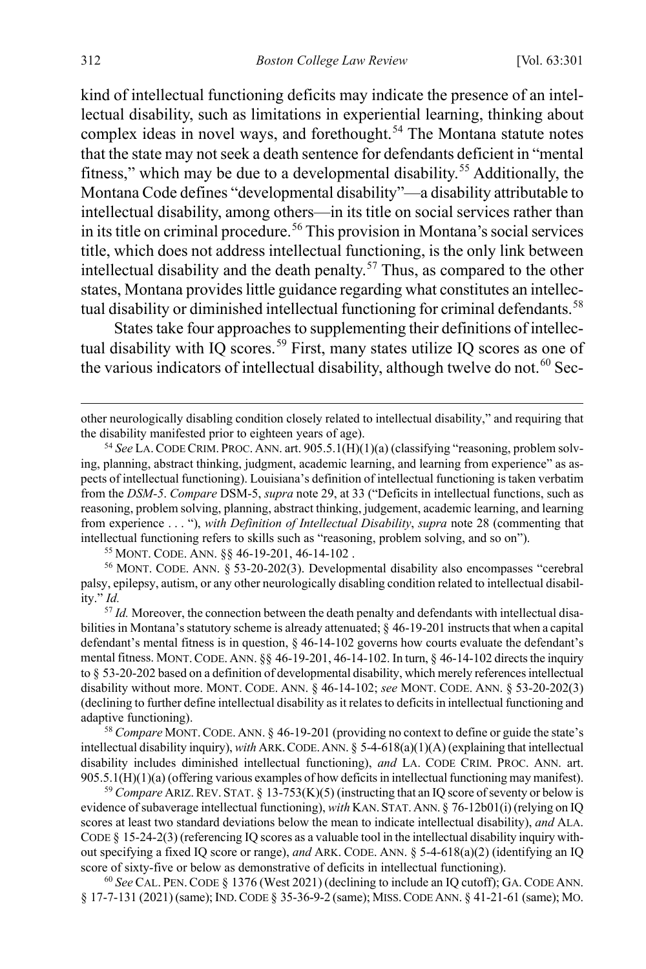kind of intellectual functioning deficits may indicate the presence of an intellectual disability, such as limitations in experiential learning, thinking about complex ideas in novel ways, and forethought.<sup>[54](#page-12-0)</sup> The Montana statute notes that the state may not seek a death sentence for defendants deficient in "mental fitness," which may be due to a developmental disability.<sup>[55](#page-12-1)</sup> Additionally, the Montana Code defines "developmental disability"—a disability attributable to intellectual disability, among others—in its title on social services rather than in its title on criminal procedure.<sup>[56](#page-12-2)</sup> This provision in Montana's social services title, which does not address intellectual functioning, is the only link between intellectual disability and the death penalty.<sup>[57](#page-12-3)</sup> Thus, as compared to the other states, Montana provides little guidance regarding what constitutes an intellec-tual disability or diminished intellectual functioning for criminal defendants.<sup>[58](#page-12-4)</sup>

<span id="page-12-7"></span>States take four approaches to supplementing their definitions of intellec-tual disability with IQ scores.<sup>[59](#page-12-5)</sup> First, many states utilize IQ scores as one of the various indicators of intellectual disability, although twelve do not.<sup>[60](#page-12-6)</sup> Sec-

<sup>55</sup> MONT. CODE. ANN. §§ 46-19-201, 46-14-102 .

<span id="page-12-2"></span><span id="page-12-1"></span><sup>56</sup> MONT. CODE. ANN. § 53-20-202(3). Developmental disability also encompasses "cerebral palsy, epilepsy, autism, or any other neurologically disabling condition related to intellectual disability." *Id.*

<span id="page-12-3"></span><sup>57</sup> *Id.* Moreover, the connection between the death penalty and defendants with intellectual disabilities in Montana's statutory scheme is already attenuated;  $\S$  46-19-201 instructs that when a capital defendant's mental fitness is in question, § 46-14-102 governs how courts evaluate the defendant's mental fitness. MONT.CODE. ANN. §§ 46-19-201, 46-14-102. In turn, § 46-14-102 directs the inquiry to § 53-20-202 based on a definition of developmental disability, which merely references intellectual disability without more. MONT. CODE. ANN. § 46-14-102; *see* MONT. CODE. ANN. § 53-20-202(3) (declining to further define intellectual disability as it relates to deficits in intellectual functioning and adaptive functioning).

<span id="page-12-4"></span><sup>58</sup> *Compare* MONT.CODE. ANN. § 46-19-201 (providing no context to define or guide the state's intellectual disability inquiry), *with* ARK.CODE.ANN. § 5-4-618(a)(1)(A) (explaining that intellectual disability includes diminished intellectual functioning), *and* LA. CODE CRIM. PROC. ANN. art. 905.5.1(H)(1)(a) (offering various examples of how deficits in intellectual functioning may manifest).

<span id="page-12-5"></span><sup>59</sup> Compare ARIZ. REV. STAT. § 13-753(K)(5) (instructing that an IQ score of seventy or below is evidence of subaverage intellectual functioning), *with* KAN.STAT.ANN. § 76-12b01(i) (relying on IQ scores at least two standard deviations below the mean to indicate intellectual disability), *and* ALA. CODE § 15-24-2(3) (referencing IQ scores as a valuable tool in the intellectual disability inquiry without specifying a fixed IQ score or range), *and* ARK. CODE. ANN. § 5-4-618(a)(2) (identifying an IQ score of sixty-five or below as demonstrative of deficits in intellectual functioning).

<span id="page-12-6"></span><sup>60</sup> *See* CAL. PEN.CODE § 1376 (West 2021) (declining to include an IQ cutoff); GA.CODE ANN. § 17-7-131 (2021) (same); IND.CODE § 35-36-9-2 (same); MISS.CODE ANN. § 41-21-61 (same); MO.

other neurologically disabling condition closely related to intellectual disability," and requiring that the disability manifested prior to eighteen years of age).

<span id="page-12-0"></span><sup>&</sup>lt;sup>54</sup> See LA. CODE CRIM. PROC. ANN. art. 905.5.1(H)(1)(a) (classifying "reasoning, problem solving, planning, abstract thinking, judgment, academic learning, and learning from experience" as aspects of intellectual functioning). Louisiana's definition of intellectual functioning is taken verbatim from the *DSM-5*. *Compare* DSM-5, *supra* note [29,](#page-7-2) at 33 ("Deficits in intellectual functions, such as reasoning, problem solving, planning, abstract thinking, judgement, academic learning, and learning from experience . . . "), *with Definition of Intellectual Disability*, *supra* not[e 28](#page-6-0) (commenting that intellectual functioning refers to skills such as "reasoning, problem solving, and so on").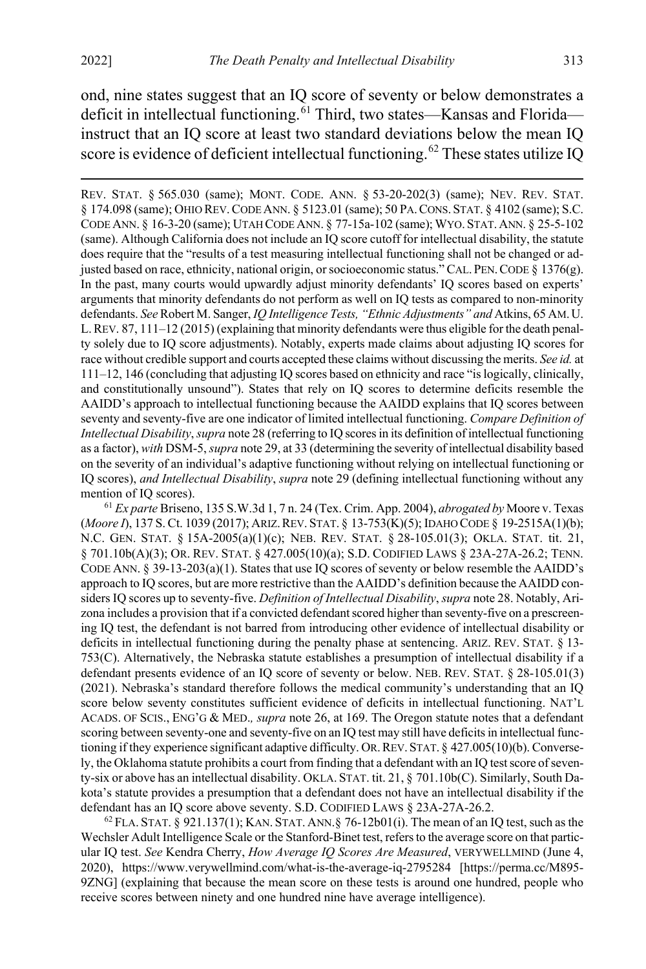$\overline{a}$ 

<span id="page-13-2"></span>ond, nine states suggest that an IQ score of seventy or below demonstrates a deficit in intellectual functioning.<sup>[61](#page-13-0)</sup> Third, two states—Kansas and Florida instruct that an IQ score at least two standard deviations below the mean IQ score is evidence of deficient intellectual functioning.<sup>[62](#page-13-1)</sup> These states utilize IO

REV. STAT. § 565.030 (same); MONT. CODE. ANN. § 53-20-202(3) (same); NEV. REV. STAT. § 174.098 (same); OHIO REV.CODE ANN. § 5123.01 (same); 50 PA.CONS. STAT. § 4102 (same); S.C. CODE ANN. § 16-3-20 (same); UTAH CODE ANN. § 77-15a-102 (same); WYO. STAT.ANN. § 25-5-102 (same). Although California does not include an IQ score cutoff for intellectual disability, the statute does require that the "results of a test measuring intellectual functioning shall not be changed or adjusted based on race, ethnicity, national origin, or socioeconomic status." CAL. PEN.CODE § 1376(g). In the past, many courts would upwardly adjust minority defendants' IQ scores based on experts' arguments that minority defendants do not perform as well on IQ tests as compared to non-minority defendants. *See* Robert M. Sanger, *IQ Intelligence Tests, "Ethnic Adjustments" and* Atkins, 65 AM.U. L.REV. 87, 111–12 (2015) (explaining that minority defendants were thus eligible for the death penalty solely due to IQ score adjustments). Notably, experts made claims about adjusting IQ scores for race without credible support and courts accepted these claims without discussing the merits. *See id.* at 111–12, 146 (concluding that adjusting IQ scores based on ethnicity and race "is logically, clinically, and constitutionally unsound"). States that rely on IQ scores to determine deficits resemble the AAIDD's approach to intellectual functioning because the AAIDD explains that IQ scores between seventy and seventy-five are one indicator of limited intellectual functioning. *Compare Definition of Intellectual Disability*, *supra* not[e 28](#page-6-0) (referring to IQ scores in its definition of intellectual functioning as a factor), *with* DSM-5, *supra* not[e 29,](#page-7-2) at 33 (determining the severity of intellectual disability based on the severity of an individual's adaptive functioning without relying on intellectual functioning or IQ scores), *and Intellectual Disability*, *supra* note [29](#page-7-2) (defining intellectual functioning without any mention of IQ scores).

<span id="page-13-0"></span><sup>61</sup> *Ex parte* Briseno, 135 S.W.3d 1, 7 n. 24 (Tex. Crim. App. 2004), *abrogated by* Moore v. Texas (*Moore I*), 137 S. Ct. 1039 (2017); ARIZ.REV. STAT. § 13-753(K)(5); IDAHO CODE § 19-2515A(1)(b); N.C. GEN. STAT. § 15A-2005(a)(1)(c); NEB. REV. STAT. § 28-105.01(3); OKLA. STAT. tit. 21, § 701.10b(A)(3); OR. REV. STAT. § 427.005(10)(a); S.D. CODIFIED LAWS § 23A-27A-26.2; TENN. CODE ANN. § 39-13-203(a)(1). States that use IQ scores of seventy or below resemble the AAIDD's approach to IQ scores, but are more restrictive than the AAIDD's definition because the AAIDD considers IQ scores up to seventy-five. *Definition of Intellectual Disability*, *supra* not[e 28.](#page-6-0) Notably, Arizona includes a provision that if a convicted defendant scored higher than seventy-five on a prescreening IQ test, the defendant is not barred from introducing other evidence of intellectual disability or deficits in intellectual functioning during the penalty phase at sentencing. ARIZ. REV. STAT. § 13- 753(C). Alternatively, the Nebraska statute establishes a presumption of intellectual disability if a defendant presents evidence of an IQ score of seventy or below. NEB. REV. STAT. § 28-105.01(3) (2021). Nebraska's standard therefore follows the medical community's understanding that an IQ score below seventy constitutes sufficient evidence of deficits in intellectual functioning. NAT'L ACADS. OF SCIS., ENG'G & MED.*, supra* not[e 26,](#page-5-1) at 169. The Oregon statute notes that a defendant scoring between seventy-one and seventy-five on an IQ test may still have deficits in intellectual functioning if they experience significant adaptive difficulty. OR.REV. STAT. § 427.005(10)(b). Conversely, the Oklahoma statute prohibits a court from finding that a defendant with an IQ test score of seventy-six or above has an intellectual disability. OKLA. STAT. tit. 21, § 701.10b(C). Similarly, South Dakota's statute provides a presumption that a defendant does not have an intellectual disability if the defendant has an IQ score above seventy. S.D. CODIFIED LAWS § 23A-27A-26.2.<br><sup>62</sup> FLA. STAT. § 921.137(1); KAN. STAT. ANN.§ 76-12b01(i). The mean of an IQ test, such as the

<span id="page-13-1"></span>Wechsler Adult Intelligence Scale or the Stanford-Binet test, refers to the average score on that particular IQ test. *See* Kendra Cherry, *How Average IQ Scores Are Measured*, VERYWELLMIND (June 4, 2020), https://www.verywellmind.com/what-is-the-average-iq-2795284 [https://perma.cc/M895- 9ZNG] (explaining that because the mean score on these tests is around one hundred, people who receive scores between ninety and one hundred nine have average intelligence).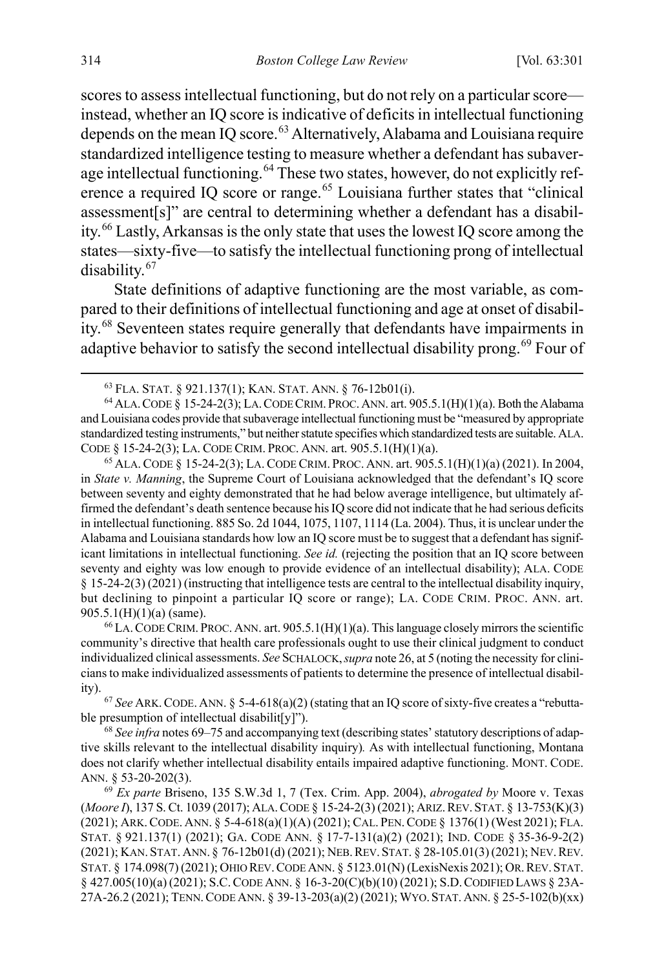scores to assess intellectual functioning, but do not rely on a particular score instead, whether an IQ score is indicative of deficits in intellectual functioning depends on the mean  $\overline{IQ}$  score.<sup>[63](#page-14-1)</sup> Alternatively, Alabama and Louisiana require standardized intelligence testing to measure whether a defendant has subaver-age intellectual functioning.<sup>[64](#page-14-2)</sup> These two states, however, do not explicitly ref-erence a required IQ score or range.<sup>[65](#page-14-3)</sup> Louisiana further states that "clinical" assessment[s]" are central to determining whether a defendant has a disability.[66](#page-14-4) Lastly, Arkansas is the only state that uses the lowest IQ score among the states—sixty-five—to satisfy the intellectual functioning prong of intellectual disability.[67](#page-14-5)

<span id="page-14-8"></span>State definitions of adaptive functioning are the most variable, as compared to their definitions of intellectual functioning and age at onset of disability.[68](#page-14-6) Seventeen states require generally that defendants have impairments in adaptive behavior to satisfy the second intellectual disability prong.<sup>[69](#page-14-7)</sup> Four of

<span id="page-14-3"></span>in *State v. Manning*, the Supreme Court of Louisiana acknowledged that the defendant's IQ score between seventy and eighty demonstrated that he had below average intelligence, but ultimately affirmed the defendant's death sentence because his IQ score did not indicate that he had serious deficits in intellectual functioning. 885 So. 2d 1044, 1075, 1107, 1114 (La. 2004). Thus, it is unclear under the Alabama and Louisiana standards how low an IQ score must be to suggest that a defendant has significant limitations in intellectual functioning. *See id.* (rejecting the position that an IQ score between seventy and eighty was low enough to provide evidence of an intellectual disability); ALA. CODE § 15-24-2(3) (2021) (instructing that intelligence tests are central to the intellectual disability inquiry, but declining to pinpoint a particular IQ score or range); LA. CODE CRIM. PROC. ANN. art. 905.5.1(H)(1)(a) (same).

<span id="page-14-4"></span> $^{66}$  LA. CODE CRIM. PROC. ANN. art. 905.5.1(H)(1)(a). This language closely mirrors the scientific community's directive that health care professionals ought to use their clinical judgment to conduct individualized clinical assessments. *See* SCHALOCK,*supra* not[e 26,](#page-5-1) at 5 (noting the necessity for clinicians to make individualized assessments of patients to determine the presence of intellectual disability).

<span id="page-14-5"></span><sup>67</sup> *See* ARK.CODE. ANN. § 5-4-618(a)(2) (stating that an IQ score of sixty-five creates a "rebuttable presumption of intellectual disabilit[y]").

<span id="page-14-6"></span><sup>68</sup> *See infra* note[s 69](#page-14-0)[–75](#page-16-1) and accompanying text (describing states' statutory descriptions of adaptive skills relevant to the intellectual disability inquiry)*.* As with intellectual functioning, Montana does not clarify whether intellectual disability entails impaired adaptive functioning. MONT. CODE. ANN. § 53-20-202(3). 69 *Ex parte* Briseno, 135 S.W.3d 1, 7 (Tex. Crim. App. 2004), *abrogated by* Moore v. Texas

<span id="page-14-7"></span>(*Moore I*), 137 S. Ct. 1039 (2017); ALA.CODE § 15-24-2(3) (2021); ARIZ.REV.STAT. § 13-753(K)(3) (2021); ARK.CODE. ANN. § 5-4-618(a)(1)(A) (2021); CAL. PEN.CODE § 1376(1) (West 2021); FLA. STAT. § 921.137(1) (2021); GA. CODE ANN. § 17-7-131(a)(2) (2021); IND. CODE § 35-36-9-2(2) (2021); KAN. STAT. ANN. § 76-12b01(d) (2021); NEB.REV.STAT. § 28-105.01(3) (2021); NEV.REV. STAT. § 174.098(7) (2021); OHIO REV.CODE ANN. § 5123.01(N) (LexisNexis 2021); OR.REV.STAT. § 427.005(10)(a) (2021); S.C.CODE ANN. § 16-3-20(C)(b)(10) (2021); S.D.CODIFIED LAWS § 23A-27A-26.2 (2021); TENN.CODE ANN. § 39-13-203(a)(2) (2021); WYO.STAT.ANN. § 25-5-102(b)(xx)

<span id="page-14-0"></span>

<span id="page-14-2"></span><span id="page-14-1"></span><sup>&</sup>lt;sup>63</sup> FLA. STAT. § 921.137(1); KAN. STAT. ANN. § 76-12b01(i).<br><sup>64</sup> ALA. CODE § 15-24-2(3); LA. CODE CRIM. PROC. ANN. art. 905.5.1(H)(1)(a). Both the Alabama and Louisiana codes provide that subaverage intellectual functioning must be "measured by appropriate standardized testing instruments," but neither statute specifies which standardized tests are suitable. ALA. CODE § 15-24-2(3); LA. CODE CRIM. PROC. ANN. art. 905.5.1(H)(1)(a). 65 ALA.CODE § 15-24-2(3); LA.CODE CRIM. PROC. ANN. art. 905.5.1(H)(1)(a) (2021). In 2004,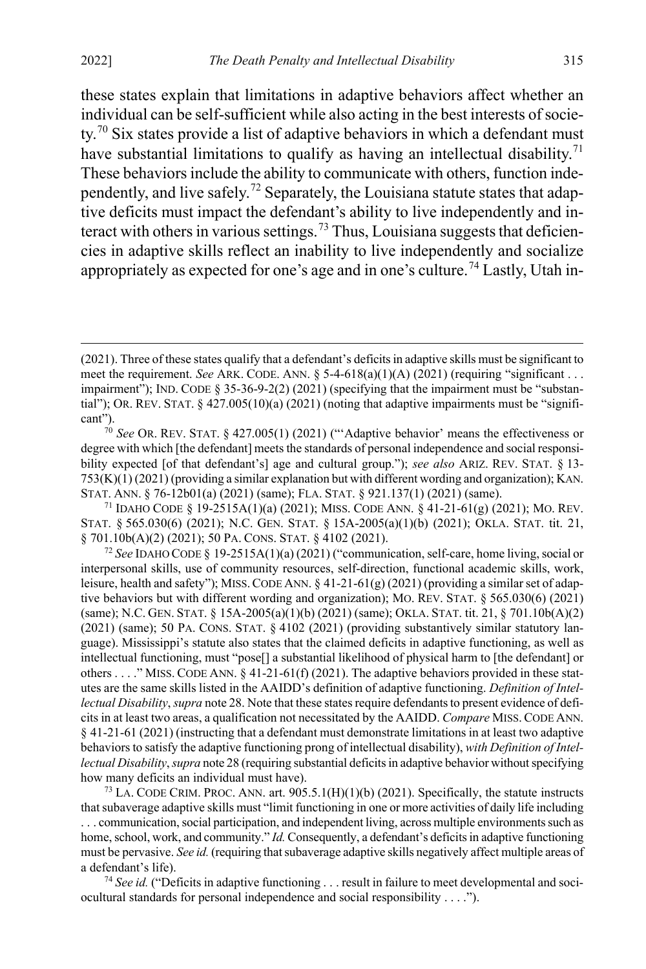$\overline{a}$ 

<span id="page-15-5"></span>these states explain that limitations in adaptive behaviors affect whether an individual can be self-sufficient while also acting in the best interests of socie-ty.<sup>[70](#page-15-0)</sup> Six states provide a list of adaptive behaviors in which a defendant must have substantial limitations to qualify as having an intellectual disability.<sup>[71](#page-15-1)</sup> These behaviors include the ability to communicate with others, function inde-pendently, and live safely.<sup>[72](#page-15-2)</sup> Separately, the Louisiana statute states that adaptive deficits must impact the defendant's ability to live independently and in-teract with others in various settings.<sup>[73](#page-15-3)</sup> Thus, Louisiana suggests that deficiencies in adaptive skills reflect an inability to live independently and socialize appropriately as expected for one's age and in one's culture.<sup>[74](#page-15-4)</sup> Lastly, Utah in-

<span id="page-15-1"></span><sup>71</sup> IDAHO CODE § 19-2515A(1)(a) (2021); MISS. CODE ANN. § 41-21-61(g) (2021); MO. REV. STAT. § 565.030(6) (2021); N.C. GEN. STAT. § 15A-2005(a)(1)(b) (2021); OKLA. STAT. tit. 21, § 701.10b(A)(2) (2021); 50 PA. CONS. STAT. § 4102 (2021).

<span id="page-15-2"></span><sup>72</sup> *See* IDAHO CODE § 19-2515A(1)(a) (2021) ("communication, self-care, home living, social or interpersonal skills, use of community resources, self-direction, functional academic skills, work, leisure, health and safety"); MISS. CODE ANN.  $\S$  41-21-61(g) (2021) (providing a similar set of adaptive behaviors but with different wording and organization); MO. REV. STAT. § 565.030(6) (2021) (same); N.C. GEN. STAT. § 15A-2005(a)(1)(b) (2021) (same); OKLA. STAT. tit. 21, § 701.10b(A)(2) (2021) (same); 50 PA. CONS. STAT. § 4102 (2021) (providing substantively similar statutory language). Mississippi's statute also states that the claimed deficits in adaptive functioning, as well as intellectual functioning, must "pose[] a substantial likelihood of physical harm to [the defendant] or others . . . ." MISS. CODE ANN.  $\S 41-21-61(f) (2021)$ . The adaptive behaviors provided in these statutes are the same skills listed in the AAIDD's definition of adaptive functioning. *Definition of Intellectual Disability*, *supra* not[e 28.](#page-6-0) Note that these states require defendants to present evidence of deficits in at least two areas, a qualification not necessitated by the AAIDD. *Compare* MISS.CODE ANN. § 41-21-61 (2021) (instructing that a defendant must demonstrate limitations in at least two adaptive behaviors to satisfy the adaptive functioning prong of intellectual disability), *with Definition of Intellectual Disability*, *supra* not[e 28](#page-6-0) (requiring substantial deficits in adaptive behavior without specifying how many deficits an individual must have).

<span id="page-15-3"></span><sup>73</sup> LA. CODE CRIM. PROC. ANN. art.  $905.5.1(H)(1)(b)$  (2021). Specifically, the statute instructs that subaverage adaptive skills must "limit functioning in one or more activities of daily life including . . . communication, social participation, and independent living, across multiple environments such as home, school, work, and community." *Id.* Consequently, a defendant's deficits in adaptive functioning must be pervasive. *See id.* (requiring that subaverage adaptive skills negatively affect multiple areas of a defendant's life).

<span id="page-15-4"></span><sup>74</sup> *See id.* ("Deficits in adaptive functioning . . . result in failure to meet developmental and sociocultural standards for personal independence and social responsibility . . . .").

<sup>(2021).</sup> Three of these states qualify that a defendant's deficits in adaptive skills must be significant to meet the requirement. *See* ARK. CODE. ANN.  $\S$  5-4-618(a)(1)(A) (2021) (requiring "significant ... impairment"); IND. CODE § 35-36-9-2(2) (2021) (specifying that the impairment must be "substantial"); OR. REV. STAT.  $\S$  427.005(10)(a) (2021) (noting that adaptive impairments must be "significant").

<span id="page-15-0"></span><sup>70</sup> *See* OR. REV. STAT. § 427.005(1) (2021) ("'Adaptive behavior' means the effectiveness or degree with which [the defendant] meets the standards of personal independence and social responsibility expected [of that defendant's] age and cultural group."); *see also* ARIZ. REV. STAT. § 13- 753(K)(1) (2021) (providing a similar explanation but with different wording and organization); KAN. STAT. ANN. § 76-12b01(a) (2021) (same); FLA. STAT. § 921.137(1) (2021) (same).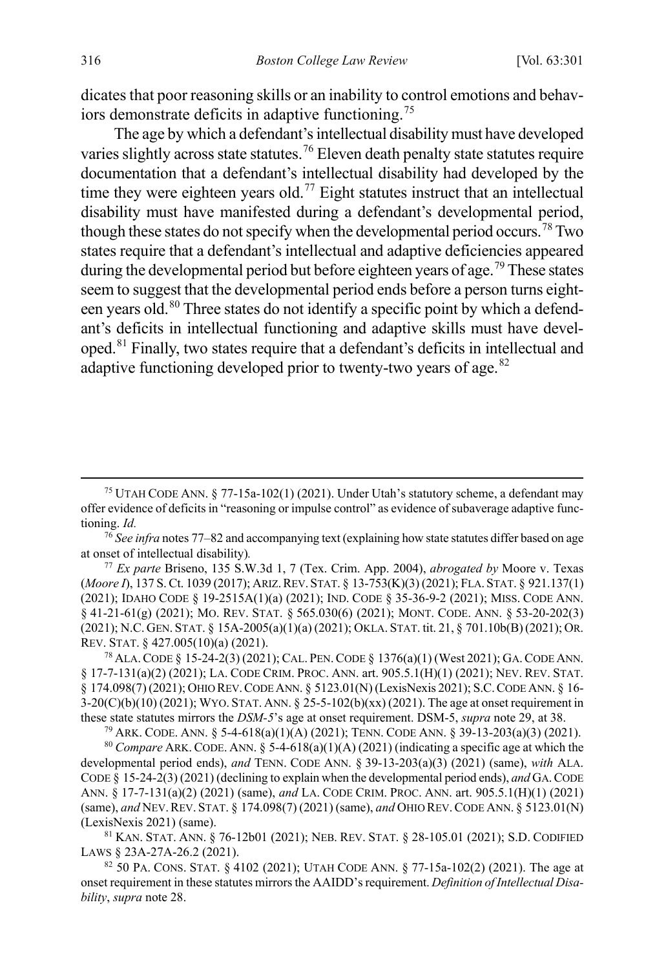<span id="page-16-1"></span>dicates that poor reasoning skills or an inability to control emotions and behaviors demonstrate deficits in adaptive functioning.[75](#page-16-3)

<span id="page-16-2"></span>The age by which a defendant's intellectual disability must have developed varies slightly across state statutes.<sup>[76](#page-16-4)</sup> Eleven death penalty state statutes require documentation that a defendant's intellectual disability had developed by the time they were eighteen years old.<sup>[77](#page-16-5)</sup> Eight statutes instruct that an intellectual disability must have manifested during a defendant's developmental period, though these states do not specify when the developmental period occurs.<sup>[78](#page-16-6)</sup> Two states require that a defendant's intellectual and adaptive deficiencies appeared during the developmental period but before eighteen years of age.<sup>[79](#page-16-7)</sup> These states seem to suggest that the developmental period ends before a person turns eight-een years old.<sup>[80](#page-16-8)</sup> Three states do not identify a specific point by which a defendant's deficits in intellectual functioning and adaptive skills must have developed.[81](#page-16-9) Finally, two states require that a defendant's deficits in intellectual and adaptive functioning developed prior to twenty-two vears of age.<sup>[82](#page-16-10)</sup>

<span id="page-16-5"></span><sup>77</sup> *Ex parte* Briseno, 135 S.W.3d 1, 7 (Tex. Crim. App. 2004), *abrogated by* Moore v. Texas (*Moore I*), 137 S. Ct. 1039 (2017); ARIZ.REV. STAT. § 13-753(K)(3) (2021); FLA. STAT. § 921.137(1) (2021); IDAHO CODE § 19-2515A(1)(a) (2021); IND. CODE § 35-36-9-2 (2021); MISS. CODE ANN. § 41-21-61(g) (2021); MO. REV. STAT. § 565.030(6) (2021); MONT. CODE. ANN. § 53-20-202(3) (2021); N.C. GEN. STAT. § 15A-2005(a)(1)(a) (2021); OKLA. STAT. tit. 21, § 701.10b(B) (2021); OR. REV. STAT. § 427.005(10)(a) (2021).

<span id="page-16-6"></span><sup>78</sup> ALA.CODE § 15-24-2(3) (2021); CAL. PEN.CODE § 1376(a)(1) (West 2021); GA.CODE ANN. § 17-7-131(a)(2) (2021); LA. CODE CRIM. PROC. ANN. art. 905.5.1(H)(1) (2021); NEV. REV. STAT. § 174.098(7) (2021); OHIO REV. CODE ANN. § 5123.01(N) (LexisNexis 2021); S.C. CODE ANN. § 16- $3-20(C)(b)(10)(2021)$ ; WYO. STAT. ANN. § 25-5-102(b)(xx) (2021). The age at onset requirement in these state statutes mirrors the *DSM-5*'s age at onset requirement. DSM-5, *supra* note [29,](#page-7-2) at 38. 79 ARK. CODE. ANN. § 5-4-618(a)(1)(A) (2021); TENN. CODE ANN. § 39-13-203(a)(3) (2021).

<span id="page-16-8"></span><span id="page-16-7"></span><sup>80</sup> *Compare* ARK.CODE. ANN. § 5-4-618(a)(1)(A) (2021) (indicating a specific age at which the developmental period ends), *and* TENN. CODE ANN. § 39-13-203(a)(3) (2021) (same), *with* ALA. CODE § 15-24-2(3) (2021) (declining to explain when the developmental period ends), *and* GA.CODE ANN. § 17-7-131(a)(2) (2021) (same), *and* LA. CODE CRIM. PROC. ANN. art. 905.5.1(H)(1) (2021) (same), *and* NEV.REV. STAT. § 174.098(7) (2021) (same), *and* OHIO REV.CODE ANN. § 5123.01(N) (LexisNexis 2021) (same).

<span id="page-16-9"></span><sup>81</sup> KAN. STAT. ANN. § 76-12b01 (2021); NEB. REV. STAT. § 28-105.01 (2021); S.D. CODIFIED LAWS § 23A-27A-26.2 (2021).

<span id="page-16-10"></span> $82$  50 PA. CONS. STAT. § 4102 (2021); UTAH CODE ANN. § 77-15a-102(2) (2021). The age at onset requirement in these statutes mirrors the AAIDD's requirement. *Definition of Intellectual Disability*, *supra* note [28.](#page-6-0) 

<span id="page-16-3"></span><span id="page-16-0"></span><sup>&</sup>lt;sup>75</sup> UTAH CODE ANN.  $\S 77$ -15a-102(1) (2021). Under Utah's statutory scheme, a defendant may offer evidence of deficits in "reasoning or impulse control" as evidence of subaverage adaptive functioning. *Id.*

<span id="page-16-4"></span><sup>76</sup> *See infra* note[s 77](#page-16-2)[–82](#page-16-0) and accompanying text (explaining how state statutes differ based on age at onset of intellectual disability)*.*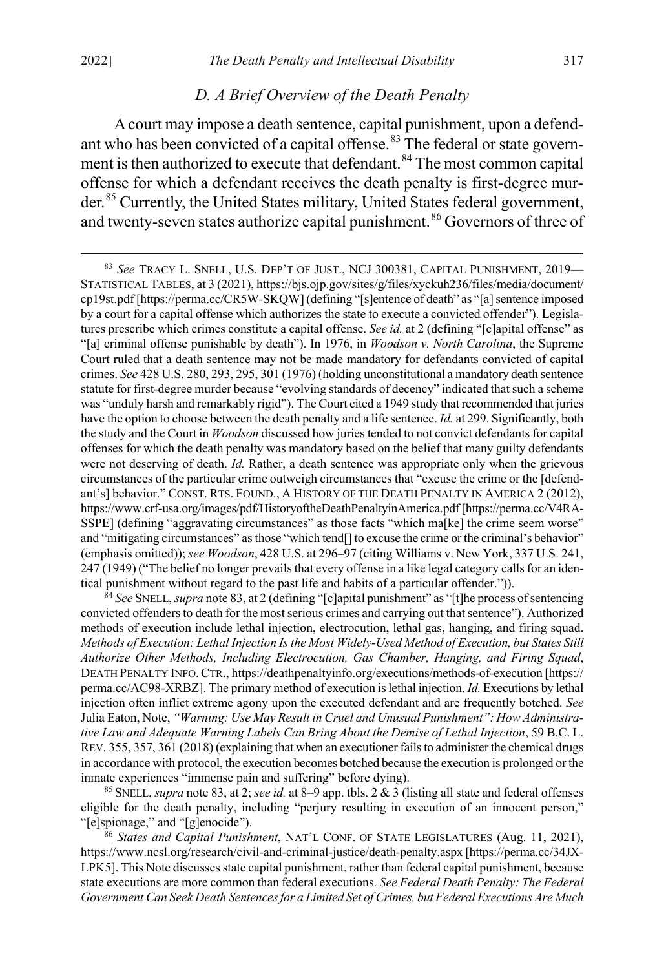### <span id="page-17-0"></span>*D. A Brief Overview of the Death Penalty*

A court may impose a death sentence, capital punishment, upon a defend-ant who has been convicted of a capital offense.<sup>[83](#page-17-1)</sup> The federal or state govern-ment is then authorized to execute that defendant.<sup>[84](#page-17-2)</sup> The most common capital offense for which a defendant receives the death penalty is first-degree murder.[85](#page-17-3) Currently, the United States military, United States federal government, and twenty-seven states authorize capital punishment.<sup>[86](#page-17-4)</sup> Governors of three of

<span id="page-17-1"></span> 83 *See* TRACY L. SNELL, U.S. DEP'T OF JUST., NCJ 300381, CAPITAL PUNISHMENT, 2019— STATISTICAL TABLES, at 3 (2021), https://bjs.ojp.gov/sites/g/files/xyckuh236/files/media/document/ cp19st.pdf [https://perma.cc/CR5W-SKQW] (defining "[s]entence of death" as "[a] sentence imposed by a court for a capital offense which authorizes the state to execute a convicted offender"). Legislatures prescribe which crimes constitute a capital offense. *See id.* at 2 (defining "[c]apital offense" as "[a] criminal offense punishable by death"). In 1976, in *Woodson v. North Carolina*, the Supreme Court ruled that a death sentence may not be made mandatory for defendants convicted of capital crimes. *See* 428 U.S. 280, 293, 295, 301 (1976) (holding unconstitutional a mandatory death sentence statute for first-degree murder because "evolving standards of decency" indicated that such a scheme was "unduly harsh and remarkably rigid"). The Court cited a 1949 study that recommended that juries have the option to choose between the death penalty and a life sentence. *Id.* at 299. Significantly, both the study and the Court in *Woodson* discussed how juries tended to not convict defendants for capital offenses for which the death penalty was mandatory based on the belief that many guilty defendants were not deserving of death. *Id.* Rather, a death sentence was appropriate only when the grievous circumstances of the particular crime outweigh circumstances that "excuse the crime or the [defendant's] behavior." CONST. RTS. FOUND., A HISTORY OF THE DEATH PENALTY IN AMERICA 2 (2012), https://www.crf-usa.org/images/pdf/HistoryoftheDeathPenaltyinAmerica.pdf [https://perma.cc/V4RA-SSPE] (defining "aggravating circumstances" as those facts "which ma[ke] the crime seem worse" and "mitigating circumstances" as those "which tend[] to excuse the crime or the criminal's behavior" (emphasis omitted)); *see Woodson*, 428 U.S. at 296–97 (citing Williams v. New York, 337 U.S. 241, 247 (1949) ("The belief no longer prevails that every offense in a like legal category calls for an identical punishment without regard to the past life and habits of a particular offender.")).

<span id="page-17-2"></span><sup>84</sup> *See* SNELL, *supra* not[e 83,](#page-17-0) at 2 (defining "[c]apital punishment" as "[t]he process of sentencing convicted offenders to death for the most serious crimes and carrying out that sentence"). Authorized methods of execution include lethal injection, electrocution, lethal gas, hanging, and firing squad. *Methods of Execution: Lethal Injection Is the Most Widely-Used Method of Execution, but States Still Authorize Other Methods, Including Electrocution, Gas Chamber, Hanging, and Firing Squad*, DEATH PENALTY INFO.CTR., https://deathpenaltyinfo.org/executions/methods-of-execution [https:// perma.cc/AC98-XRBZ]. The primary method of execution is lethal injection. *Id.* Executions by lethal injection often inflict extreme agony upon the executed defendant and are frequently botched. *See*  Julia Eaton, Note, *"Warning: Use May Result in Cruel and Unusual Punishment": How Administrative Law and Adequate Warning Labels Can Bring About the Demise of Lethal Injection*, 59 B.C. L. REV. 355, 357, 361 (2018) (explaining that when an executioner fails to administer the chemical drugs in accordance with protocol, the execution becomes botched because the execution is prolonged or the inmate experiences "immense pain and suffering" before dying).

<span id="page-17-3"></span><sup>85</sup> SNELL, *supra* not[e 83,](#page-17-0) at 2; *see id.* at 8–9 app. tbls. 2 & 3 (listing all state and federal offenses eligible for the death penalty, including "perjury resulting in execution of an innocent person," "[e]spionage," and "[g]enocide").

<span id="page-17-4"></span><sup>86</sup> *States and Capital Punishment*, NAT'L CONF. OF STATE LEGISLATURES (Aug. 11, 2021), https://www.ncsl.org/research/civil-and-criminal-justice/death-penalty.aspx [https://perma.cc/34JX-LPK5]. This Note discusses state capital punishment, rather than federal capital punishment, because state executions are more common than federal executions. *See Federal Death Penalty: The Federal Government Can Seek Death Sentences for a Limited Set of Crimes, but Federal Executions Are Much*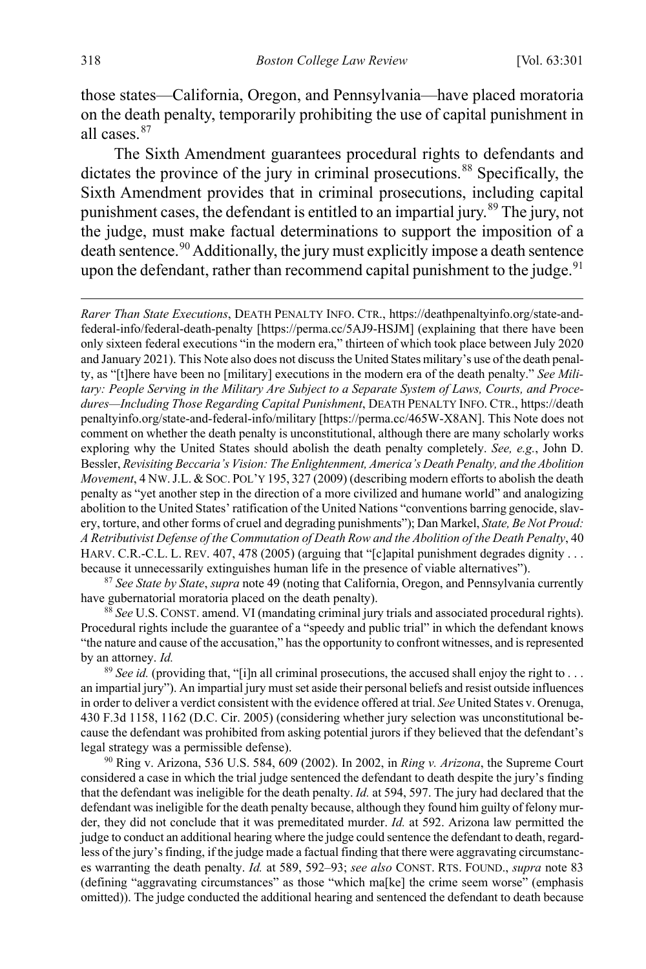those states—California, Oregon, and Pennsylvania—have placed moratoria on the death penalty, temporarily prohibiting the use of capital punishment in all cases.[87](#page-18-0)

The Sixth Amendment guarantees procedural rights to defendants and dictates the province of the jury in criminal prosecutions.<sup>[88](#page-18-1)</sup> Specifically, the Sixth Amendment provides that in criminal prosecutions, including capital punishment cases, the defendant is entitled to an impartial jury.<sup>[89](#page-18-2)</sup> The jury, not the judge, must make factual determinations to support the imposition of a death sentence.<sup>[90](#page-18-3)</sup> Additionally, the jury must explicitly impose a death sentence upon the defendant, rather than recommend capital punishment to the judge.<sup>[91](#page-18-4)</sup>

<span id="page-18-4"></span>*Rarer Than State Executions*, DEATH PENALTY INFO. CTR., https://deathpenaltyinfo.org/state-andfederal-info/federal-death-penalty [https://perma.cc/5AJ9-HSJM] (explaining that there have been only sixteen federal executions "in the modern era," thirteen of which took place between July 2020 and January 2021). This Note also does not discuss the United States military's use of the death penalty, as "[t]here have been no [military] executions in the modern era of the death penalty." *See Military: People Serving in the Military Are Subject to a Separate System of Laws, Courts, and Procedures—Including Those Regarding Capital Punishment*, DEATH PENALTY INFO. CTR., https://death penaltyinfo.org/state-and-federal-info/military [https://perma.cc/465W-X8AN]. This Note does not comment on whether the death penalty is unconstitutional, although there are many scholarly works exploring why the United States should abolish the death penalty completely. *See, e.g.*, John D. Bessler, *Revisiting Beccaria's Vision: The Enlightenment, America's Death Penalty, and the Abolition Movement*, 4 NW.J.L. & SOC. POL'Y 195, 327 (2009) (describing modern efforts to abolish the death penalty as "yet another step in the direction of a more civilized and humane world" and analogizing abolition to the United States' ratification of the United Nations "conventions barring genocide, slavery, torture, and other forms of cruel and degrading punishments"); Dan Markel, *State, Be Not Proud: A Retributivist Defense of the Commutation of Death Row and the Abolition of the Death Penalty*, 40 HARV. C.R.-C.L. L. REV. 407, 478 (2005) (arguing that "[c]apital punishment degrades dignity . . . because it unnecessarily extinguishes human life in the presence of viable alternatives").

<span id="page-18-0"></span><sup>87</sup> *See State by State*, *supra* not[e 49](#page-10-1) (noting that California, Oregon, and Pennsylvania currently have gubernatorial moratoria placed on the death penalty). 88 *See* U.S. CONST. amend. VI (mandating criminal jury trials and associated procedural rights).

<span id="page-18-1"></span>Procedural rights include the guarantee of a "speedy and public trial" in which the defendant knows "the nature and cause of the accusation," has the opportunity to confront witnesses, and is represented by an attorney. *Id.*

<span id="page-18-2"></span><sup>89</sup> *See id.* (providing that, "[i]n all criminal prosecutions, the accused shall enjoy the right to . . . an impartial jury"). An impartial jury must set aside their personal beliefs and resist outside influences in order to deliver a verdict consistent with the evidence offered at trial. *See* United States v. Orenuga, 430 F.3d 1158, 1162 (D.C. Cir. 2005) (considering whether jury selection was unconstitutional because the defendant was prohibited from asking potential jurors if they believed that the defendant's legal strategy was a permissible defense).

<span id="page-18-3"></span><sup>90</sup> Ring v. Arizona, 536 U.S. 584, 609 (2002). In 2002, in *Ring v. Arizona*, the Supreme Court considered a case in which the trial judge sentenced the defendant to death despite the jury's finding that the defendant was ineligible for the death penalty. *Id.* at 594, 597. The jury had declared that the defendant was ineligible for the death penalty because, although they found him guilty of felony murder, they did not conclude that it was premeditated murder. *Id.* at 592. Arizona law permitted the judge to conduct an additional hearing where the judge could sentence the defendant to death, regardless of the jury's finding, if the judge made a factual finding that there were aggravating circumstances warranting the death penalty. *Id.* at 589, 592–93; *see also* CONST. RTS. FOUND., *supra* note [83](#page-17-0) (defining "aggravating circumstances" as those "which ma[ke] the crime seem worse" (emphasis omitted)). The judge conducted the additional hearing and sentenced the defendant to death because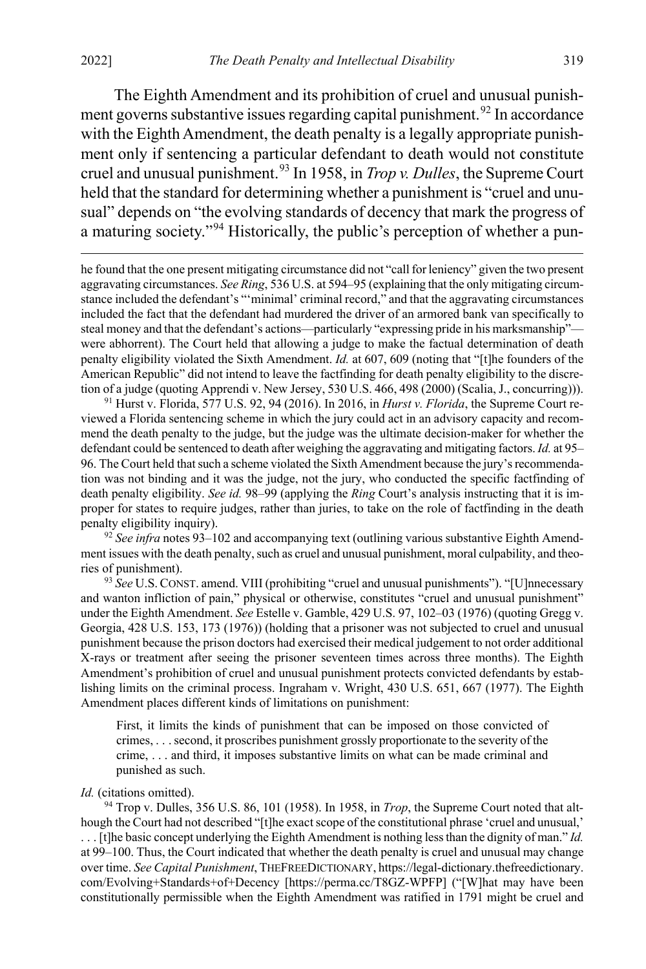$\overline{a}$ 

<span id="page-19-0"></span>The Eighth Amendment and its prohibition of cruel and unusual punish-ment governs substantive issues regarding capital punishment.<sup>[92](#page-19-1)</sup> In accordance with the Eighth Amendment, the death penalty is a legally appropriate punishment only if sentencing a particular defendant to death would not constitute cruel and unusual punishment.[93](#page-19-2) In 1958, in *Trop v. Dulles*, the Supreme Court held that the standard for determining whether a punishment is "cruel and unusual" depends on "the evolving standards of decency that mark the progress of a maturing society."[94](#page-19-3) Historically, the public's perception of whether a pun-

he found that the one present mitigating circumstance did not "call for leniency" given the two present aggravating circumstances. *See Ring*, 536 U.S. at 594–95 (explaining that the only mitigating circumstance included the defendant's "'minimal' criminal record," and that the aggravating circumstances included the fact that the defendant had murdered the driver of an armored bank van specifically to steal money and that the defendant's actions—particularly "expressing pride in his marksmanship" were abhorrent). The Court held that allowing a judge to make the factual determination of death penalty eligibility violated the Sixth Amendment. *Id.* at 607, 609 (noting that "[t]he founders of the American Republic" did not intend to leave the factfinding for death penalty eligibility to the discretion of a judge (quoting Apprendi v. New Jersey, 530 U.S. 466, 498 (2000) (Scalia, J., concurring))).

<sup>91</sup> Hurst v. Florida, 577 U.S. 92, 94 (2016). In 2016, in *Hurst v. Florida*, the Supreme Court reviewed a Florida sentencing scheme in which the jury could act in an advisory capacity and recommend the death penalty to the judge, but the judge was the ultimate decision-maker for whether the defendant could be sentenced to death after weighing the aggravating and mitigating factors. *Id.* at 95– 96. The Court held that such a scheme violated the Sixth Amendment because the jury's recommendation was not binding and it was the judge, not the jury, who conducted the specific factfinding of death penalty eligibility. *See id.* 98–99 (applying the *Ring* Court's analysis instructing that it is improper for states to require judges, rather than juries, to take on the role of factfinding in the death penalty eligibility inquiry).

<span id="page-19-1"></span><sup>92</sup> *See infra* note[s 93](#page-19-0)[–102](#page-21-0) and accompanying text (outlining various substantive Eighth Amendment issues with the death penalty, such as cruel and unusual punishment, moral culpability, and theories of punishment).

<span id="page-19-2"></span><sup>93</sup> *See* U.S.CONST. amend. VIII (prohibiting "cruel and unusual punishments"). "[U]nnecessary and wanton infliction of pain," physical or otherwise, constitutes "cruel and unusual punishment" under the Eighth Amendment. *See* Estelle v. Gamble, 429 U.S. 97, 102–03 (1976) (quoting Gregg v. Georgia, 428 U.S. 153, 173 (1976)) (holding that a prisoner was not subjected to cruel and unusual punishment because the prison doctors had exercised their medical judgement to not order additional X-rays or treatment after seeing the prisoner seventeen times across three months). The Eighth Amendment's prohibition of cruel and unusual punishment protects convicted defendants by establishing limits on the criminal process. Ingraham v. Wright, 430 U.S. 651, 667 (1977). The Eighth Amendment places different kinds of limitations on punishment:

First, it limits the kinds of punishment that can be imposed on those convicted of crimes, . . . second, it proscribes punishment grossly proportionate to the severity of the crime, . . . and third, it imposes substantive limits on what can be made criminal and punished as such.

#### *Id.* (citations omitted).

<span id="page-19-3"></span><sup>94</sup> Trop v. Dulles, 356 U.S. 86, 101 (1958). In 1958, in *Trop*, the Supreme Court noted that although the Court had not described "[t]he exact scope of the constitutional phrase 'cruel and unusual,' . . . [t]he basic concept underlying the Eighth Amendment is nothing less than the dignity of man." *Id.* at 99–100. Thus, the Court indicated that whether the death penalty is cruel and unusual may change over time. *See Capital Punishment*, THEFREEDICTIONARY, https://legal-dictionary.thefreedictionary. com/Evolving+Standards+of+Decency [https://perma.cc/T8GZ-WPFP] ("[W]hat may have been constitutionally permissible when the Eighth Amendment was ratified in 1791 might be cruel and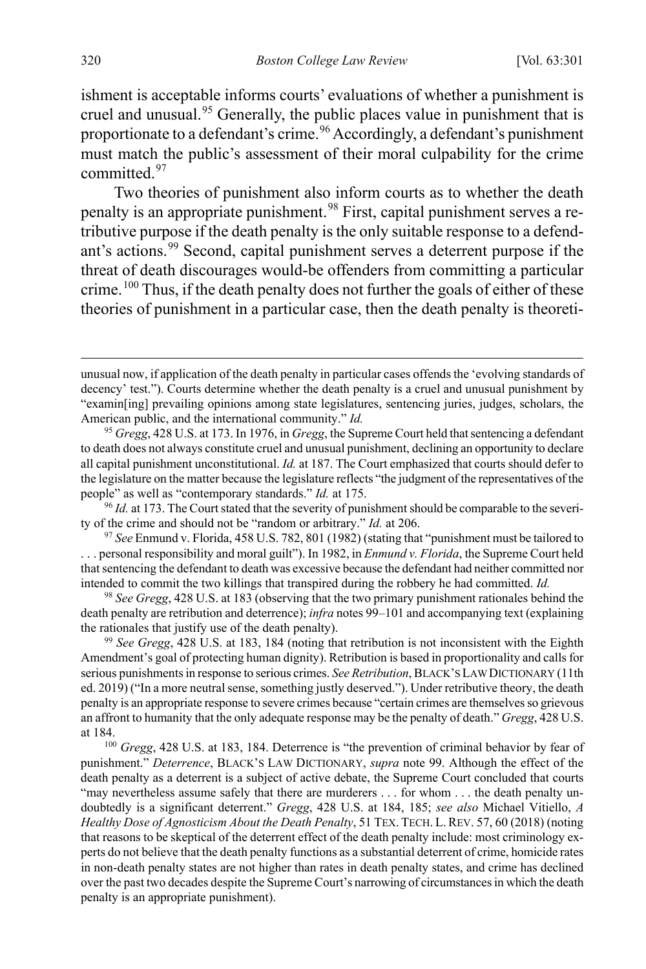ishment is acceptable informs courts' evaluations of whether a punishment is cruel and unusual.<sup>[95](#page-20-1)</sup> Generally, the public places value in punishment that is proportionate to a defendant's crime.<sup>[96](#page-20-2)</sup> Accordingly, a defendant's punishment must match the public's assessment of their moral culpability for the crime committed.<sup>[97](#page-20-3)</sup>

<span id="page-20-0"></span>Two theories of punishment also inform courts as to whether the death penalty is an appropriate punishment.<sup>[98](#page-20-4)</sup> First, capital punishment serves a retributive purpose if the death penalty is the only suitable response to a defendant's actions.[99](#page-20-5) Second, capital punishment serves a deterrent purpose if the threat of death discourages would-be offenders from committing a particular crime.<sup>[100](#page-20-6)</sup> Thus, if the death penalty does not further the goals of either of these theories of punishment in a particular case, then the death penalty is theoreti-

<span id="page-20-2"></span><sup>96</sup> *Id.* at 173. The Court stated that the severity of punishment should be comparable to the severity of the crime and should not be "random or arbitrary." *Id.* at 206.

<span id="page-20-3"></span><sup>97</sup> *See* Enmund v. Florida, 458 U.S. 782, 801 (1982) (stating that "punishment must be tailored to . . . personal responsibility and moral guilt"). In 1982, in *Enmund v. Florida*, the Supreme Court held that sentencing the defendant to death was excessive because the defendant had neither committed nor intended to commit the two killings that transpired during the robbery he had committed. *Id.*

<span id="page-20-4"></span><sup>98</sup> *See Gregg*, 428 U.S. at 183 (observing that the two primary punishment rationales behind the death penalty are retribution and deterrence); *infra* note[s 99](#page-20-0)[–101](#page-21-2) and accompanying text (explaining the rationales that justify use of the death penalty).

<span id="page-20-5"></span><sup>99</sup> *See Gregg*, 428 U.S. at 183, 184 (noting that retribution is not inconsistent with the Eighth Amendment's goal of protecting human dignity). Retribution is based in proportionality and calls for serious punishments in response to serious crimes. *See Retribution*, BLACK'S LAW DICTIONARY (11th ed. 2019) ("In a more neutral sense, something justly deserved."). Under retributive theory, the death penalty is an appropriate response to severe crimes because "certain crimes are themselves so grievous an affront to humanity that the only adequate response may be the penalty of death." *Gregg*, 428 U.S. at 184.

<span id="page-20-6"></span><sup>100</sup> *Gregg*, 428 U.S. at 183, 184. Deterrence is "the prevention of criminal behavior by fear of punishment." *Deterrence*, BLACK'S LAW DICTIONARY, *supra* note [99.](#page-20-0) Although the effect of the death penalty as a deterrent is a subject of active debate, the Supreme Court concluded that courts "may nevertheless assume safely that there are murderers . . . for whom . . . the death penalty undoubtedly is a significant deterrent." *Gregg*, 428 U.S. at 184, 185; *see also* Michael Vitiello, *A Healthy Dose of Agnosticism About the Death Penalty*, 51 TEX. TECH. L. REV. 57, 60 (2018) (noting that reasons to be skeptical of the deterrent effect of the death penalty include: most criminology experts do not believe that the death penalty functions as a substantial deterrent of crime, homicide rates in non-death penalty states are not higher than rates in death penalty states, and crime has declined over the past two decades despite the Supreme Court's narrowing of circumstances in which the death penalty is an appropriate punishment).

unusual now, if application of the death penalty in particular cases offends the 'evolving standards of decency' test."). Courts determine whether the death penalty is a cruel and unusual punishment by "examin[ing] prevailing opinions among state legislatures, sentencing juries, judges, scholars, the American public, and the international community." *Id.*

<span id="page-20-1"></span><sup>95</sup> *Gregg*, 428 U.S. at 173. In 1976, in *Gregg*, the Supreme Court held that sentencing a defendant to death does not always constitute cruel and unusual punishment, declining an opportunity to declare all capital punishment unconstitutional. *Id.* at 187. The Court emphasized that courts should defer to the legislature on the matter because the legislature reflects "the judgment of the representatives of the people" as well as "contemporary standards." *Id.* at 175.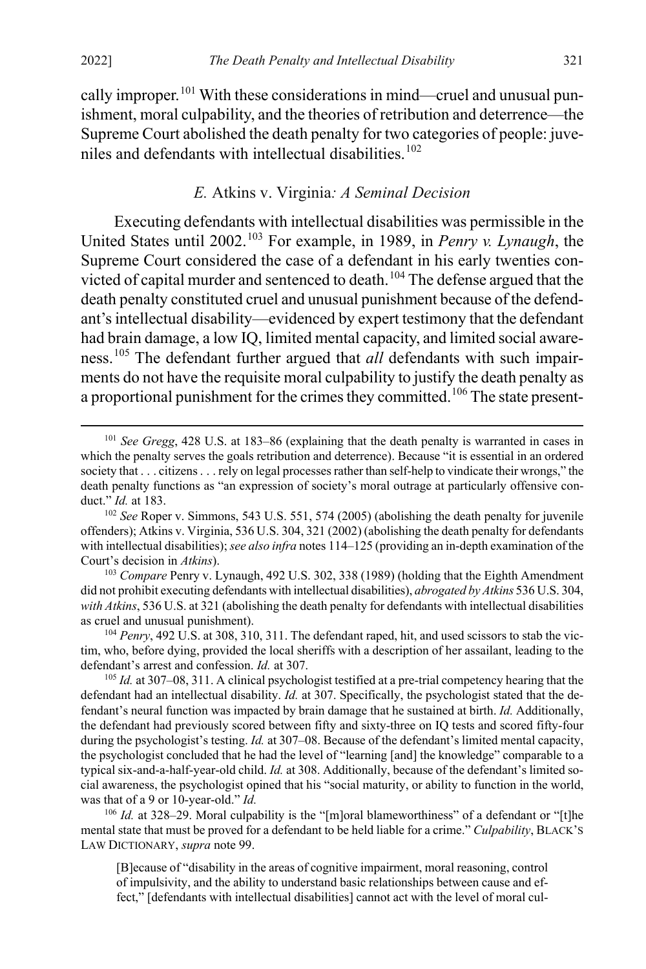<span id="page-21-2"></span>cally improper.<sup>[101](#page-21-3)</sup> With these considerations in mind—cruel and unusual punishment, moral culpability, and the theories of retribution and deterrence—the Supreme Court abolished the death penalty for two categories of people: juve-niles and defendants with intellectual disabilities.<sup>[102](#page-21-4)</sup>

#### <span id="page-21-1"></span><span id="page-21-0"></span>*E.* Atkins v. Virginia*: A Seminal Decision*

Executing defendants with intellectual disabilities was permissible in the United States until 2002.[103](#page-21-5) For example, in 1989, in *Penry v. Lynaugh*, the Supreme Court considered the case of a defendant in his early twenties convicted of capital murder and sentenced to death.[104](#page-21-6) The defense argued that the death penalty constituted cruel and unusual punishment because of the defendant's intellectual disability—evidenced by expert testimony that the defendant had brain damage, a low IQ, limited mental capacity, and limited social aware-ness.<sup>[105](#page-21-7)</sup> The defendant further argued that *all* defendants with such impairments do not have the requisite moral culpability to justify the death penalty as a proportional punishment for the crimes they committed.<sup>[106](#page-21-8)</sup> The state present-

<span id="page-21-3"></span> <sup>101</sup> *See Gregg*, 428 U.S. at 183–86 (explaining that the death penalty is warranted in cases in which the penalty serves the goals retribution and deterrence). Because "it is essential in an ordered society that . . . citizens . . . rely on legal processes rather than self-help to vindicate their wrongs," the death penalty functions as "an expression of society's moral outrage at particularly offensive conduct." *Id.* at 183.

<span id="page-21-4"></span><sup>102</sup> *See* Roper v. Simmons, 543 U.S. 551, 574 (2005) (abolishing the death penalty for juvenile offenders); Atkins v. Virginia, 536 U.S. 304, 321 (2002) (abolishing the death penalty for defendants with intellectual disabilities); *see also infra* note[s 114](#page-23-0)[–125](#page-25-0) (providing an in-depth examination of the Court's decision in *Atkins*).

<span id="page-21-5"></span><sup>103</sup> *Compare* Penry v. Lynaugh, 492 U.S. 302, 338 (1989) (holding that the Eighth Amendment did not prohibit executing defendants with intellectual disabilities), *abrogated by Atkins* 536 U.S. 304, *with Atkins*, 536 U.S. at 321 (abolishing the death penalty for defendants with intellectual disabilities as cruel and unusual punishment).

<span id="page-21-6"></span><sup>104</sup> *Penry*, 492 U.S. at 308, 310, 311. The defendant raped, hit, and used scissors to stab the victim, who, before dying, provided the local sheriffs with a description of her assailant, leading to the defendant's arrest and confession. *Id.* at 307.

<span id="page-21-7"></span><sup>105</sup> *Id.* at 307–08, 311. A clinical psychologist testified at a pre-trial competency hearing that the defendant had an intellectual disability. *Id.* at 307. Specifically, the psychologist stated that the defendant's neural function was impacted by brain damage that he sustained at birth. *Id.* Additionally, the defendant had previously scored between fifty and sixty-three on IQ tests and scored fifty-four during the psychologist's testing. *Id.* at 307–08. Because of the defendant's limited mental capacity, the psychologist concluded that he had the level of "learning [and] the knowledge" comparable to a typical six-and-a-half-year-old child. *Id.* at 308. Additionally, because of the defendant's limited social awareness, the psychologist opined that his "social maturity, or ability to function in the world, was that of a 9 or 10-year-old." *Id.*

<span id="page-21-8"></span><sup>&</sup>lt;sup>106</sup> *Id.* at 328–29. Moral culpability is the "[m]oral blameworthiness" of a defendant or "[t]he mental state that must be proved for a defendant to be held liable for a crime." *Culpability*, BLACK'S LAW DICTIONARY, *supra* not[e 99.](#page-20-0)

<sup>[</sup>B]ecause of "disability in the areas of cognitive impairment, moral reasoning, control of impulsivity, and the ability to understand basic relationships between cause and effect," [defendants with intellectual disabilities] cannot act with the level of moral cul-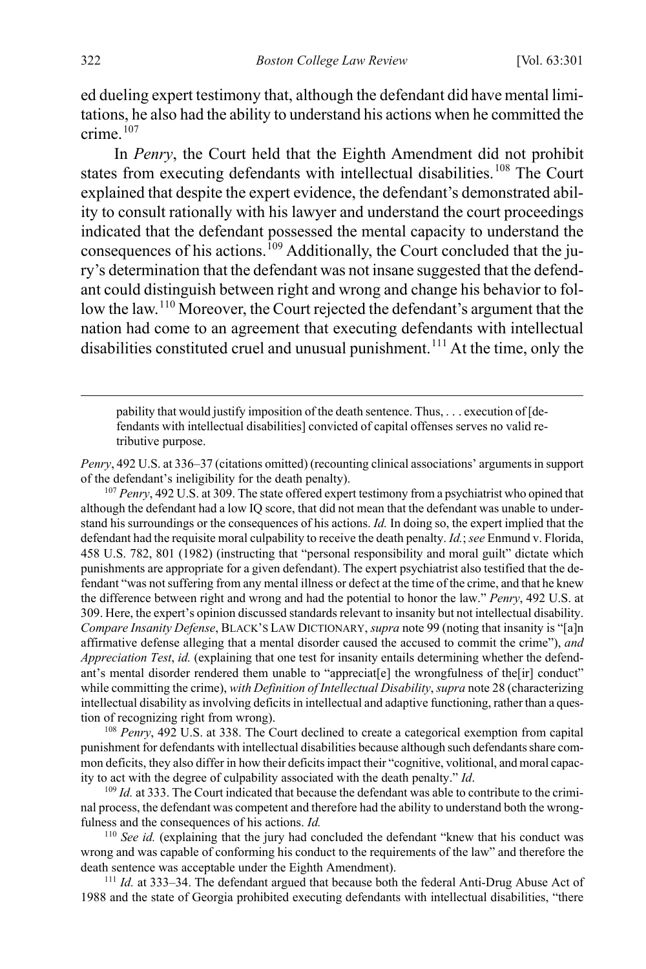ed dueling expert testimony that, although the defendant did have mental limitations, he also had the ability to understand his actions when he committed the  $c$ rime. $107$ 

In *Penry*, the Court held that the Eighth Amendment did not prohibit states from executing defendants with intellectual disabilities.<sup>[108](#page-22-1)</sup> The Court explained that despite the expert evidence, the defendant's demonstrated ability to consult rationally with his lawyer and understand the court proceedings indicated that the defendant possessed the mental capacity to understand the consequences of his actions.<sup>[109](#page-22-2)</sup> Additionally, the Court concluded that the jury's determination that the defendant was not insane suggested that the defendant could distinguish between right and wrong and change his behavior to follow the law.[110](#page-22-3) Moreover, the Court rejected the defendant's argument that the nation had come to an agreement that executing defendants with intellectual disabilities constituted cruel and unusual punishment.<sup>[111](#page-22-4)</sup> At the time, only the

 pability that would justify imposition of the death sentence. Thus, . . . execution of [defendants with intellectual disabilities] convicted of capital offenses serves no valid retributive purpose.

*Penry*, 492 U.S. at 336–37 (citations omitted) (recounting clinical associations' arguments in support of the defendant's ineligibility for the death penalty).

<span id="page-22-0"></span><sup>107</sup> *Penry*, 492 U.S. at 309. The state offered expert testimony from a psychiatrist who opined that although the defendant had a low IQ score, that did not mean that the defendant was unable to understand his surroundings or the consequences of his actions. *Id.* In doing so, the expert implied that the defendant had the requisite moral culpability to receive the death penalty. *Id.*; *see* Enmund v. Florida, 458 U.S. 782, 801 (1982) (instructing that "personal responsibility and moral guilt" dictate which punishments are appropriate for a given defendant). The expert psychiatrist also testified that the defendant "was not suffering from any mental illness or defect at the time of the crime, and that he knew the difference between right and wrong and had the potential to honor the law." *Penry*, 492 U.S. at 309. Here, the expert's opinion discussed standards relevant to insanity but not intellectual disability. *Compare Insanity Defense*, BLACK'S LAW DICTIONARY, *supra* not[e 99](#page-20-0) (noting that insanity is "[a]n affirmative defense alleging that a mental disorder caused the accused to commit the crime"), *and Appreciation Test*, *id.* (explaining that one test for insanity entails determining whether the defendant's mental disorder rendered them unable to "appreciat[e] the wrongfulness of the[ir] conduct" while committing the crime), *with Definition of Intellectual Disability*, *supra* not[e 28 \(](#page-6-0)characterizing intellectual disability as involving deficits in intellectual and adaptive functioning, rather than a question of recognizing right from wrong).<br><sup>108</sup> *Penry*, 492 U.S. at 338. The Court declined to create a categorical exemption from capital

<span id="page-22-1"></span>punishment for defendants with intellectual disabilities because although such defendants share common deficits, they also differ in how their deficits impact their "cognitive, volitional, and moral capacity to act with the degree of culpability associated with the death penalty." *Id*.<br><sup>109</sup> *Id.* at 333. The Court indicated that because the defendant was able to contribute to the crimi-

<span id="page-22-2"></span>nal process, the defendant was competent and therefore had the ability to understand both the wrongfulness and the consequences of his actions. *Id.*

<span id="page-22-3"></span><sup>110</sup> See id. (explaining that the jury had concluded the defendant "knew that his conduct was wrong and was capable of conforming his conduct to the requirements of the law" and therefore the death sentence was acceptable under the Eighth Amendment).

<span id="page-22-4"></span><sup>111</sup> *Id.* at 333–34. The defendant argued that because both the federal Anti-Drug Abuse Act of 1988 and the state of Georgia prohibited executing defendants with intellectual disabilities, "there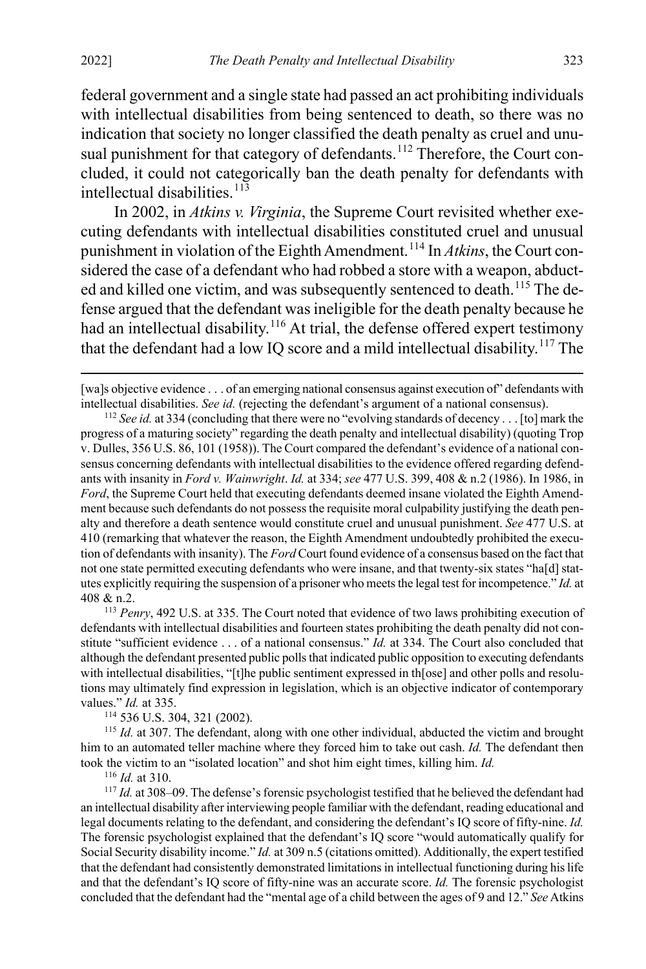federal government and a single state had passed an act prohibiting individuals with intellectual disabilities from being sentenced to death, so there was no indication that society no longer classified the death penalty as cruel and unu-sual punishment for that category of defendants.<sup>[112](#page-23-1)</sup> Therefore, the Court concluded, it could not categorically ban the death penalty for defendants with intellectual disabilities. $113$ 

<span id="page-23-0"></span>In 2002, in *Atkins v. Virginia*, the Supreme Court revisited whether executing defendants with intellectual disabilities constituted cruel and unusual punishment in violation of the Eighth Amendment.[114](#page-23-3) In *Atkins*, the Court considered the case of a defendant who had robbed a store with a weapon, abduct-ed and killed one victim, and was subsequently sentenced to death.<sup>[115](#page-23-4)</sup> The defense argued that the defendant was ineligible for the death penalty because he had an intellectual disability.<sup>[116](#page-23-5)</sup> At trial, the defense offered expert testimony that the defendant had a low IQ score and a mild intellectual disability.<sup>[117](#page-23-6)</sup> The

<span id="page-23-1"></span><sup>112</sup> *See id.* at 334 (concluding that there were no "evolving standards of decency . . . [to] mark the progress of a maturing society" regarding the death penalty and intellectual disability) (quoting Trop v. Dulles, 356 U.S. 86, 101 (1958)). The Court compared the defendant's evidence of a national consensus concerning defendants with intellectual disabilities to the evidence offered regarding defendants with insanity in *Ford v. Wainwright*. *Id.* at 334; *see* 477 U.S. 399, 408 & n.2 (1986). In 1986, in *Ford*, the Supreme Court held that executing defendants deemed insane violated the Eighth Amendment because such defendants do not possess the requisite moral culpability justifying the death penalty and therefore a death sentence would constitute cruel and unusual punishment. *See* 477 U.S. at 410 (remarking that whatever the reason, the Eighth Amendment undoubtedly prohibited the execution of defendants with insanity). The *Ford* Court found evidence of a consensus based on the fact that not one state permitted executing defendants who were insane, and that twenty-six states "ha[d] statutes explicitly requiring the suspension of a prisoner who meets the legal test for incompetence." *Id.* at 408 & n.2.

<span id="page-23-2"></span><sup>113</sup> *Penry*, 492 U.S. at 335. The Court noted that evidence of two laws prohibiting execution of defendants with intellectual disabilities and fourteen states prohibiting the death penalty did not constitute "sufficient evidence . . . of a national consensus." *Id.* at 334. The Court also concluded that although the defendant presented public polls that indicated public opposition to executing defendants with intellectual disabilities, "[t]he public sentiment expressed in th[ose] and other polls and resolutions may ultimately find expression in legislation, which is an objective indicator of contemporary values." *Id.* at 335.

<span id="page-23-4"></span><span id="page-23-3"></span><sup>114</sup> 536 U.S. 304, 321 (2002).<br><sup>115</sup> *Id.* at 307. The defendant, along with one other individual, abducted the victim and brought him to an automated teller machine where they forced him to take out cash. *Id.* The defendant then took the victim to an "isolated location" and shot him eight times, killing him. *Id.*

<sup>116</sup> *Id.* at 310.

<span id="page-23-6"></span><span id="page-23-5"></span><sup>117</sup> *Id.* at 308–09. The defense's forensic psychologist testified that he believed the defendant had an intellectual disability after interviewing people familiar with the defendant, reading educational and legal documents relating to the defendant, and considering the defendant's IQ score of fifty-nine. *Id.* The forensic psychologist explained that the defendant's IQ score "would automatically qualify for Social Security disability income." *Id.* at 309 n.5 (citations omitted). Additionally, the expert testified that the defendant had consistently demonstrated limitations in intellectual functioning during his life and that the defendant's IQ score of fifty-nine was an accurate score. *Id.* The forensic psychologist concluded that the defendant had the "mental age of a child between the ages of 9 and 12." *See* Atkins

<sup>[</sup>wa]s objective evidence . . . of an emerging national consensus against execution of" defendants with intellectual disabilities. *See id.* (rejecting the defendant's argument of a national consensus).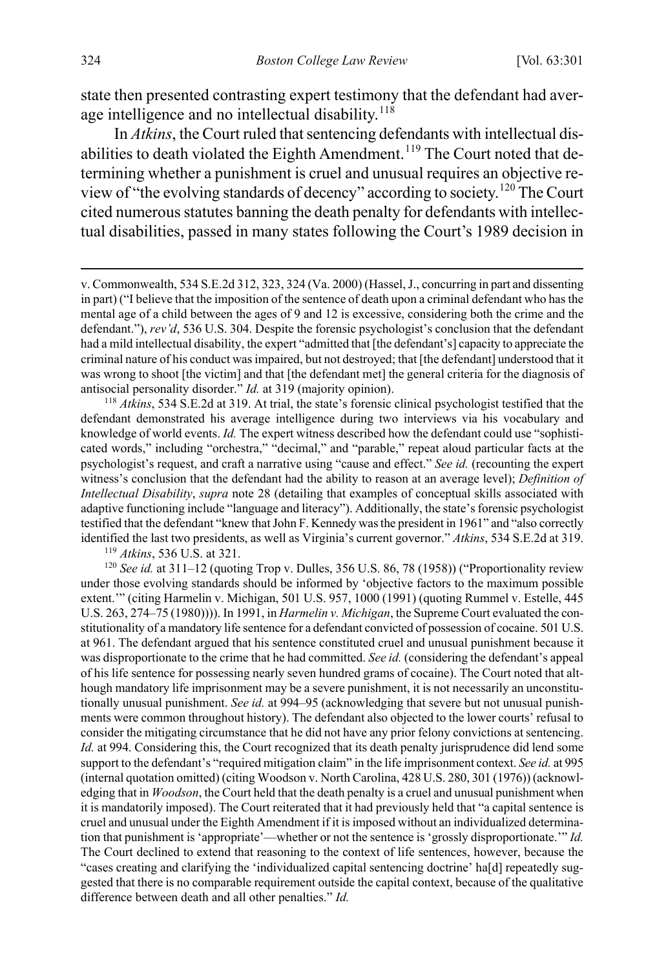state then presented contrasting expert testimony that the defendant had average intelligence and no intellectual disability. $118$ 

In *Atkins*, the Court ruled that sentencing defendants with intellectual dis-abilities to death violated the Eighth Amendment.<sup>[119](#page-24-1)</sup> The Court noted that determining whether a punishment is cruel and unusual requires an objective review of "the evolving standards of decency" according to society.[120](#page-24-2) The Court cited numerous statutes banning the death penalty for defendants with intellectual disabilities, passed in many states following the Court's 1989 decision in

<span id="page-24-0"></span><sup>118</sup> *Atkins*, 534 S.E.2d at 319. At trial, the state's forensic clinical psychologist testified that the defendant demonstrated his average intelligence during two interviews via his vocabulary and knowledge of world events. *Id.* The expert witness described how the defendant could use "sophisticated words," including "orchestra," "decimal," and "parable," repeat aloud particular facts at the psychologist's request, and craft a narrative using "cause and effect." *See id.* (recounting the expert witness's conclusion that the defendant had the ability to reason at an average level); *Definition of Intellectual Disability*, *supra* note [28](#page-6-0) (detailing that examples of conceptual skills associated with adaptive functioning include "language and literacy"). Additionally, the state's forensic psychologist testified that the defendant "knew that John F. Kennedy was the president in 1961" and "also correctly identified the last two presidents, as well as Virginia's current governor." *Atkins*, 534 S.E.2d at 319.

<sup>119</sup> *Atkins*, 536 U.S. at 321.

<span id="page-24-2"></span><span id="page-24-1"></span><sup>120</sup> See id. at 311-12 (quoting Trop v. Dulles, 356 U.S. 86, 78 (1958)) ("Proportionality review under those evolving standards should be informed by 'objective factors to the maximum possible extent.'" (citing Harmelin v. Michigan, 501 U.S. 957, 1000 (1991) (quoting Rummel v. Estelle, 445 U.S. 263, 274–75 (1980)))). In 1991, in *Harmelin v. Michigan*, the Supreme Court evaluated the constitutionality of a mandatory life sentence for a defendant convicted of possession of cocaine. 501 U.S. at 961. The defendant argued that his sentence constituted cruel and unusual punishment because it was disproportionate to the crime that he had committed. *See id.* (considering the defendant's appeal of his life sentence for possessing nearly seven hundred grams of cocaine). The Court noted that although mandatory life imprisonment may be a severe punishment, it is not necessarily an unconstitutionally unusual punishment. *See id.* at 994–95 (acknowledging that severe but not unusual punishments were common throughout history). The defendant also objected to the lower courts' refusal to consider the mitigating circumstance that he did not have any prior felony convictions at sentencing. *Id.* at 994. Considering this, the Court recognized that its death penalty jurisprudence did lend some support to the defendant's "required mitigation claim" in the life imprisonment context. *See id.* at 995 (internal quotation omitted) (citing Woodson v. North Carolina, 428 U.S. 280, 301 (1976)) (acknowledging that in *Woodson*, the Court held that the death penalty is a cruel and unusual punishment when it is mandatorily imposed). The Court reiterated that it had previously held that "a capital sentence is cruel and unusual under the Eighth Amendment if it is imposed without an individualized determination that punishment is 'appropriate'—whether or not the sentence is 'grossly disproportionate.'" *Id.* The Court declined to extend that reasoning to the context of life sentences, however, because the "cases creating and clarifying the 'individualized capital sentencing doctrine' ha[d] repeatedly suggested that there is no comparable requirement outside the capital context, because of the qualitative difference between death and all other penalties." *Id.*

v. Commonwealth, 534 S.E.2d 312, 323, 324 (Va. 2000) (Hassel, J., concurring in part and dissenting in part) ("I believe that the imposition of the sentence of death upon a criminal defendant who has the mental age of a child between the ages of 9 and 12 is excessive, considering both the crime and the defendant."), *rev'd*, 536 U.S. 304. Despite the forensic psychologist's conclusion that the defendant had a mild intellectual disability, the expert "admitted that [the defendant's] capacity to appreciate the criminal nature of his conduct was impaired, but not destroyed; that [the defendant] understood that it was wrong to shoot [the victim] and that [the defendant met] the general criteria for the diagnosis of antisocial personality disorder." *Id.* at 319 (majority opinion).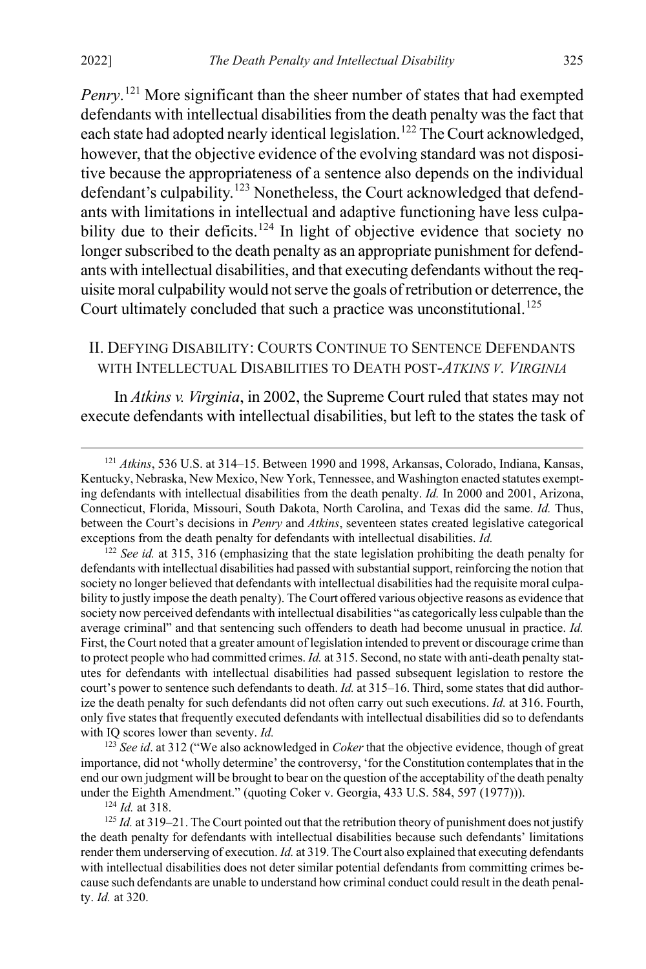*Penry*. [121](#page-25-1) More significant than the sheer number of states that had exempted defendants with intellectual disabilities from the death penalty was the fact that each state had adopted nearly identical legislation.<sup>[122](#page-25-2)</sup> The Court acknowledged, however, that the objective evidence of the evolving standard was not dispositive because the appropriateness of a sentence also depends on the individual defendant's culpability.<sup>[123](#page-25-3)</sup> Nonetheless, the Court acknowledged that defendants with limitations in intellectual and adaptive functioning have less culpa-bility due to their deficits.<sup>[124](#page-25-4)</sup> In light of objective evidence that society no longer subscribed to the death penalty as an appropriate punishment for defendants with intellectual disabilities, and that executing defendants without the requisite moral culpability would not serve the goals of retribution or deterrence, the Court ultimately concluded that such a practice was unconstitutional.<sup>[125](#page-25-5)</sup>

#### <span id="page-25-0"></span>II. DEFYING DISABILITY: COURTS CONTINUE TO SENTENCE DEFENDANTS WITH INTELLECTUAL DISABILITIES TO DEATH POST-*ATKINS V. VIRGINIA*

In *Atkins v. Virginia*, in 2002, the Supreme Court ruled that states may not execute defendants with intellectual disabilities, but left to the states the task of

<span id="page-25-3"></span><sup>123</sup> *See id*. at 312 ("We also acknowledged in *Coker* that the objective evidence, though of great importance, did not 'wholly determine' the controversy, 'for the Constitution contemplates that in the end our own judgment will be brought to bear on the question of the acceptability of the death penalty under the Eighth Amendment." (quoting Coker v. Georgia, 433 U.S. 584, 597 (1977))).

<sup>124</sup> *Id.* at 318.

<span id="page-25-1"></span> <sup>121</sup> *Atkins*, 536 U.S. at 314–15. Between 1990 and 1998, Arkansas, Colorado, Indiana, Kansas, Kentucky, Nebraska, New Mexico, New York, Tennessee, and Washington enacted statutes exempting defendants with intellectual disabilities from the death penalty. *Id.* In 2000 and 2001, Arizona, Connecticut, Florida, Missouri, South Dakota, North Carolina, and Texas did the same. *Id.* Thus, between the Court's decisions in *Penry* and *Atkins*, seventeen states created legislative categorical exceptions from the death penalty for defendants with intellectual disabilities. *Id.*

<span id="page-25-2"></span><sup>&</sup>lt;sup>122</sup> *See id.* at 315, 316 (emphasizing that the state legislation prohibiting the death penalty for defendants with intellectual disabilities had passed with substantial support, reinforcing the notion that society no longer believed that defendants with intellectual disabilities had the requisite moral culpability to justly impose the death penalty). The Court offered various objective reasons as evidence that society now perceived defendants with intellectual disabilities "as categorically less culpable than the average criminal" and that sentencing such offenders to death had become unusual in practice. *Id.* First, the Court noted that a greater amount of legislation intended to prevent or discourage crime than to protect people who had committed crimes. *Id.* at 315. Second, no state with anti-death penalty statutes for defendants with intellectual disabilities had passed subsequent legislation to restore the court's power to sentence such defendants to death. *Id.* at 315–16. Third, some states that did authorize the death penalty for such defendants did not often carry out such executions. *Id.* at 316. Fourth, only five states that frequently executed defendants with intellectual disabilities did so to defendants with IQ scores lower than seventy. *Id.*

<span id="page-25-5"></span><span id="page-25-4"></span><sup>&</sup>lt;sup>125</sup> *Id.* at 319–21. The Court pointed out that the retribution theory of punishment does not justify the death penalty for defendants with intellectual disabilities because such defendants' limitations render them underserving of execution. *Id.* at 319. The Court also explained that executing defendants with intellectual disabilities does not deter similar potential defendants from committing crimes because such defendants are unable to understand how criminal conduct could result in the death penalty. *Id.* at 320.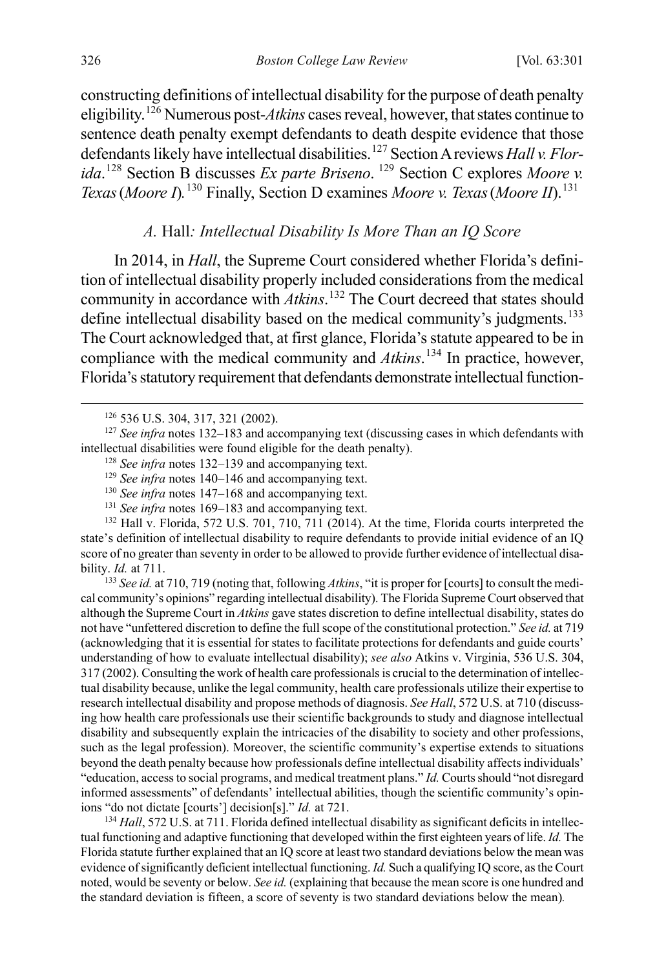<span id="page-26-0"></span>constructing definitions of intellectual disability for the purpose of death penalty eligibility.[126](#page-26-2) Numerous post-*Atkins* cases reveal, however, that states continue to sentence death penalty exempt defendants to death despite evidence that those defendants likely have intellectual disabilities.[127](#page-26-3) Section A reviews *Hall v. Florida*. [128](#page-26-4) Section B discusses *Ex parte Briseno*. [129](#page-26-5) Section C explores *Moore v. Texas* (*Moore I*).<sup>[130](#page-26-6)</sup> Finally, Section D examines *Moore v. Texas* (*Moore II*).<sup>[131](#page-26-7)</sup>

#### <span id="page-26-11"></span><span id="page-26-1"></span>*A.* Hall*: Intellectual Disability Is More Than an IQ Score*

In 2014, in *Hall*, the Supreme Court considered whether Florida's definition of intellectual disability properly included considerations from the medical community in accordance with *Atkins*. [132](#page-26-8) The Court decreed that states should define intellectual disability based on the medical community's judgments.<sup>[133](#page-26-9)</sup> The Court acknowledged that, at first glance, Florida's statute appeared to be in compliance with the medical community and *Atkins*. [134](#page-26-10) In practice, however, Florida's statutory requirement that defendants demonstrate intellectual function-

<span id="page-26-5"></span><span id="page-26-4"></span><span id="page-26-3"></span><span id="page-26-2"></span><sup>127</sup> *See infra* note[s 132](#page-26-1)[–183](#page-37-0) and accompanying text (discussing cases in which defendants with intellectual disabilities were found eligible for the death penalty).

- <sup>128</sup> *See infra* notes [132–](#page-26-1)[139](#page-27-0) and accompanying text.
- <sup>129</sup> *See infra* notes [140–](#page-28-0)[146](#page-30-0) and accompanying text.
- <sup>130</sup> *See infra* notes [147–](#page-30-1)[168](#page-33-0) and accompanying text.
- <sup>131</sup> *See infra* notes [169–](#page-34-0)[183](#page-37-0) and accompanying text.

<span id="page-26-8"></span><span id="page-26-7"></span><span id="page-26-6"></span><sup>132</sup> Hall v. Florida, 572 U.S. 701, 710, 711 (2014). At the time, Florida courts interpreted the state's definition of intellectual disability to require defendants to provide initial evidence of an IQ score of no greater than seventy in order to be allowed to provide further evidence of intellectual disability. *Id.* at 711.

<span id="page-26-9"></span><sup>133</sup> *See id.* at 710, 719 (noting that, following *Atkins*, "it is proper for [courts] to consult the medical community's opinions" regarding intellectual disability). The Florida Supreme Court observed that although the Supreme Court in *Atkins* gave states discretion to define intellectual disability, states do not have "unfettered discretion to define the full scope of the constitutional protection." *See id.* at 719 (acknowledging that it is essential for states to facilitate protections for defendants and guide courts' understanding of how to evaluate intellectual disability); *see also* Atkins v. Virginia, 536 U.S. 304, 317 (2002). Consulting the work of health care professionals is crucial to the determination of intellectual disability because, unlike the legal community, health care professionals utilize their expertise to research intellectual disability and propose methods of diagnosis. *See Hall*, 572 U.S. at 710 (discussing how health care professionals use their scientific backgrounds to study and diagnose intellectual disability and subsequently explain the intricacies of the disability to society and other professions, such as the legal profession). Moreover, the scientific community's expertise extends to situations beyond the death penalty because how professionals define intellectual disability affects individuals' "education, access to social programs, and medical treatment plans." *Id.* Courts should "not disregard informed assessments" of defendants' intellectual abilities, though the scientific community's opinions "do not dictate [courts'] decision[s]." *Id.* at 721.<br><sup>134</sup> *Hall*, 572 U.S. at 711. Florida defined intellectual disability as significant deficits in intellec-

<span id="page-26-10"></span>tual functioning and adaptive functioning that developed within the first eighteen years of life. *Id.* The Florida statute further explained that an IQ score at least two standard deviations below the mean was evidence of significantly deficient intellectual functioning. *Id.* Such a qualifying IQ score, as the Court noted, would be seventy or below. *See id.* (explaining that because the mean score is one hundred and the standard deviation is fifteen, a score of seventy is two standard deviations below the mean)*.*

 <sup>126</sup> 536 U.S. 304, 317, 321 (2002).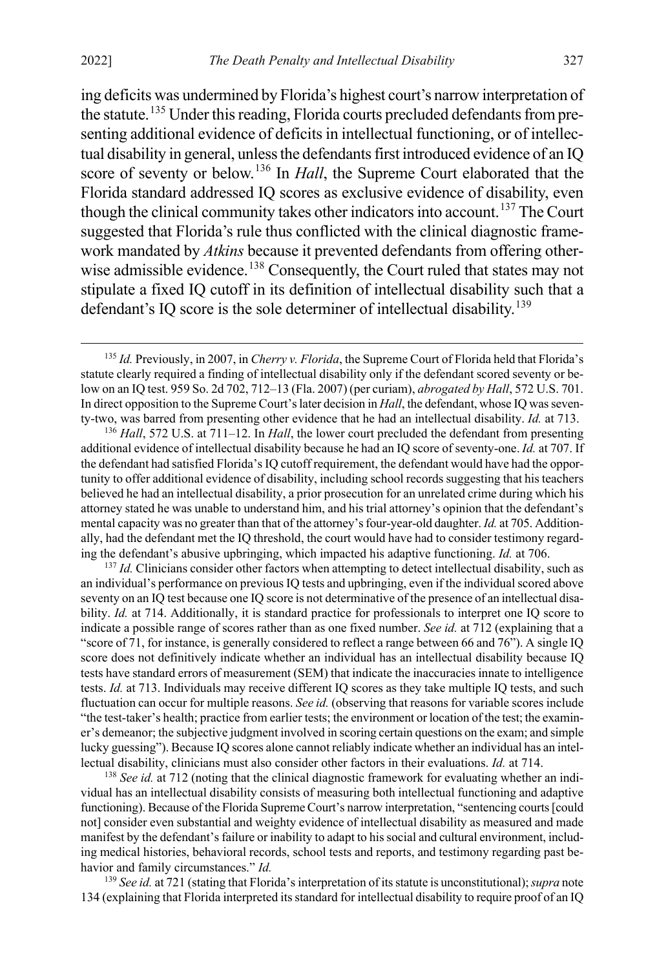ing deficits was undermined by Florida's highest court's narrow interpretation of the statute.<sup>[135](#page-27-1)</sup> Under this reading, Florida courts precluded defendants from presenting additional evidence of deficits in intellectual functioning, or of intellectual disability in general, unless the defendants first introduced evidence of an IQ score of seventy or below.[136](#page-27-2) In *Hall*, the Supreme Court elaborated that the Florida standard addressed IQ scores as exclusive evidence of disability, even though the clinical community takes other indicators into account.<sup>[137](#page-27-3)</sup> The Court suggested that Florida's rule thus conflicted with the clinical diagnostic framework mandated by *Atkins* because it prevented defendants from offering other-wise admissible evidence.<sup>[138](#page-27-4)</sup> Consequently, the Court ruled that states may not stipulate a fixed IQ cutoff in its definition of intellectual disability such that a defendant's IQ score is the sole determiner of intellectual disability.<sup>[139](#page-27-5)</sup>

<span id="page-27-3"></span><sup>137</sup> *Id.* Clinicians consider other factors when attempting to detect intellectual disability, such as an individual's performance on previous IQ tests and upbringing, even if the individual scored above seventy on an IQ test because one IQ score is not determinative of the presence of an intellectual disability. *Id.* at 714. Additionally, it is standard practice for professionals to interpret one IQ score to indicate a possible range of scores rather than as one fixed number. *See id.* at 712 (explaining that a "score of 71, for instance, is generally considered to reflect a range between 66 and 76"). A single IQ score does not definitively indicate whether an individual has an intellectual disability because IQ tests have standard errors of measurement (SEM) that indicate the inaccuracies innate to intelligence tests. *Id.* at 713. Individuals may receive different IQ scores as they take multiple IQ tests, and such fluctuation can occur for multiple reasons. *See id.* (observing that reasons for variable scores include "the test-taker's health; practice from earlier tests; the environment or location of the test; the examiner's demeanor; the subjective judgment involved in scoring certain questions on the exam; and simple lucky guessing"). Because IQ scores alone cannot reliably indicate whether an individual has an intellectual disability, clinicians must also consider other factors in their evaluations. *Id.* at 714.

<span id="page-27-4"></span><sup>138</sup> *See id.* at 712 (noting that the clinical diagnostic framework for evaluating whether an individual has an intellectual disability consists of measuring both intellectual functioning and adaptive functioning). Because of the Florida Supreme Court's narrow interpretation, "sentencing courts [could not] consider even substantial and weighty evidence of intellectual disability as measured and made manifest by the defendant's failure or inability to adapt to his social and cultural environment, including medical histories, behavioral records, school tests and reports, and testimony regarding past behavior and family circumstances." *Id.*

<span id="page-27-5"></span><sup>139</sup> *See id.* at 721 (stating that Florida's interpretation of its statute is unconstitutional);*supra* note [134](#page-26-11) (explaining that Florida interpreted its standard for intellectual disability to require proof of an IQ

<span id="page-27-1"></span><span id="page-27-0"></span> <sup>135</sup> *Id.* Previously, in 2007, in *Cherry v. Florida*, the Supreme Court of Florida held that Florida's statute clearly required a finding of intellectual disability only if the defendant scored seventy or below on an IQ test. 959 So. 2d 702, 712–13 (Fla. 2007) (per curiam), *abrogated by Hall*, 572 U.S. 701. In direct opposition to the Supreme Court's later decision in *Hall*, the defendant, whose IQ was seventy-two, was barred from presenting other evidence that he had an intellectual disability. *Id.* at 713.

<span id="page-27-2"></span><sup>136</sup> *Hall*, 572 U.S. at 711–12. In *Hall*, the lower court precluded the defendant from presenting additional evidence of intellectual disability because he had an IQ score of seventy-one. *Id.* at 707. If the defendant had satisfied Florida's IQ cutoff requirement, the defendant would have had the opportunity to offer additional evidence of disability, including school records suggesting that his teachers believed he had an intellectual disability, a prior prosecution for an unrelated crime during which his attorney stated he was unable to understand him, and his trial attorney's opinion that the defendant's mental capacity was no greater than that of the attorney's four-year-old daughter. *Id.* at 705. Additionally, had the defendant met the IQ threshold, the court would have had to consider testimony regarding the defendant's abusive upbringing, which impacted his adaptive functioning. *Id.* at 706.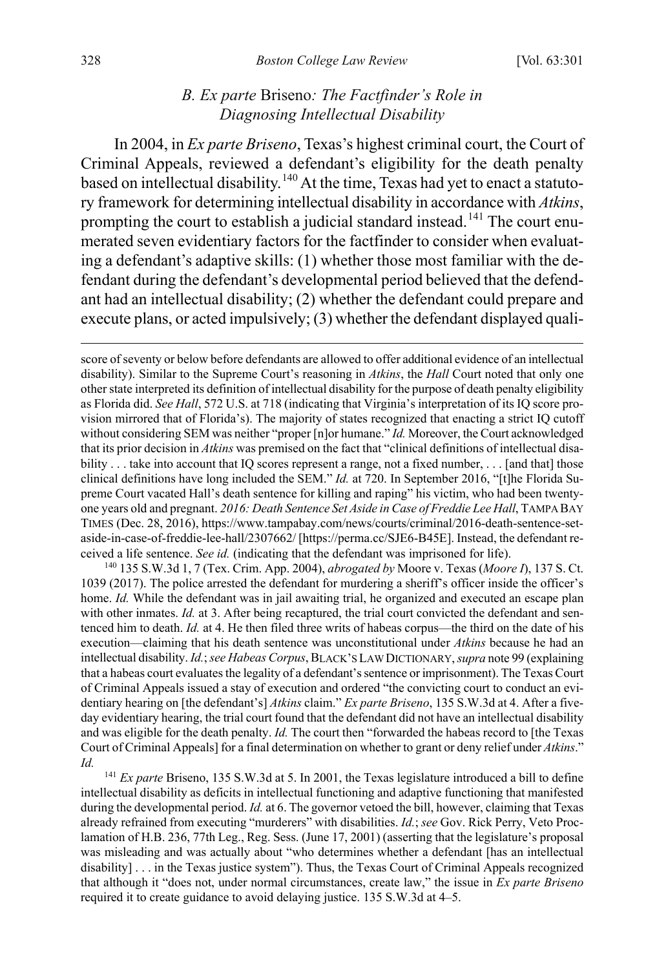#### <span id="page-28-0"></span>*B. Ex parte* Briseno*: The Factfinder's Role in Diagnosing Intellectual Disability*

In 2004, in *Ex parte Briseno*, Texas's highest criminal court, the Court of Criminal Appeals, reviewed a defendant's eligibility for the death penalty based on intellectual disability.<sup>[140](#page-28-1)</sup> At the time, Texas had yet to enact a statutory framework for determining intellectual disability in accordance with *Atkins*, prompting the court to establish a judicial standard instead.<sup>[141](#page-28-2)</sup> The court enumerated seven evidentiary factors for the factfinder to consider when evaluating a defendant's adaptive skills: (1) whether those most familiar with the defendant during the defendant's developmental period believed that the defendant had an intellectual disability; (2) whether the defendant could prepare and execute plans, or acted impulsively; (3) whether the defendant displayed quali-

<span id="page-28-1"></span><sup>140</sup> 135 S.W.3d 1, 7 (Tex. Crim. App. 2004), *abrogated by* Moore v. Texas (*Moore I*), 137 S. Ct. 1039 (2017). The police arrested the defendant for murdering a sheriff's officer inside the officer's home. *Id.* While the defendant was in jail awaiting trial, he organized and executed an escape plan with other inmates. *Id.* at 3. After being recaptured, the trial court convicted the defendant and sentenced him to death. *Id.* at 4. He then filed three writs of habeas corpus—the third on the date of his execution—claiming that his death sentence was unconstitutional under *Atkins* because he had an intellectual disability. *Id.*; *see Habeas Corpus*, BLACK'S LAW DICTIONARY, *supra* not[e 99](#page-20-0) (explaining that a habeas court evaluates the legality of a defendant's sentence or imprisonment). The Texas Court of Criminal Appeals issued a stay of execution and ordered "the convicting court to conduct an evidentiary hearing on [the defendant's] *Atkins* claim." *Ex parte Briseno*, 135 S.W.3d at 4. After a fiveday evidentiary hearing, the trial court found that the defendant did not have an intellectual disability and was eligible for the death penalty. *Id.* The court then "forwarded the habeas record to [the Texas Court of Criminal Appeals] for a final determination on whether to grant or deny relief under *Atkins*." *Id.*

<span id="page-28-2"></span><sup>141</sup> *Ex parte* Briseno, 135 S.W.3d at 5. In 2001, the Texas legislature introduced a bill to define intellectual disability as deficits in intellectual functioning and adaptive functioning that manifested during the developmental period. *Id.* at 6. The governor vetoed the bill, however, claiming that Texas already refrained from executing "murderers" with disabilities. *Id.*; *see* Gov. Rick Perry, Veto Proclamation of H.B. 236, 77th Leg., Reg. Sess. (June 17, 2001) (asserting that the legislature's proposal was misleading and was actually about "who determines whether a defendant [has an intellectual disability] . . . in the Texas justice system"). Thus, the Texas Court of Criminal Appeals recognized that although it "does not, under normal circumstances, create law," the issue in *Ex parte Briseno* required it to create guidance to avoid delaying justice. 135 S.W.3d at 4–5.

score of seventy or below before defendants are allowed to offer additional evidence of an intellectual disability). Similar to the Supreme Court's reasoning in *Atkins*, the *Hall* Court noted that only one other state interpreted its definition of intellectual disability for the purpose of death penalty eligibility as Florida did. *See Hall*, 572 U.S. at 718 (indicating that Virginia's interpretation of its IQ score provision mirrored that of Florida's). The majority of states recognized that enacting a strict IQ cutoff without considering SEM was neither "proper [n]or humane." *Id.* Moreover, the Court acknowledged that its prior decision in *Atkins* was premised on the fact that "clinical definitions of intellectual disability . . . take into account that IQ scores represent a range, not a fixed number, . . . [and that] those clinical definitions have long included the SEM." *Id.* at 720. In September 2016, "[t]he Florida Supreme Court vacated Hall's death sentence for killing and raping" his victim, who had been twentyone years old and pregnant. *2016: Death Sentence Set Aside in Case of Freddie Lee Hall*, TAMPA BAY TIMES (Dec. 28, 2016), https://www.tampabay.com/news/courts/criminal/2016-death-sentence-setaside-in-case-of-freddie-lee-hall/2307662/ [https://perma.cc/SJE6-B45E]. Instead, the defendant received a life sentence. *See id.* (indicating that the defendant was imprisoned for life).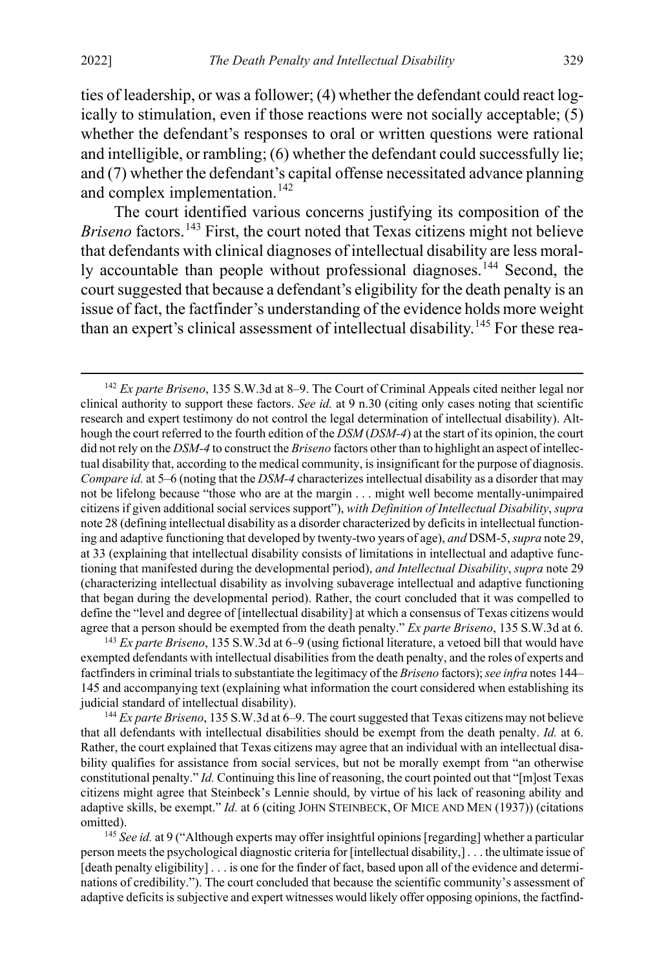ties of leadership, or was a follower; (4) whether the defendant could react logically to stimulation, even if those reactions were not socially acceptable; (5) whether the defendant's responses to oral or written questions were rational and intelligible, or rambling; (6) whether the defendant could successfully lie; and (7) whether the defendant's capital offense necessitated advance planning and complex implementation.<sup>[142](#page-29-2)</sup>

<span id="page-29-0"></span>The court identified various concerns justifying its composition of the *Briseno* factors.<sup>[143](#page-29-3)</sup> First, the court noted that Texas citizens might not believe that defendants with clinical diagnoses of intellectual disability are less moral-ly accountable than people without professional diagnoses.<sup>[144](#page-29-4)</sup> Second, the court suggested that because a defendant's eligibility for the death penalty is an issue of fact, the factfinder's understanding of the evidence holds more weight than an expert's clinical assessment of intellectual disability.<sup>[145](#page-29-5)</sup> For these rea-

<span id="page-29-3"></span><sup>143</sup> *Ex parte Briseno*, 135 S.W.3d at 6–9 (using fictional literature, a vetoed bill that would have exempted defendants with intellectual disabilities from the death penalty, and the roles of experts and factfinders in criminal trials to substantiate the legitimacy of the *Briseno* factors); *see infra* note[s 144–](#page-29-0) [145](#page-29-1) and accompanying text (explaining what information the court considered when establishing its judicial standard of intellectual disability).

<span id="page-29-4"></span><sup>144</sup> *Ex parte Briseno*, 135 S.W.3d at 6–9. The court suggested that Texas citizens may not believe that all defendants with intellectual disabilities should be exempt from the death penalty. *Id.* at 6. Rather, the court explained that Texas citizens may agree that an individual with an intellectual disability qualifies for assistance from social services, but not be morally exempt from "an otherwise constitutional penalty." *Id.* Continuing this line of reasoning, the court pointed out that "[m]ost Texas citizens might agree that Steinbeck's Lennie should, by virtue of his lack of reasoning ability and adaptive skills, be exempt." *Id.* at 6 (citing JOHN STEINBECK, OF MICE AND MEN (1937)) (citations omitted).

<span id="page-29-5"></span><sup>145</sup> *See id.* at 9 ("Although experts may offer insightful opinions [regarding] whether a particular person meets the psychological diagnostic criteria for [intellectual disability,] . . . the ultimate issue of [death penalty eligibility] . . . is one for the finder of fact, based upon all of the evidence and determinations of credibility."). The court concluded that because the scientific community's assessment of adaptive deficits is subjective and expert witnesses would likely offer opposing opinions, the factfind-

<span id="page-29-2"></span><span id="page-29-1"></span> <sup>142</sup> *Ex parte Briseno*, 135 S.W.3d at 8–9. The Court of Criminal Appeals cited neither legal nor clinical authority to support these factors. *See id.* at 9 n.30 (citing only cases noting that scientific research and expert testimony do not control the legal determination of intellectual disability). Although the court referred to the fourth edition of the *DSM* (*DSM-4*) at the start of its opinion, the court did not rely on the *DSM-4* to construct the *Briseno* factors other than to highlight an aspect of intellectual disability that, according to the medical community, is insignificant for the purpose of diagnosis. *Compare id.* at 5–6 (noting that the *DSM-4* characterizes intellectual disability as a disorder that may not be lifelong because "those who are at the margin . . . might well become mentally-unimpaired citizens if given additional social services support"), *with Definition of Intellectual Disability*, *supra* not[e 28](#page-6-0) (defining intellectual disability as a disorder characterized by deficits in intellectual functioning and adaptive functioning that developed by twenty-two years of age), *and* DSM-5, *supra* not[e 29,](#page-7-2) at 33 (explaining that intellectual disability consists of limitations in intellectual and adaptive functioning that manifested during the developmental period), *and Intellectual Disability*, *supra* note [29](#page-7-2) (characterizing intellectual disability as involving subaverage intellectual and adaptive functioning that began during the developmental period). Rather, the court concluded that it was compelled to define the "level and degree of [intellectual disability] at which a consensus of Texas citizens would agree that a person should be exempted from the death penalty." *Ex parte Briseno*, 135 S.W.3d at 6.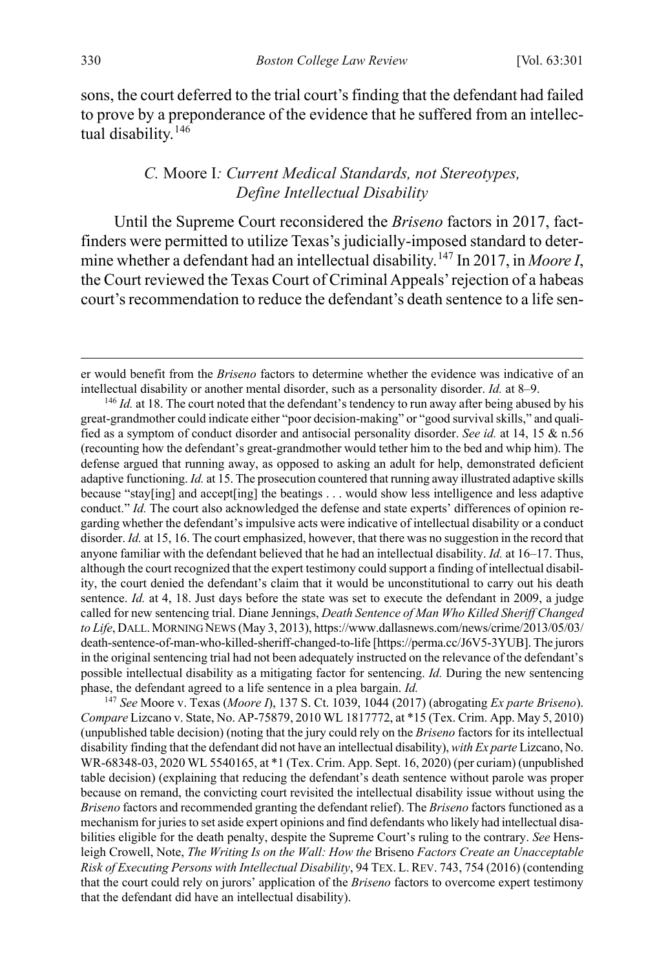sons, the court deferred to the trial court's finding that the defendant had failed to prove by a preponderance of the evidence that he suffered from an intellec-tual disability.<sup>[146](#page-30-2)</sup>

#### <span id="page-30-1"></span><span id="page-30-0"></span>*C.* Moore I*: Current Medical Standards, not Stereotypes, Define Intellectual Disability*

Until the Supreme Court reconsidered the *Briseno* factors in 2017, factfinders were permitted to utilize Texas's judicially-imposed standard to determine whether a defendant had an intellectual disability.[147](#page-30-3) In 2017, in *Moore I*, the Court reviewed the Texas Court of Criminal Appeals'rejection of a habeas court's recommendation to reduce the defendant's death sentence to a life sen-

<span id="page-30-3"></span><sup>147</sup> *See* Moore v. Texas (*Moore I*), 137 S. Ct. 1039, 1044 (2017) (abrogating *Ex parte Briseno*). *Compare* Lizcano v. State, No. AP-75879, 2010 WL 1817772, at \*15 (Tex. Crim. App. May 5, 2010) (unpublished table decision) (noting that the jury could rely on the *Briseno* factors for its intellectual disability finding that the defendant did not have an intellectual disability), *with Ex parte* Lizcano, No. WR-68348-03, 2020 WL 5540165, at \*1 (Tex. Crim. App. Sept. 16, 2020) (per curiam) (unpublished table decision) (explaining that reducing the defendant's death sentence without parole was proper because on remand, the convicting court revisited the intellectual disability issue without using the *Briseno* factors and recommended granting the defendant relief). The *Briseno* factors functioned as a mechanism for juries to set aside expert opinions and find defendants who likely had intellectual disabilities eligible for the death penalty, despite the Supreme Court's ruling to the contrary. *See* Hensleigh Crowell, Note, *The Writing Is on the Wall: How the* Briseno *Factors Create an Unacceptable Risk of Executing Persons with Intellectual Disability*, 94 TEX. L. REV. 743, 754 (2016) (contending that the court could rely on jurors' application of the *Briseno* factors to overcome expert testimony that the defendant did have an intellectual disability).

er would benefit from the *Briseno* factors to determine whether the evidence was indicative of an intellectual disability or another mental disorder, such as a personality disorder. *Id.* at 8–9. <sup>146</sup> *Id.* at 18. The court noted that the defendant's tendency to run away after being abused by his

<span id="page-30-2"></span>great-grandmother could indicate either "poor decision-making" or "good survival skills," and qualified as a symptom of conduct disorder and antisocial personality disorder. *See id.* at 14, 15 & n.56 (recounting how the defendant's great-grandmother would tether him to the bed and whip him). The defense argued that running away, as opposed to asking an adult for help, demonstrated deficient adaptive functioning. *Id.* at 15. The prosecution countered that running away illustrated adaptive skills because "stay[ing] and accept[ing] the beatings . . . would show less intelligence and less adaptive conduct." *Id.* The court also acknowledged the defense and state experts' differences of opinion regarding whether the defendant's impulsive acts were indicative of intellectual disability or a conduct disorder. *Id.* at 15, 16. The court emphasized, however, that there was no suggestion in the record that anyone familiar with the defendant believed that he had an intellectual disability. *Id.* at 16–17. Thus, although the court recognized that the expert testimony could support a finding of intellectual disability, the court denied the defendant's claim that it would be unconstitutional to carry out his death sentence. *Id.* at 4, 18. Just days before the state was set to execute the defendant in 2009, a judge called for new sentencing trial. Diane Jennings, *Death Sentence of Man Who Killed Sheriff Changed*  to Life, DALL. MORNING NEWS (May 3, 2013), https://www.dallasnews.com/news/crime/2013/05/03/ death-sentence-of-man-who-killed-sheriff-changed-to-life [https://perma.cc/J6V5-3YUB]. The jurors in the original sentencing trial had not been adequately instructed on the relevance of the defendant's possible intellectual disability as a mitigating factor for sentencing. *Id.* During the new sentencing phase, the defendant agreed to a life sentence in a plea bargain. *Id.*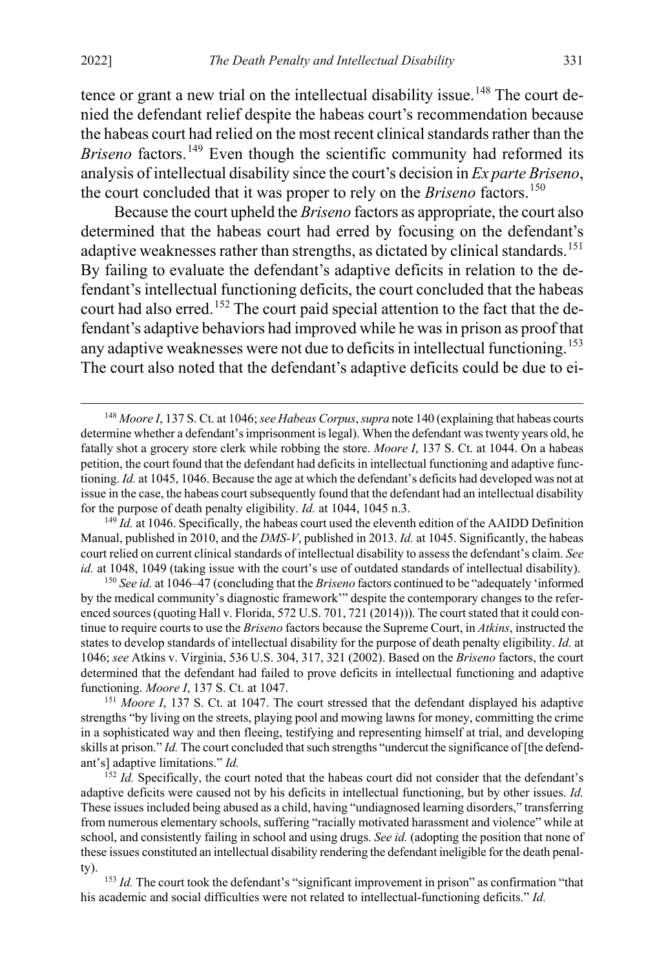tence or grant a new trial on the intellectual disability issue.<sup>[148](#page-31-0)</sup> The court denied the defendant relief despite the habeas court's recommendation because the habeas court had relied on the most recent clinical standards rather than the *Briseno* factors.<sup>[149](#page-31-1)</sup> Even though the scientific community had reformed its analysis of intellectual disability since the court's decision in *Ex parte Briseno*, the court concluded that it was proper to rely on the *Briseno* factors.<sup>[150](#page-31-2)</sup>

Because the court upheld the *Briseno* factors as appropriate, the court also determined that the habeas court had erred by focusing on the defendant's adaptive weaknesses rather than strengths, as dictated by clinical standards.<sup>[151](#page-31-3)</sup> By failing to evaluate the defendant's adaptive deficits in relation to the defendant's intellectual functioning deficits, the court concluded that the habeas court had also erred.<sup>[152](#page-31-4)</sup> The court paid special attention to the fact that the defendant's adaptive behaviors had improved while he was in prison as proof that any adaptive weaknesses were not due to deficits in intellectual functioning.<sup>[153](#page-31-5)</sup> The court also noted that the defendant's adaptive deficits could be due to ei-

<span id="page-31-2"></span><sup>150</sup> *See id.* at 1046–47 (concluding that the *Briseno* factors continued to be "adequately 'informed by the medical community's diagnostic framework'" despite the contemporary changes to the referenced sources (quoting Hall v. Florida, 572 U.S. 701, 721 (2014))). The court stated that it could continue to require courts to use the *Briseno* factors because the Supreme Court, in *Atkins*, instructed the states to develop standards of intellectual disability for the purpose of death penalty eligibility. *Id.* at 1046; *see* Atkins v. Virginia, 536 U.S. 304, 317, 321 (2002). Based on the *Briseno* factors, the court determined that the defendant had failed to prove deficits in intellectual functioning and adaptive functioning. *Moore I*, 137 S. Ct. at 1047.

<span id="page-31-3"></span><sup>151</sup> *Moore I*, 137 S. Ct. at 1047. The court stressed that the defendant displayed his adaptive strengths "by living on the streets, playing pool and mowing lawns for money, committing the crime in a sophisticated way and then fleeing, testifying and representing himself at trial, and developing skills at prison." *Id.* The court concluded that such strengths "undercut the significance of [the defendant's] adaptive limitations." *Id.*

<span id="page-31-0"></span> <sup>148</sup> *Moore I*, 137 S. Ct. at 1046; *see Habeas Corpus*, *supra* not[e 140](#page-28-0) (explaining that habeas courts determine whether a defendant's imprisonment is legal). When the defendant was twenty years old, he fatally shot a grocery store clerk while robbing the store. *Moore I*, 137 S. Ct. at 1044. On a habeas petition, the court found that the defendant had deficits in intellectual functioning and adaptive functioning. *Id.* at 1045, 1046. Because the age at which the defendant's deficits had developed was not at issue in the case, the habeas court subsequently found that the defendant had an intellectual disability for the purpose of death penalty eligibility. *Id.* at 1044, 1045 n.3.

<span id="page-31-1"></span><sup>&</sup>lt;sup>149</sup> *Id.* at 1046. Specifically, the habeas court used the eleventh edition of the AAIDD Definition Manual, published in 2010, and the *DMS-V*, published in 2013. *Id.* at 1045. Significantly, the habeas court relied on current clinical standards of intellectual disability to assess the defendant's claim. *See id.* at 1048, 1049 (taking issue with the court's use of outdated standards of intellectual disability).

<span id="page-31-4"></span> $152$  *Id.* Specifically, the court noted that the habeas court did not consider that the defendant's adaptive deficits were caused not by his deficits in intellectual functioning, but by other issues. *Id.* These issues included being abused as a child, having "undiagnosed learning disorders," transferring from numerous elementary schools, suffering "racially motivated harassment and violence" while at school, and consistently failing in school and using drugs. *See id.* (adopting the position that none of these issues constituted an intellectual disability rendering the defendant ineligible for the death penalty).

<span id="page-31-5"></span><sup>&</sup>lt;sup>153</sup> *Id.* The court took the defendant's "significant improvement in prison" as confirmation "that his academic and social difficulties were not related to intellectual-functioning deficits." *Id.*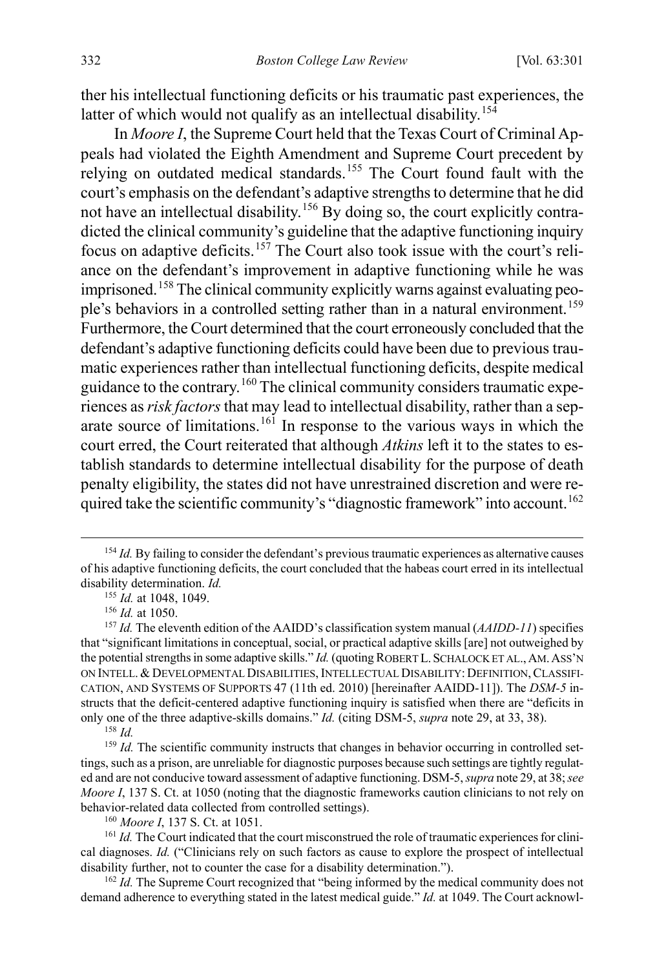<span id="page-32-12"></span>ther his intellectual functioning deficits or his traumatic past experiences, the latter of which would not qualify as an intellectual disability.<sup>[154](#page-32-0)</sup>

<span id="page-32-10"></span><span id="page-32-9"></span>In *Moore I*, the Supreme Court held that the Texas Court of Criminal Appeals had violated the Eighth Amendment and Supreme Court precedent by relying on outdated medical standards.[155](#page-32-1) The Court found fault with the court's emphasis on the defendant's adaptive strengths to determine that he did not have an intellectual disability.<sup>[156](#page-32-2)</sup> By doing so, the court explicitly contradicted the clinical community's guideline that the adaptive functioning inquiry focus on adaptive deficits.<sup>[157](#page-32-3)</sup> The Court also took issue with the court's reliance on the defendant's improvement in adaptive functioning while he was imprisoned.[158](#page-32-4) The clinical community explicitly warns against evaluating peo-ple's behaviors in a controlled setting rather than in a natural environment.<sup>[159](#page-32-5)</sup> Furthermore, the Court determined that the court erroneously concluded that the defendant's adaptive functioning deficits could have been due to previous traumatic experiences rather than intellectual functioning deficits, despite medical guidance to the contrary.[160](#page-32-6) The clinical community considers traumatic experiences as *risk factors*that may lead to intellectual disability, rather than a separate source of limitations.[161](#page-32-7) In response to the various ways in which the court erred, the Court reiterated that although *Atkins* left it to the states to establish standards to determine intellectual disability for the purpose of death penalty eligibility, the states did not have unrestrained discretion and were re-quired take the scientific community's "diagnostic framework" into account.<sup>[162](#page-32-8)</sup>

<span id="page-32-0"></span><sup>&</sup>lt;sup>154</sup> *Id.* By failing to consider the defendant's previous traumatic experiences as alternative causes of his adaptive functioning deficits, the court concluded that the habeas court erred in its intellectual disability determination. *Id.*

<span id="page-32-11"></span><sup>155</sup> *Id.* at 1048, 1049.

<sup>156</sup> *Id.* at 1050.

<span id="page-32-3"></span><span id="page-32-2"></span><span id="page-32-1"></span><sup>157</sup> *Id.* The eleventh edition of the AAIDD's classification system manual (*AAIDD-11*) specifies that "significant limitations in conceptual, social, or practical adaptive skills [are] not outweighed by the potential strengths in some adaptive skills." *Id.* (quoting ROBERT L.SCHALOCK ET AL.,AM.ASS'N ON INTELL. &DEVELOPMENTAL DISABILITIES,INTELLECTUAL DISABILITY: DEFINITION,CLASSIFI-CATION, AND SYSTEMS OF SUPPORTS 47 (11th ed. 2010) [hereinafter AAIDD-11]). The *DSM-5* instructs that the deficit-centered adaptive functioning inquiry is satisfied when there are "deficits in only one of the three adaptive-skills domains." *Id.* (citing DSM-5, *supra* not[e 29,](#page-7-2) at 33, 38).

<sup>158</sup> *Id.*

<span id="page-32-5"></span><span id="page-32-4"></span><sup>&</sup>lt;sup>159</sup> *Id.* The scientific community instructs that changes in behavior occurring in controlled settings, such as a prison, are unreliable for diagnostic purposes because such settings are tightly regulated and are not conducive toward assessment of adaptive functioning. DSM-5, *supra* not[e 29,](#page-7-2) at 38; *see Moore I*, 137 S. Ct. at 1050 (noting that the diagnostic frameworks caution clinicians to not rely on behavior-related data collected from controlled settings).

<sup>160</sup> *Moore I*, 137 S. Ct. at 1051.

<span id="page-32-7"></span><span id="page-32-6"></span><sup>&</sup>lt;sup>161</sup> *Id.* The Court indicated that the court misconstrued the role of traumatic experiences for clinical diagnoses. *Id.* ("Clinicians rely on such factors as cause to explore the prospect of intellectual disability further, not to counter the case for a disability determination.").

<span id="page-32-8"></span><sup>&</sup>lt;sup>162</sup> *Id.* The Supreme Court recognized that "being informed by the medical community does not demand adherence to everything stated in the latest medical guide." *Id.* at 1049. The Court acknowl-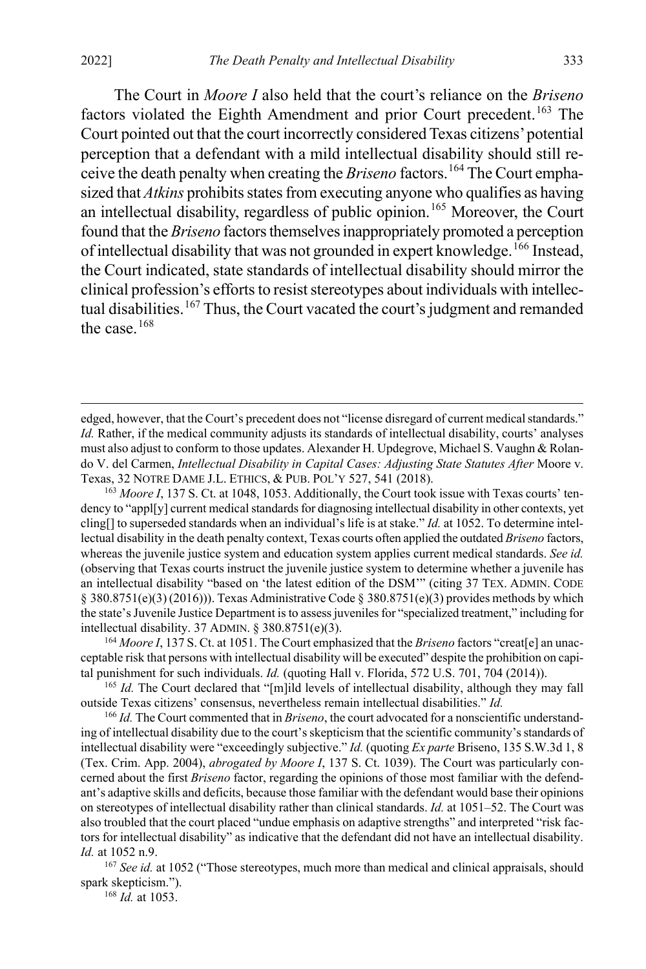<span id="page-33-0"></span> $\overline{a}$ 

The Court in *Moore I* also held that the court's reliance on the *Briseno* factors violated the Eighth Amendment and prior Court precedent.<sup>[163](#page-33-1)</sup> The Court pointed out that the court incorrectly considered Texas citizens'potential perception that a defendant with a mild intellectual disability should still receive the death penalty when creating the *Briseno* factors.<sup>[164](#page-33-2)</sup> The Court emphasized that *Atkins* prohibits states from executing anyone who qualifies as having an intellectual disability, regardless of public opinion.<sup>[165](#page-33-3)</sup> Moreover, the Court found that the *Briseno* factors themselves inappropriately promoted a perception of intellectual disability that was not grounded in expert knowledge.<sup>[166](#page-33-4)</sup> Instead, the Court indicated, state standards of intellectual disability should mirror the clinical profession's efforts to resist stereotypes about individuals with intellectual disabilities.[167](#page-33-5) Thus, the Court vacated the court's judgment and remanded the case.[168](#page-33-6)

<span id="page-33-1"></span><sup>163</sup> Moore I, 137 S. Ct. at 1048, 1053. Additionally, the Court took issue with Texas courts' tendency to "appl[y] current medical standards for diagnosing intellectual disability in other contexts, yet cling[] to superseded standards when an individual's life is at stake." *Id.* at 1052. To determine intellectual disability in the death penalty context, Texas courts often applied the outdated *Briseno* factors, whereas the juvenile justice system and education system applies current medical standards. *See id.* (observing that Texas courts instruct the juvenile justice system to determine whether a juvenile has an intellectual disability "based on 'the latest edition of the DSM'" (citing 37 TEX. ADMIN. CODE § 380.8751(e)(3) (2016))). Texas Administrative Code § 380.8751(e)(3) provides methods by which the state's Juvenile Justice Department is to assess juveniles for "specialized treatment," including for intellectual disability. 37 ADMIN. § 380.8751(e)(3).<br><sup>164</sup> *Moore I*, 137 S. Ct. at 1051. The Court emphasized that the *Briseno* factors "creat[e] an unac-

<span id="page-33-2"></span>ceptable risk that persons with intellectual disability will be executed" despite the prohibition on capital punishment for such individuals. *Id.* (quoting Hall v. Florida, 572 U.S. 701, 704 (2014)).

<span id="page-33-3"></span><sup>165</sup> *Id.* The Court declared that "[m]ild levels of intellectual disability, although they may fall outside Texas citizens' consensus, nevertheless remain intellectual disabilities." *Id.*

<span id="page-33-4"></span><sup>166</sup> *Id.* The Court commented that in *Briseno*, the court advocated for a nonscientific understanding of intellectual disability due to the court's skepticism that the scientific community's standards of intellectual disability were "exceedingly subjective." *Id.* (quoting *Ex parte* Briseno, 135 S.W.3d 1, 8 (Tex. Crim. App. 2004), *abrogated by Moore I*, 137 S. Ct. 1039). The Court was particularly concerned about the first *Briseno* factor, regarding the opinions of those most familiar with the defendant's adaptive skills and deficits, because those familiar with the defendant would base their opinions on stereotypes of intellectual disability rather than clinical standards. *Id.* at 1051–52. The Court was also troubled that the court placed "undue emphasis on adaptive strengths" and interpreted "risk factors for intellectual disability" as indicative that the defendant did not have an intellectual disability. *Id.* at 1052 n.9.

<span id="page-33-6"></span><span id="page-33-5"></span><sup>167</sup> See id. at 1052 ("Those stereotypes, much more than medical and clinical appraisals, should spark skepticism.").

<sup>168</sup> *Id.* at 1053.

edged, however, that the Court's precedent does not "license disregard of current medical standards." *Id.* Rather, if the medical community adjusts its standards of intellectual disability, courts' analyses must also adjust to conform to those updates. Alexander H. Updegrove, Michael S. Vaughn & Rolando V. del Carmen, *Intellectual Disability in Capital Cases: Adjusting State Statutes After* Moore v. Texas, 32 NOTRE DAME J.L. ETHICS, & PUB. POL'Y 527, 541 (2018).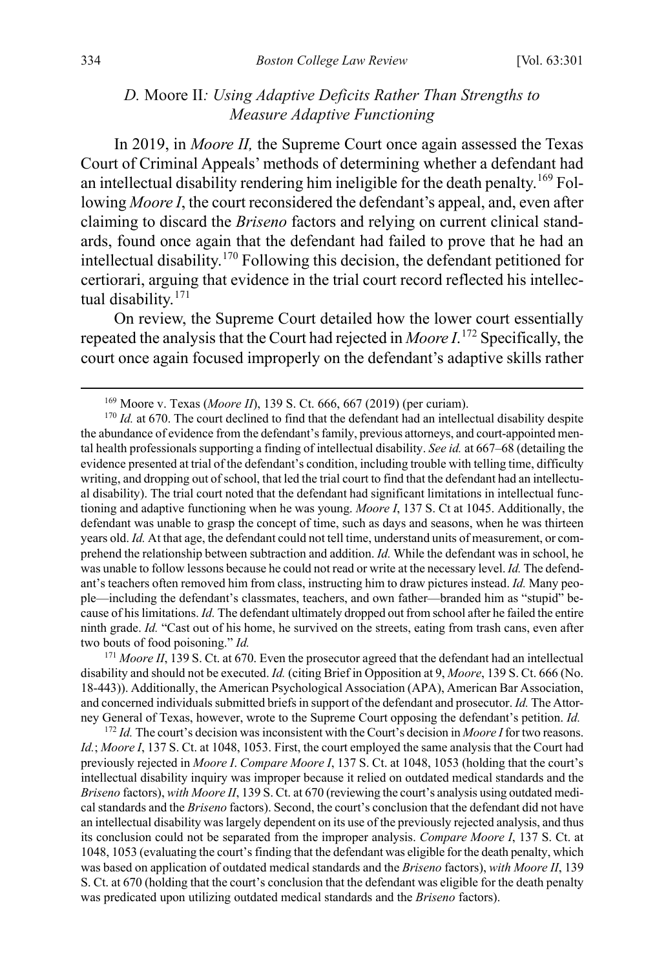#### <span id="page-34-0"></span>*D.* Moore II*: Using Adaptive Deficits Rather Than Strengths to Measure Adaptive Functioning*

In 2019, in *Moore II,* the Supreme Court once again assessed the Texas Court of Criminal Appeals' methods of determining whether a defendant had an intellectual disability rendering him ineligible for the death penalty.<sup>[169](#page-34-1)</sup> Following *Moore I*, the court reconsidered the defendant's appeal, and, even after claiming to discard the *Briseno* factors and relying on current clinical standards, found once again that the defendant had failed to prove that he had an intellectual disability.[170](#page-34-2) Following this decision, the defendant petitioned for certiorari, arguing that evidence in the trial court record reflected his intellec-tual disability.<sup>[171](#page-34-3)</sup>

On review, the Supreme Court detailed how the lower court essentially repeated the analysis that the Court had rejected in *Moore I*. [172](#page-34-4) Specifically, the court once again focused improperly on the defendant's adaptive skills rather

 <sup>169</sup> Moore v. Texas (*Moore II*), 139 S. Ct. 666, 667 (2019) (per curiam).

<span id="page-34-2"></span><span id="page-34-1"></span><sup>&</sup>lt;sup>170</sup> *Id.* at 670. The court declined to find that the defendant had an intellectual disability despite the abundance of evidence from the defendant's family, previous attorneys, and court-appointed mental health professionals supporting a finding of intellectual disability. *See id.* at 667–68 (detailing the evidence presented at trial of the defendant's condition, including trouble with telling time, difficulty writing, and dropping out of school, that led the trial court to find that the defendant had an intellectual disability). The trial court noted that the defendant had significant limitations in intellectual functioning and adaptive functioning when he was young. *Moore I*, 137 S. Ct at 1045. Additionally, the defendant was unable to grasp the concept of time, such as days and seasons, when he was thirteen years old. *Id.* At that age, the defendant could not tell time, understand units of measurement, or comprehend the relationship between subtraction and addition. *Id.* While the defendant was in school, he was unable to follow lessons because he could not read or write at the necessary level. *Id.* The defendant's teachers often removed him from class, instructing him to draw pictures instead. *Id.* Many people—including the defendant's classmates, teachers, and own father—branded him as "stupid" because of his limitations. *Id.* The defendant ultimately dropped out from school after he failed the entire ninth grade. *Id.* "Cast out of his home, he survived on the streets, eating from trash cans, even after two bouts of food poisoning." *Id.*

<span id="page-34-3"></span><sup>&</sup>lt;sup>171</sup> *Moore II*, 139 S. Ct. at 670. Even the prosecutor agreed that the defendant had an intellectual disability and should not be executed. *Id.* (citing Brief in Opposition at 9, *Moore*, 139 S. Ct. 666 (No. 18-443)). Additionally, the American Psychological Association (APA), American Bar Association, and concerned individuals submitted briefs in support of the defendant and prosecutor. *Id.* The Attorney General of Texas, however, wrote to the Supreme Court opposing the defendant's petition. *Id.*

<span id="page-34-4"></span><sup>172</sup> *Id.* The court's decision was inconsistent with the Court's decision in *Moore I* for two reasons. *Id.*; *Moore I*, 137 S. Ct. at 1048, 1053. First, the court employed the same analysis that the Court had previously rejected in *Moore I*. *Compare Moore I*, 137 S. Ct. at 1048, 1053 (holding that the court's intellectual disability inquiry was improper because it relied on outdated medical standards and the *Briseno* factors), *with Moore II*, 139 S. Ct. at 670 (reviewing the court's analysis using outdated medical standards and the *Briseno* factors). Second, the court's conclusion that the defendant did not have an intellectual disability was largely dependent on its use of the previously rejected analysis, and thus its conclusion could not be separated from the improper analysis. *Compare Moore I*, 137 S. Ct. at 1048, 1053 (evaluating the court's finding that the defendant was eligible for the death penalty, which was based on application of outdated medical standards and the *Briseno* factors), *with Moore II*, 139 S. Ct. at 670 (holding that the court's conclusion that the defendant was eligible for the death penalty was predicated upon utilizing outdated medical standards and the *Briseno* factors).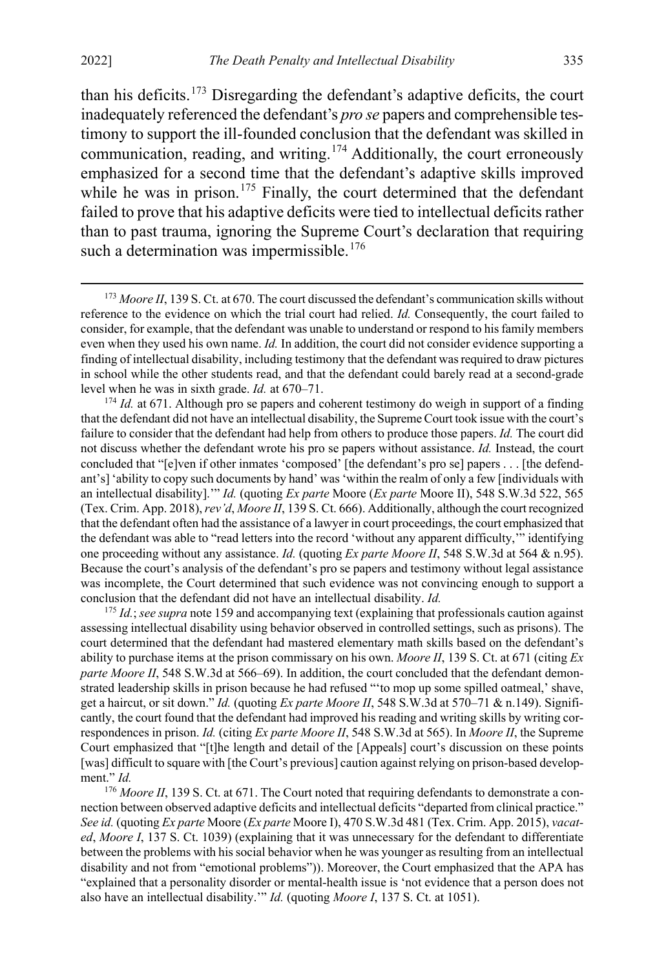than his deficits.<sup>[173](#page-35-0)</sup> Disregarding the defendant's adaptive deficits, the court inadequately referenced the defendant's *pro se* papers and comprehensible testimony to support the ill-founded conclusion that the defendant was skilled in communication, reading, and writing.<sup>[174](#page-35-1)</sup> Additionally, the court erroneously emphasized for a second time that the defendant's adaptive skills improved while he was in prison.<sup>[175](#page-35-2)</sup> Finally, the court determined that the defendant failed to prove that his adaptive deficits were tied to intellectual deficits rather than to past trauma, ignoring the Supreme Court's declaration that requiring such a determination was impermissible.<sup>[176](#page-35-3)</sup>

<span id="page-35-1"></span>that the defendant did not have an intellectual disability, the Supreme Court took issue with the court's failure to consider that the defendant had help from others to produce those papers. *Id.* The court did not discuss whether the defendant wrote his pro se papers without assistance. *Id.* Instead, the court concluded that "[e]ven if other inmates 'composed' [the defendant's pro se] papers . . . [the defendant's] 'ability to copy such documents by hand' was 'within the realm of only a few [individuals with an intellectual disability].'" *Id.* (quoting *Ex parte* Moore (*Ex parte* Moore II), 548 S.W.3d 522, 565 (Tex. Crim. App. 2018), *rev'd*, *Moore II*, 139 S. Ct. 666). Additionally, although the court recognized that the defendant often had the assistance of a lawyer in court proceedings, the court emphasized that the defendant was able to "read letters into the record 'without any apparent difficulty,'" identifying one proceeding without any assistance. *Id.* (quoting *Ex parte Moore II*, 548 S.W.3d at 564 & n.95). Because the court's analysis of the defendant's pro se papers and testimony without legal assistance was incomplete, the Court determined that such evidence was not convincing enough to support a conclusion that the defendant did not have an intellectual disability. *Id.*

<span id="page-35-2"></span><sup>175</sup> *Id.*; *see supra* not[e 159](#page-32-9) and accompanying text (explaining that professionals caution against assessing intellectual disability using behavior observed in controlled settings, such as prisons). The court determined that the defendant had mastered elementary math skills based on the defendant's ability to purchase items at the prison commissary on his own. *Moore II*, 139 S. Ct. at 671 (citing *Ex parte Moore II*, 548 S.W.3d at 566–69). In addition, the court concluded that the defendant demonstrated leadership skills in prison because he had refused "'to mop up some spilled oatmeal,' shave, get a haircut, or sit down." *Id.* (quoting *Ex parte Moore II*, 548 S.W.3d at 570–71 & n.149). Significantly, the court found that the defendant had improved his reading and writing skills by writing correspondences in prison. *Id.* (citing *Ex parte Moore II*, 548 S.W.3d at 565). In *Moore II*, the Supreme Court emphasized that "[t]he length and detail of the [Appeals] court's discussion on these points [was] difficult to square with [the Court's previous] caution against relying on prison-based development." *Id.*

<span id="page-35-3"></span><sup>176</sup> Moore II, 139 S. Ct. at 671. The Court noted that requiring defendants to demonstrate a connection between observed adaptive deficits and intellectual deficits "departed from clinical practice." *See id.* (quoting *Ex parte* Moore (*Ex parte* Moore I), 470 S.W.3d 481 (Tex. Crim. App. 2015), *vacated*, *Moore I*, 137 S. Ct. 1039) (explaining that it was unnecessary for the defendant to differentiate between the problems with his social behavior when he was younger as resulting from an intellectual disability and not from "emotional problems")). Moreover, the Court emphasized that the APA has "explained that a personality disorder or mental-health issue is 'not evidence that a person does not also have an intellectual disability.'" *Id.* (quoting *Moore I*, 137 S. Ct. at 1051).

<span id="page-35-0"></span><sup>&</sup>lt;sup>173</sup> *Moore II*, 139 S. Ct. at 670. The court discussed the defendant's communication skills without reference to the evidence on which the trial court had relied. *Id.* Consequently, the court failed to consider, for example, that the defendant was unable to understand or respond to his family members even when they used his own name. *Id.* In addition, the court did not consider evidence supporting a finding of intellectual disability, including testimony that the defendant was required to draw pictures in school while the other students read, and that the defendant could barely read at a second-grade level when he was in sixth grade. *Id.* at 670–71.<br><sup>174</sup> *Id.* at 671. Although pro se papers and coherent testimony do weigh in support of a finding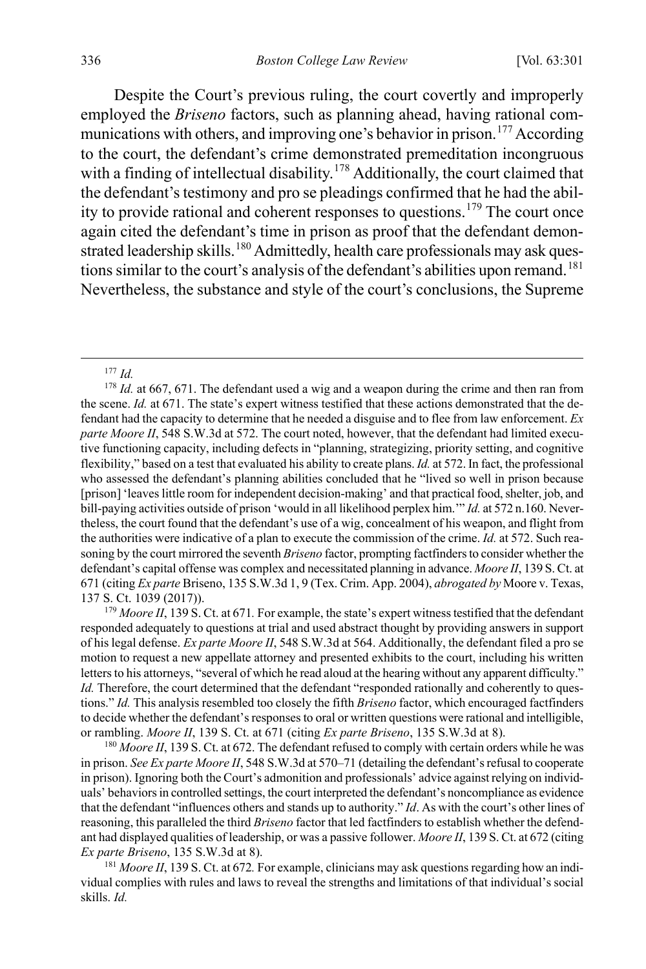Despite the Court's previous ruling, the court covertly and improperly employed the *Briseno* factors, such as planning ahead, having rational com-munications with others, and improving one's behavior in prison.<sup>[177](#page-36-0)</sup> According to the court, the defendant's crime demonstrated premeditation incongruous with a finding of intellectual disability.<sup>[178](#page-36-1)</sup> Additionally, the court claimed that the defendant's testimony and pro se pleadings confirmed that he had the abil-ity to provide rational and coherent responses to questions.<sup>[179](#page-36-2)</sup> The court once again cited the defendant's time in prison as proof that the defendant demon-strated leadership skills.<sup>[180](#page-36-3)</sup> Admittedly, health care professionals may ask ques-tions similar to the court's analysis of the defendant's abilities upon remand.<sup>[181](#page-36-4)</sup> Nevertheless, the substance and style of the court's conclusions, the Supreme

<span id="page-36-2"></span><sup>179</sup> Moore II, 139 S. Ct. at 671. For example, the state's expert witness testified that the defendant responded adequately to questions at trial and used abstract thought by providing answers in support of his legal defense. *Ex parte Moore II*, 548 S.W.3d at 564. Additionally, the defendant filed a pro se motion to request a new appellate attorney and presented exhibits to the court, including his written letters to his attorneys, "several of which he read aloud at the hearing without any apparent difficulty." *Id.* Therefore, the court determined that the defendant "responded rationally and coherently to questions." *Id.* This analysis resembled too closely the fifth *Briseno* factor, which encouraged factfinders to decide whether the defendant's responses to oral or written questions were rational and intelligible, or rambling. *Moore II*, 139 S. Ct. at 671 (citing *Ex parte Briseno*, 135 S.W.3d at 8).

<span id="page-36-3"></span><sup>180</sup> Moore II, 139 S. Ct. at 672. The defendant refused to comply with certain orders while he was in prison. *See Ex parte Moore II*, 548 S.W.3d at 570–71 (detailing the defendant's refusal to cooperate in prison). Ignoring both the Court's admonition and professionals' advice against relying on individuals' behaviors in controlled settings, the court interpreted the defendant's noncompliance as evidence that the defendant "influences others and stands up to authority." *Id*. As with the court's other lines of reasoning, this paralleled the third *Briseno* factor that led factfinders to establish whether the defendant had displayed qualities of leadership, or was a passive follower. *Moore II*, 139 S. Ct. at 672 (citing *Ex parte Briseno*, 135 S.W.3d at 8).

<span id="page-36-4"></span><sup>181</sup> *Moore II*, 139 S. Ct. at 672*.* For example, clinicians may ask questions regarding how an individual complies with rules and laws to reveal the strengths and limitations of that individual's social skills. *Id.*

 <sup>177</sup> *Id.*

<span id="page-36-1"></span><span id="page-36-0"></span><sup>&</sup>lt;sup>178</sup> *Id.* at 667, 671. The defendant used a wig and a weapon during the crime and then ran from the scene. *Id.* at 671. The state's expert witness testified that these actions demonstrated that the defendant had the capacity to determine that he needed a disguise and to flee from law enforcement. *Ex parte Moore II*, 548 S.W.3d at 572. The court noted, however, that the defendant had limited executive functioning capacity, including defects in "planning, strategizing, priority setting, and cognitive flexibility," based on a test that evaluated his ability to create plans. *Id.* at 572. In fact, the professional who assessed the defendant's planning abilities concluded that he "lived so well in prison because [prison] 'leaves little room for independent decision-making' and that practical food, shelter, job, and bill-paying activities outside of prison 'would in all likelihood perplex him.'" *Id.* at 572 n.160. Nevertheless, the court found that the defendant's use of a wig, concealment of his weapon, and flight from the authorities were indicative of a plan to execute the commission of the crime. *Id.* at 572. Such reasoning by the court mirrored the seventh *Briseno* factor, prompting factfinders to consider whether the defendant's capital offense was complex and necessitated planning in advance. *Moore II*, 139 S. Ct. at 671 (citing *Ex parte* Briseno, 135 S.W.3d 1, 9 (Tex. Crim. App. 2004), *abrogated by* Moore v. Texas, 137 S. Ct. 1039 (2017)).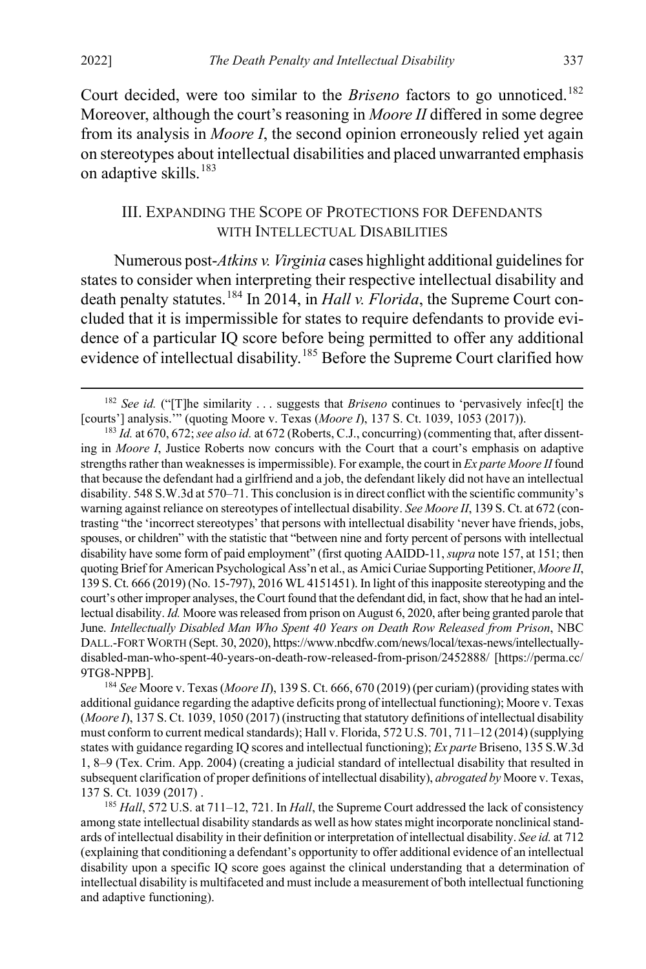Court decided, were too similar to the *Briseno* factors to go unnoticed.<sup>[182](#page-37-2)</sup> Moreover, although the court's reasoning in *Moore II* differed in some degree from its analysis in *Moore I*, the second opinion erroneously relied yet again on stereotypes about intellectual disabilities and placed unwarranted emphasis on adaptive skills.<sup>[183](#page-37-3)</sup>

#### <span id="page-37-1"></span><span id="page-37-0"></span>III. EXPANDING THE SCOPE OF PROTECTIONS FOR DEFENDANTS WITH INTELLECTUAL DISABILITIES

Numerous post-*Atkins v. Virginia* cases highlight additional guidelines for states to consider when interpreting their respective intellectual disability and death penalty statutes.<sup>[184](#page-37-4)</sup> In 2014, in *Hall v. Florida*, the Supreme Court concluded that it is impermissible for states to require defendants to provide evidence of a particular IQ score before being permitted to offer any additional evidence of intellectual disability.<sup>[185](#page-37-5)</sup> Before the Supreme Court clarified how

<span id="page-37-2"></span> <sup>182</sup> *See id.* ("[T]he similarity . . . suggests that *Briseno* continues to 'pervasively infec[t] the [courts'] analysis.'" (quoting Moore v. Texas (*Moore I*), 137 S. Ct. 1039, 1053 (2017)).

<span id="page-37-3"></span><sup>183</sup> *Id.* at 670, 672; *see also id.* at 672 (Roberts, C.J., concurring) (commenting that, after dissenting in *Moore I*, Justice Roberts now concurs with the Court that a court's emphasis on adaptive strengths rather than weaknesses is impermissible). For example, the court in *Ex parte Moore II* found that because the defendant had a girlfriend and a job, the defendant likely did not have an intellectual disability. 548 S.W.3d at 570–71. This conclusion is in direct conflict with the scientific community's warning against reliance on stereotypes of intellectual disability. *See Moore II*, 139 S. Ct. at 672 (contrasting "the 'incorrect stereotypes' that persons with intellectual disability 'never have friends, jobs, spouses, or children" with the statistic that "between nine and forty percent of persons with intellectual disability have some form of paid employment" (first quoting AAIDD-11, *supra* not[e 157,](#page-32-10) at 151; then quoting Brief for American Psychological Ass'n et al., as Amici Curiae Supporting Petitioner, *Moore II*, 139 S. Ct. 666 (2019) (No. 15-797), 2016 WL 4151451). In light of this inapposite stereotyping and the court's other improper analyses, the Court found that the defendant did, in fact, show that he had an intellectual disability. *Id.* Moore was released from prison on August 6, 2020, after being granted parole that June. *Intellectually Disabled Man Who Spent 40 Years on Death Row Released from Prison*, NBC DALL.-FORT WORTH (Sept. 30, 2020), https://www.nbcdfw.com/news/local/texas-news/intellectuallydisabled-man-who-spent-40-years-on-death-row-released-from-prison/2452888/ [https://perma.cc/ 9TG8-NPPB].

<span id="page-37-4"></span><sup>184</sup> *See* Moore v. Texas (*Moore II*), 139 S. Ct. 666, 670 (2019) (per curiam) (providing states with additional guidance regarding the adaptive deficits prong of intellectual functioning); Moore v. Texas (*Moore I*), 137 S. Ct. 1039, 1050 (2017) (instructing that statutory definitions of intellectual disability must conform to current medical standards); Hall v. Florida, 572 U.S. 701, 711–12 (2014) (supplying states with guidance regarding IQ scores and intellectual functioning); *Ex parte* Briseno, 135 S.W.3d 1, 8–9 (Tex. Crim. App. 2004) (creating a judicial standard of intellectual disability that resulted in subsequent clarification of proper definitions of intellectual disability), *abrogated by* Moore v. Texas, 137 S. Ct. 1039 (2017) .

<span id="page-37-5"></span><sup>185</sup> *Hall*, 572 U.S. at 711–12, 721. In *Hall*, the Supreme Court addressed the lack of consistency among state intellectual disability standards as well as how states might incorporate nonclinical standards of intellectual disability in their definition or interpretation of intellectual disability. *See id.* at 712 (explaining that conditioning a defendant's opportunity to offer additional evidence of an intellectual disability upon a specific IQ score goes against the clinical understanding that a determination of intellectual disability is multifaceted and must include a measurement of both intellectual functioning and adaptive functioning).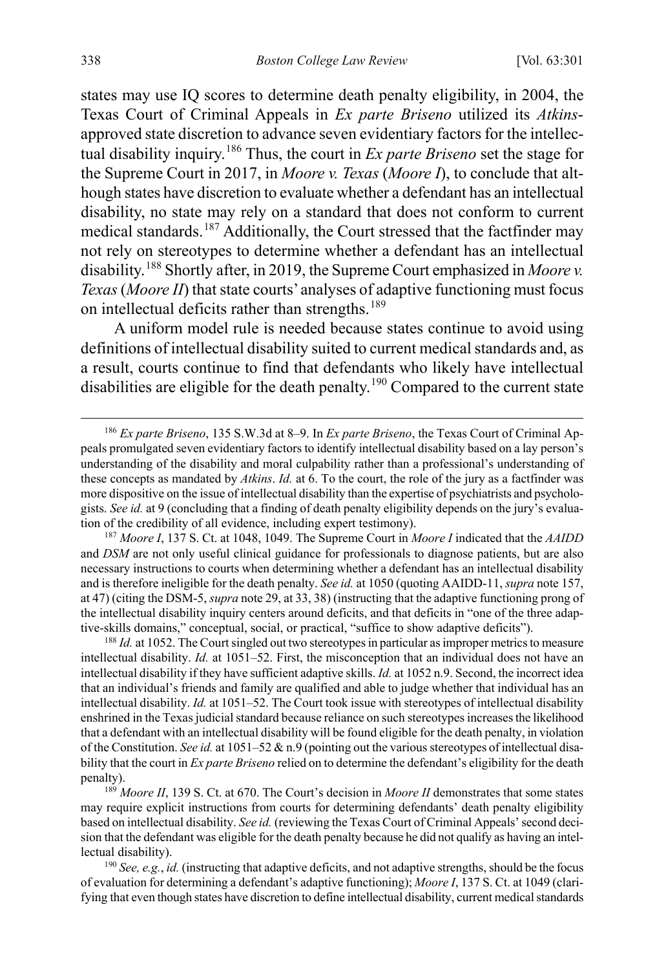states may use IQ scores to determine death penalty eligibility, in 2004, the Texas Court of Criminal Appeals in *Ex parte Briseno* utilized its *Atkins*approved state discretion to advance seven evidentiary factors for the intellectual disability inquiry.[186](#page-38-0) Thus, the court in *Ex parte Briseno* set the stage for the Supreme Court in 2017, in *Moore v. Texas* (*Moore I*), to conclude that although states have discretion to evaluate whether a defendant has an intellectual disability, no state may rely on a standard that does not conform to current medical standards.[187](#page-38-1) Additionally, the Court stressed that the factfinder may not rely on stereotypes to determine whether a defendant has an intellectual disability.<sup>[188](#page-38-2)</sup> Shortly after, in 2019, the Supreme Court emphasized in *Moore v. Texas* (*Moore II*) that state courts' analyses of adaptive functioning must focus on intellectual deficits rather than strengths.<sup>[189](#page-38-3)</sup>

A uniform model rule is needed because states continue to avoid using definitions of intellectual disability suited to current medical standards and, as a result, courts continue to find that defendants who likely have intellectual disabilities are eligible for the death penalty.<sup>[190](#page-38-4)</sup> Compared to the current state

<span id="page-38-1"></span><sup>187</sup> *Moore I*, 137 S. Ct. at 1048, 1049. The Supreme Court in *Moore I* indicated that the *AAIDD* and *DSM* are not only useful clinical guidance for professionals to diagnose patients, but are also necessary instructions to courts when determining whether a defendant has an intellectual disability and is therefore ineligible for the death penalty. *See id.* at 1050 (quoting AAIDD-11, *supra* not[e 157,](#page-32-10) at 47) (citing the DSM-5, *supra* not[e 29,](#page-7-2) at 33, 38) (instructing that the adaptive functioning prong of the intellectual disability inquiry centers around deficits, and that deficits in "one of the three adaptive-skills domains," conceptual, social, or practical, "suffice to show adaptive deficits").

<span id="page-38-2"></span><sup>188</sup> *Id.* at 1052. The Court singled out two stereotypes in particular as improper metrics to measure intellectual disability. *Id.* at 1051–52. First, the misconception that an individual does not have an intellectual disability if they have sufficient adaptive skills. *Id.* at 1052 n.9. Second, the incorrect idea that an individual's friends and family are qualified and able to judge whether that individual has an intellectual disability. *Id.* at 1051–52. The Court took issue with stereotypes of intellectual disability enshrined in the Texas judicial standard because reliance on such stereotypes increases the likelihood that a defendant with an intellectual disability will be found eligible for the death penalty, in violation of the Constitution. *See id.* at 1051–52 & n.9 (pointing out the various stereotypes of intellectual disability that the court in *Ex parte Briseno* relied on to determine the defendant's eligibility for the death penalty). 189 *Moore II*, 139 S. Ct. at 670. The Court's decision in *Moore II* demonstrates that some states

<span id="page-38-3"></span>may require explicit instructions from courts for determining defendants' death penalty eligibility based on intellectual disability. *See id.* (reviewing the Texas Court of Criminal Appeals' second decision that the defendant was eligible for the death penalty because he did not qualify as having an intellectual disability).

<span id="page-38-4"></span><sup>190</sup> *See, e.g.*, *id.* (instructing that adaptive deficits, and not adaptive strengths, should be the focus of evaluation for determining a defendant's adaptive functioning); *Moore I*, 137 S. Ct. at 1049 (clarifying that even though states have discretion to define intellectual disability, current medical standards

<span id="page-38-0"></span> <sup>186</sup> *Ex parte Briseno*, 135 S.W.3d at 8–9. In *Ex parte Briseno*, the Texas Court of Criminal Appeals promulgated seven evidentiary factors to identify intellectual disability based on a lay person's understanding of the disability and moral culpability rather than a professional's understanding of these concepts as mandated by *Atkins*. *Id.* at 6. To the court, the role of the jury as a factfinder was more dispositive on the issue of intellectual disability than the expertise of psychiatrists and psychologists. *See id.* at 9 (concluding that a finding of death penalty eligibility depends on the jury's evaluation of the credibility of all evidence, including expert testimony).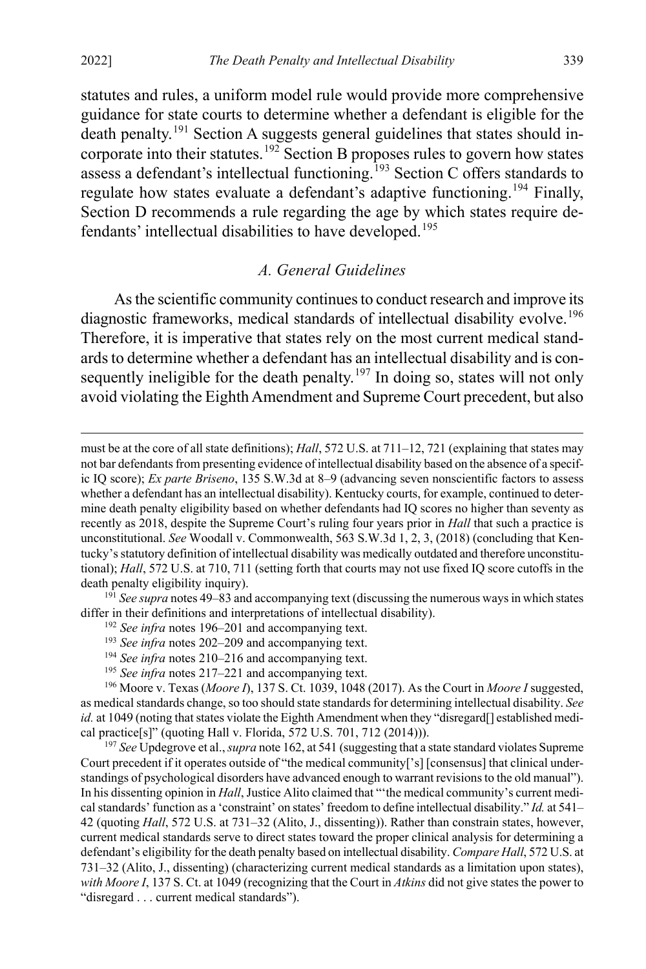$\overline{a}$ 

statutes and rules, a uniform model rule would provide more comprehensive guidance for state courts to determine whether a defendant is eligible for the death penalty.<sup>[191](#page-39-1)</sup> Section A suggests general guidelines that states should in-corporate into their statutes.<sup>[192](#page-39-2)</sup> Section B proposes rules to govern how states assess a defendant's intellectual functioning.<sup>[193](#page-39-3)</sup> Section C offers standards to regulate how states evaluate a defendant's adaptive functioning.<sup>[194](#page-39-4)</sup> Finally, Section D recommends a rule regarding the age by which states require de-fendants' intellectual disabilities to have developed.<sup>[195](#page-39-5)</sup>

#### <span id="page-39-0"></span>*A. General Guidelines*

As the scientific community continues to conduct research and improve its diagnostic frameworks, medical standards of intellectual disability evolve.<sup>[196](#page-39-6)</sup> Therefore, it is imperative that states rely on the most current medical standards to determine whether a defendant has an intellectual disability and is con-sequently ineligible for the death penalty.<sup>[197](#page-39-7)</sup> In doing so, states will not only avoid violating the Eighth Amendment and Supreme Court precedent, but also

<span id="page-39-3"></span><span id="page-39-2"></span><span id="page-39-1"></span>differ in their definitions and interpretations of intellectual disability).

- <sup>192</sup> *See infra* notes [196–](#page-39-0)[201](#page-40-0) and accompanying text.
- <sup>193</sup> *See infra* notes [202–](#page-41-0)[209](#page-42-0) and accompanying text.
- <sup>194</sup> *See infra* notes [210–](#page-42-1)[216](#page-43-0) and accompanying text.
- <sup>195</sup> *See infra* notes [217–](#page-44-0)[221](#page-45-1) and accompanying text.

<span id="page-39-6"></span><span id="page-39-5"></span><span id="page-39-4"></span><sup>196</sup> Moore v. Texas (*Moore I*), 137 S. Ct. 1039, 1048 (2017). As the Court in *Moore I* suggested, as medical standards change, so too should state standards for determining intellectual disability. *See id.* at 1049 (noting that states violate the Eighth Amendment when they "disregard[] established medical practice[s]" (quoting Hall v. Florida, 572 U.S. 701, 712 (2014))).

<span id="page-39-7"></span><sup>197</sup> *See* Updegrove et al., *supra* not[e 162,](#page-32-11) at 541 (suggesting that a state standard violates Supreme Court precedent if it operates outside of "the medical community['s] [consensus] that clinical understandings of psychological disorders have advanced enough to warrant revisions to the old manual"). In his dissenting opinion in *Hall*, Justice Alito claimed that "'the medical community's current medical standards' function as a 'constraint' on states' freedom to define intellectual disability." *Id.* at 541– 42 (quoting *Hall*, 572 U.S. at 731–32 (Alito, J., dissenting)). Rather than constrain states, however, current medical standards serve to direct states toward the proper clinical analysis for determining a defendant's eligibility for the death penalty based on intellectual disability. *Compare Hall*, 572 U.S. at 731–32 (Alito, J., dissenting) (characterizing current medical standards as a limitation upon states), *with Moore I*, 137 S. Ct. at 1049 (recognizing that the Court in *Atkins* did not give states the power to "disregard . . . current medical standards").

must be at the core of all state definitions); *Hall*, 572 U.S. at 711–12, 721 (explaining that states may not bar defendants from presenting evidence of intellectual disability based on the absence of a specific IQ score); *Ex parte Briseno*, 135 S.W.3d at 8–9 (advancing seven nonscientific factors to assess whether a defendant has an intellectual disability). Kentucky courts, for example, continued to determine death penalty eligibility based on whether defendants had IQ scores no higher than seventy as recently as 2018, despite the Supreme Court's ruling four years prior in *Hall* that such a practice is unconstitutional. *See* Woodall v. Commonwealth, 563 S.W.3d 1, 2, 3, (2018) (concluding that Kentucky's statutory definition of intellectual disability was medically outdated and therefore unconstitutional); *Hall*, 572 U.S. at 710, 711 (setting forth that courts may not use fixed IQ score cutoffs in the death penalty eligibility inquiry). 191 *See supra* note[s 49](#page-10-1)[–83](#page-17-0) and accompanying text (discussing the numerous ways in which states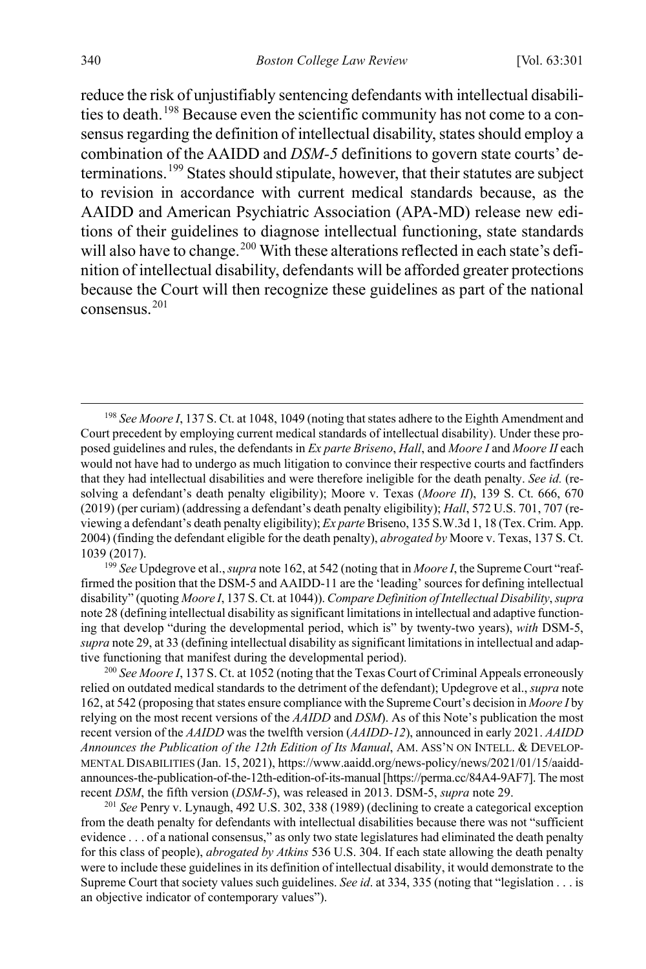reduce the risk of unjustifiably sentencing defendants with intellectual disabili-ties to death.<sup>[198](#page-40-1)</sup> Because even the scientific community has not come to a consensus regarding the definition of intellectual disability, states should employ a combination of the AAIDD and *DSM-5* definitions to govern state courts' determinations.[199](#page-40-2) States should stipulate, however, that their statutes are subject to revision in accordance with current medical standards because, as the AAIDD and American Psychiatric Association (APA-MD) release new editions of their guidelines to diagnose intellectual functioning, state standards will also have to change.<sup>[200](#page-40-3)</sup> With these alterations reflected in each state's definition of intellectual disability, defendants will be afforded greater protections because the Court will then recognize these guidelines as part of the national consensus.[201](#page-40-4)

<span id="page-40-2"></span>1039 (2017). 199 *See* Updegrove et al., *supra* not[e 162,](#page-32-11) at 542 (noting that in *Moore I*, the Supreme Court "reaffirmed the position that the DSM-5 and AAIDD-11 are the 'leading' sources for defining intellectual disability" (quoting *Moore I*, 137 S. Ct. at 1044)). *Compare Definition of Intellectual Disability*, *supra* not[e 28](#page-6-0) (defining intellectual disability as significant limitations in intellectual and adaptive functioning that develop "during the developmental period, which is" by twenty-two years), *with* DSM-5, *supra* not[e 29,](#page-7-2) at 33 (defining intellectual disability as significant limitations in intellectual and adaptive functioning that manifest during the developmental period).

<span id="page-40-3"></span><sup>200</sup> *See Moore I*, 137 S. Ct. at 1052 (noting that the Texas Court of Criminal Appeals erroneously relied on outdated medical standards to the detriment of the defendant); Updegrove et al., *supra* note [162,](#page-32-11) at 542 (proposing that states ensure compliance with the Supreme Court's decision in *Moore I* by relying on the most recent versions of the *AAIDD* and *DSM*). As of this Note's publication the most recent version of the *AAIDD* was the twelfth version (*AAIDD-12*), announced in early 2021. *AAIDD Announces the Publication of the 12th Edition of Its Manual*, AM. ASS'N ON INTELL. & DEVELOP-MENTAL DISABILITIES (Jan. 15, 2021), https://www.aaidd.org/news-policy/news/2021/01/15/aaiddannounces-the-publication-of-the-12th-edition-of-its-manual [https://perma.cc/84A4-9AF7]. The most recent *DSM*, the fifth version (*DSM-5*), was released in 2013. DSM-5, *supra* note 29.<br><sup>201</sup> *See* Penry v. Lynaugh, 492 U.S. 302, 338 (1989) (declining to create a categorical exception

<span id="page-40-4"></span>from the death penalty for defendants with intellectual disabilities because there was not "sufficient evidence . . . of a national consensus," as only two state legislatures had eliminated the death penalty for this class of people), *abrogated by Atkins* 536 U.S. 304. If each state allowing the death penalty were to include these guidelines in its definition of intellectual disability, it would demonstrate to the Supreme Court that society values such guidelines. *See id*. at 334, 335 (noting that "legislation . . . is an objective indicator of contemporary values").

<span id="page-40-1"></span><span id="page-40-0"></span> <sup>198</sup> *See Moore I*, 137 S. Ct. at 1048, 1049 (noting that states adhere to the Eighth Amendment and Court precedent by employing current medical standards of intellectual disability). Under these proposed guidelines and rules, the defendants in *Ex parte Briseno*, *Hall*, and *Moore I* and *Moore II* each would not have had to undergo as much litigation to convince their respective courts and factfinders that they had intellectual disabilities and were therefore ineligible for the death penalty. *See id.* (resolving a defendant's death penalty eligibility); Moore v. Texas (*Moore II*), 139 S. Ct. 666, 670 (2019) (per curiam) (addressing a defendant's death penalty eligibility); *Hall*, 572 U.S. 701, 707 (reviewing a defendant's death penalty eligibility); *Ex parte* Briseno, 135 S.W.3d 1, 18 (Tex. Crim. App. 2004) (finding the defendant eligible for the death penalty), *abrogated by* Moore v. Texas, 137 S. Ct.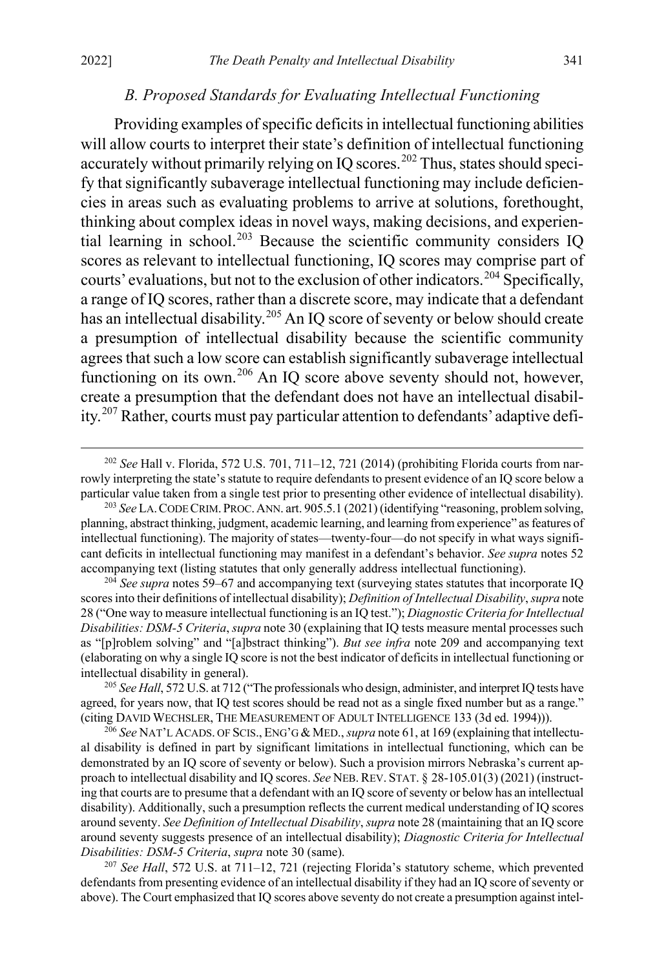#### <span id="page-41-0"></span>*B. Proposed Standards for Evaluating Intellectual Functioning*

Providing examples of specific deficits in intellectual functioning abilities will allow courts to interpret their state's definition of intellectual functioning accurately without primarily relying on IO scores.<sup>[202](#page-41-1)</sup> Thus, states should specify that significantly subaverage intellectual functioning may include deficiencies in areas such as evaluating problems to arrive at solutions, forethought, thinking about complex ideas in novel ways, making decisions, and experien-tial learning in school.<sup>[203](#page-41-2)</sup> Because the scientific community considers IQ scores as relevant to intellectual functioning, IQ scores may comprise part of courts' evaluations, but not to the exclusion of other indicators.<sup>[204](#page-41-3)</sup> Specifically, a range of IQ scores, rather than a discrete score, may indicate that a defendant has an intellectual disability.<sup>[205](#page-41-4)</sup> An IQ score of seventy or below should create a presumption of intellectual disability because the scientific community agrees that such a low score can establish significantly subaverage intellectual functioning on its own.<sup>[206](#page-41-5)</sup> An IQ score above seventy should not, however, create a presumption that the defendant does not have an intellectual disability.[207](#page-41-6) Rather, courts must pay particular attention to defendants'adaptive defi-

<span id="page-41-3"></span><sup>204</sup> See supra note[s 59–](#page-12-7)[67](#page-14-8) and accompanying text (surveying states statutes that incorporate IQ scores into their definitions of intellectual disability); *Definition of Intellectual Disability*, *supra* note [28 \(](#page-6-0)"One way to measure intellectual functioning is an IQ test."); *Diagnostic Criteria for Intellectual Disabilities: DSM-5 Criteria*, *supra* note [30](#page-7-7) (explaining that IQ tests measure mental processes such as "[p]roblem solving" and "[a]bstract thinking"). *But see infra* note [209](#page-42-0) and accompanying text (elaborating on why a single IQ score is not the best indicator of deficits in intellectual functioning or intellectual disability in general).

<span id="page-41-4"></span><sup>205</sup> *See Hall*, 572 U.S. at 712 ("The professionals who design, administer, and interpret IQ tests have agreed, for years now, that IQ test scores should be read not as a single fixed number but as a range." (citing DAVID WECHSLER, THE MEASUREMENT OF ADULT INTELLIGENCE 133 (3d ed. 1994))).

<span id="page-41-5"></span><sup>206</sup> *See* NAT'L ACADS. OF SCIS., ENG'G & MED., *supra* not[e 61,](#page-13-2) at 169 (explaining that intellectual disability is defined in part by significant limitations in intellectual functioning, which can be demonstrated by an IQ score of seventy or below). Such a provision mirrors Nebraska's current approach to intellectual disability and IQ scores. *See* NEB.REV. STAT. § 28-105.01(3) (2021) (instructing that courts are to presume that a defendant with an IQ score of seventy or below has an intellectual disability). Additionally, such a presumption reflects the current medical understanding of IQ scores around seventy. *See Definition of Intellectual Disability*, *supra* not[e 28](#page-6-0) (maintaining that an IQ score around seventy suggests presence of an intellectual disability); *Diagnostic Criteria for Intellectual Disabilities: DSM-5 Criteria*, *supra* not[e 30](#page-7-7) (same).

<span id="page-41-6"></span><sup>207</sup> *See Hall*, 572 U.S. at 711–12, 721 (rejecting Florida's statutory scheme, which prevented defendants from presenting evidence of an intellectual disability if they had an IQ score of seventy or above). The Court emphasized that IQ scores above seventy do not create a presumption against intel-

<span id="page-41-1"></span> <sup>202</sup> *See* Hall v. Florida, 572 U.S. 701, 711–12, 721 (2014) (prohibiting Florida courts from narrowly interpreting the state's statute to require defendants to present evidence of an IQ score below a particular value taken from a single test prior to presenting other evidence of intellectual disability).

<span id="page-41-2"></span><sup>203</sup> *See* LA.CODE CRIM. PROC.ANN. art. 905.5.1 (2021) (identifying "reasoning, problem solving, planning, abstract thinking, judgment, academic learning, and learning from experience" as features of intellectual functioning). The majority of states—twenty-four—do not specify in what ways significant deficits in intellectual functioning may manifest in a defendant's behavior. *See supra* notes [52](#page-11-5) accompanying text (listing statutes that only generally address intellectual functioning).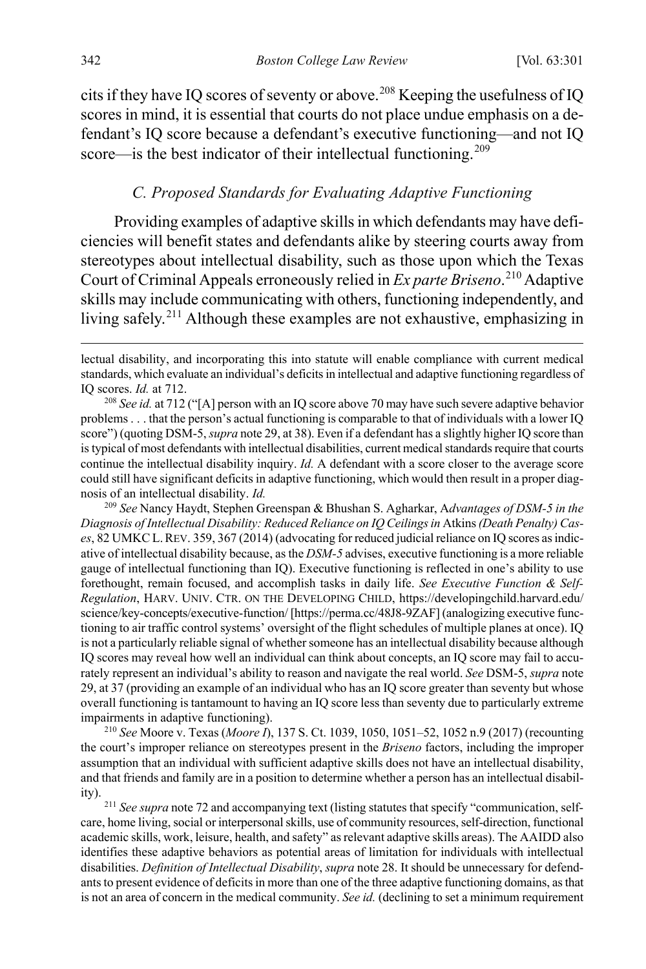cits if they have IQ scores of seventy or above.<sup>[208](#page-42-2)</sup> Keeping the usefulness of IQ scores in mind, it is essential that courts do not place undue emphasis on a defendant's IQ score because a defendant's executive functioning—and not IQ score—is the best indicator of their intellectual functioning.<sup>[209](#page-42-3)</sup>

#### <span id="page-42-1"></span><span id="page-42-0"></span>*C. Proposed Standards for Evaluating Adaptive Functioning*

Providing examples of adaptive skills in which defendants may have deficiencies will benefit states and defendants alike by steering courts away from stereotypes about intellectual disability, such as those upon which the Texas Court of Criminal Appeals erroneously relied in *Ex parte Briseno*. [210](#page-42-4) Adaptive skills may include communicating with others, functioning independently, and living safely.[211](#page-42-5) Although these examples are not exhaustive, emphasizing in

<span id="page-42-3"></span><sup>209</sup> *See* Nancy Haydt, Stephen Greenspan & Bhushan S. Agharkar, A*dvantages of DSM-5 in the Diagnosis of Intellectual Disability: Reduced Reliance on IQ Ceilings in* Atkins*(Death Penalty) Cases*, 82 UMKCL.REV. 359, 367 (2014) (advocating for reduced judicial reliance on IQ scores as indicative of intellectual disability because, as the *DSM-5* advises, executive functioning is a more reliable gauge of intellectual functioning than IQ). Executive functioning is reflected in one's ability to use forethought, remain focused, and accomplish tasks in daily life. *See Executive Function & Self-Regulation*, HARV. UNIV. CTR. ON THE DEVELOPING CHILD, https://developingchild.harvard.edu/ science/key-concepts/executive-function/ [https://perma.cc/48J8-9ZAF] (analogizing executive functioning to air traffic control systems' oversight of the flight schedules of multiple planes at once). IQ is not a particularly reliable signal of whether someone has an intellectual disability because although IQ scores may reveal how well an individual can think about concepts, an IQ score may fail to accurately represent an individual's ability to reason and navigate the real world. *See* DSM-5, *supra* note [29,](#page-7-2) at 37 (providing an example of an individual who has an IQ score greater than seventy but whose overall functioning is tantamount to having an IQ score less than seventy due to particularly extreme impairments in adaptive functioning).

<span id="page-42-4"></span><sup>210</sup> *See* Moore v. Texas (*Moore I*), 137 S. Ct. 1039, 1050, 1051–52, 1052 n.9 (2017) (recounting the court's improper reliance on stereotypes present in the *Briseno* factors, including the improper assumption that an individual with sufficient adaptive skills does not have an intellectual disability, and that friends and family are in a position to determine whether a person has an intellectual disability).

<span id="page-42-5"></span><sup>211</sup> See supra not[e 72](#page-15-5) and accompanying text (listing statutes that specify "communication, selfcare, home living, social or interpersonal skills, use of community resources, self-direction, functional academic skills, work, leisure, health, and safety" as relevant adaptive skills areas). The AAIDD also identifies these adaptive behaviors as potential areas of limitation for individuals with intellectual disabilities. *Definition of Intellectual Disability*, *supra* not[e 28.](#page-6-0) It should be unnecessary for defendants to present evidence of deficits in more than one of the three adaptive functioning domains, as that is not an area of concern in the medical community. *See id.* (declining to set a minimum requirement

lectual disability, and incorporating this into statute will enable compliance with current medical standards, which evaluate an individual's deficits in intellectual and adaptive functioning regardless of IQ scores. *Id.* at 712.

<span id="page-42-2"></span><sup>208</sup> *See id.* at 712 ("[A] person with an IQ score above 70 may have such severe adaptive behavior problems . . . that the person's actual functioning is comparable to that of individuals with a lower IQ score") (quoting DSM-5, *supra* not[e 29,](#page-7-2) at 38). Even if a defendant has a slightly higher IQ score than is typical of most defendants with intellectual disabilities, current medical standards require that courts continue the intellectual disability inquiry. *Id.* A defendant with a score closer to the average score could still have significant deficits in adaptive functioning, which would then result in a proper diagnosis of an intellectual disability. *Id.*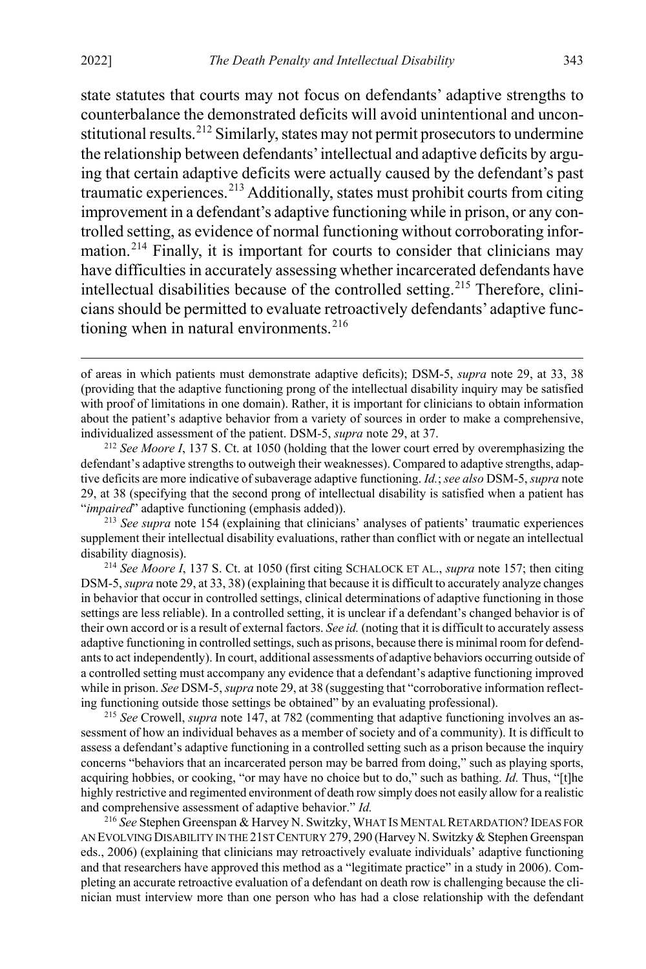state statutes that courts may not focus on defendants' adaptive strengths to counterbalance the demonstrated deficits will avoid unintentional and uncon-stitutional results.<sup>[212](#page-43-1)</sup> Similarly, states may not permit prosecutors to undermine the relationship between defendants'intellectual and adaptive deficits by arguing that certain adaptive deficits were actually caused by the defendant's past traumatic experiences.[213](#page-43-2) Additionally, states must prohibit courts from citing improvement in a defendant's adaptive functioning while in prison, or any controlled setting, as evidence of normal functioning without corroborating infor-mation.<sup>[214](#page-43-3)</sup> Finally, it is important for courts to consider that clinicians may have difficulties in accurately assessing whether incarcerated defendants have intellectual disabilities because of the controlled setting.<sup>[215](#page-43-4)</sup> Therefore, clinicians should be permitted to evaluate retroactively defendants' adaptive functioning when in natural environments. $^{216}$  $^{216}$  $^{216}$ 

<span id="page-43-2"></span><sup>213</sup> *See supra* not[e 154](#page-32-12) (explaining that clinicians' analyses of patients' traumatic experiences supplement their intellectual disability evaluations, rather than conflict with or negate an intellectual disability diagnosis).

<span id="page-43-3"></span><sup>214</sup> *See Moore I*, 137 S. Ct. at 1050 (first citing SCHALOCK ET AL., *supra* not[e 157;](#page-32-10) then citing DSM-5, *supra* not[e 29,](#page-7-2) at 33, 38) (explaining that because it is difficult to accurately analyze changes in behavior that occur in controlled settings, clinical determinations of adaptive functioning in those settings are less reliable). In a controlled setting, it is unclear if a defendant's changed behavior is of their own accord or is a result of external factors. *See id.* (noting that it is difficult to accurately assess adaptive functioning in controlled settings, such as prisons, because there is minimal room for defendants to act independently). In court, additional assessments of adaptive behaviors occurring outside of a controlled setting must accompany any evidence that a defendant's adaptive functioning improved while in prison. *See* DSM-5, *supra* not[e 29,](#page-7-2) at 38 (suggesting that "corroborative information reflecting functioning outside those settings be obtained" by an evaluating professional).

<span id="page-43-4"></span><sup>215</sup> *See* Crowell, *supra* not[e 147,](#page-30-1) at 782 (commenting that adaptive functioning involves an assessment of how an individual behaves as a member of society and of a community). It is difficult to assess a defendant's adaptive functioning in a controlled setting such as a prison because the inquiry concerns "behaviors that an incarcerated person may be barred from doing," such as playing sports, acquiring hobbies, or cooking, "or may have no choice but to do," such as bathing. *Id.* Thus, "[t]he highly restrictive and regimented environment of death row simply does not easily allow for a realistic and comprehensive assessment of adaptive behavior." *Id.*

<span id="page-43-5"></span><sup>216</sup> *See* Stephen Greenspan & Harvey N. Switzky,WHAT IS MENTAL RETARDATION? IDEAS FOR AN EVOLVING DISABILITY IN THE 21ST CENTURY 279, 290 (Harvey N. Switzky & Stephen Greenspan eds., 2006) (explaining that clinicians may retroactively evaluate individuals' adaptive functioning and that researchers have approved this method as a "legitimate practice" in a study in 2006). Completing an accurate retroactive evaluation of a defendant on death row is challenging because the clinician must interview more than one person who has had a close relationship with the defendant

<span id="page-43-0"></span>of areas in which patients must demonstrate adaptive deficits); DSM-5, *supra* note [29,](#page-7-2) at 33, 38 (providing that the adaptive functioning prong of the intellectual disability inquiry may be satisfied with proof of limitations in one domain). Rather, it is important for clinicians to obtain information about the patient's adaptive behavior from a variety of sources in order to make a comprehensive, individualized assessment of the patient. DSM-5, *supra* not[e 29,](#page-7-2) at 37.

<span id="page-43-1"></span><sup>212</sup> *See Moore I*, 137 S. Ct. at 1050 (holding that the lower court erred by overemphasizing the defendant's adaptive strengths to outweigh their weaknesses). Compared to adaptive strengths, adaptive deficits are more indicative of subaverage adaptive functioning. *Id.*; *see also* DSM-5, *supra* note [29,](#page-7-2) at 38 (specifying that the second prong of intellectual disability is satisfied when a patient has "*impaired*" adaptive functioning (emphasis added)).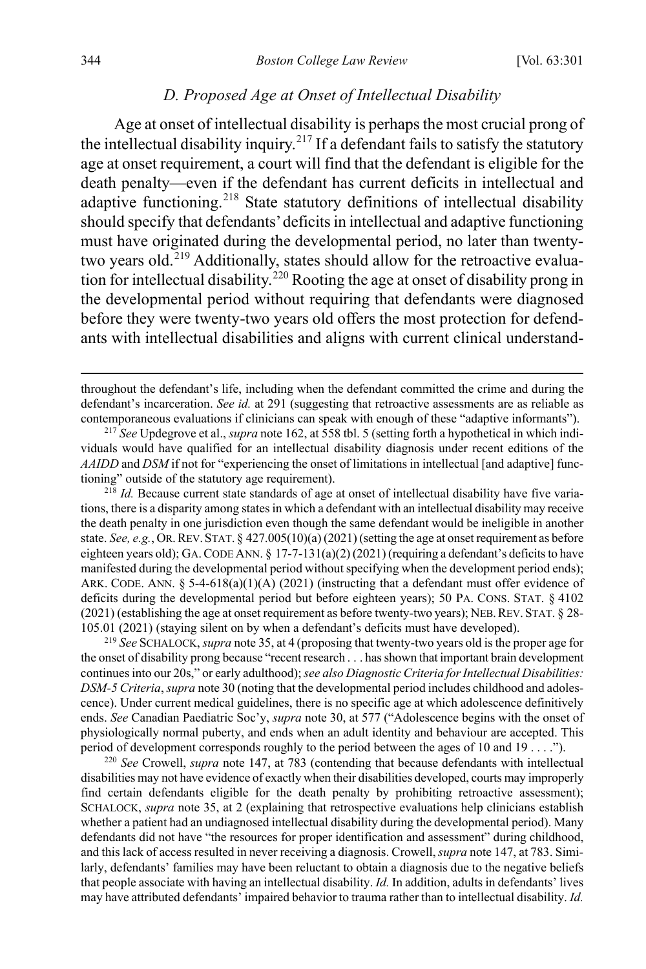#### <span id="page-44-0"></span>*D. Proposed Age at Onset of Intellectual Disability*

Age at onset of intellectual disability is perhaps the most crucial prong of the intellectual disability inquiry.<sup>[217](#page-44-1)</sup> If a defendant fails to satisfy the statutory age at onset requirement, a court will find that the defendant is eligible for the death penalty—even if the defendant has current deficits in intellectual and adaptive functioning.<sup>[218](#page-44-2)</sup> State statutory definitions of intellectual disability should specify that defendants'deficits in intellectual and adaptive functioning must have originated during the developmental period, no later than twenty-two years old.<sup>[219](#page-44-3)</sup> Additionally, states should allow for the retroactive evaluation for intellectual disability.[220](#page-44-4) Rooting the age at onset of disability prong in the developmental period without requiring that defendants were diagnosed before they were twenty-two years old offers the most protection for defendants with intellectual disabilities and aligns with current clinical understand-

<span id="page-44-2"></span><sup>218</sup> *Id.* Because current state standards of age at onset of intellectual disability have five variations, there is a disparity among states in which a defendant with an intellectual disability may receive the death penalty in one jurisdiction even though the same defendant would be ineligible in another state. *See, e.g.*, OR.REV.STAT. § 427.005(10)(a) (2021) (setting the age at onset requirement as before eighteen years old); GA. CODE ANN.  $\S$  17-7-131(a)(2)(2021) (requiring a defendant's deficits to have manifested during the developmental period without specifying when the development period ends); ARK. CODE. ANN.  $\S$  5-4-618(a)(1)(A) (2021) (instructing that a defendant must offer evidence of deficits during the developmental period but before eighteen years); 50 PA. CONS. STAT. § 4102 (2021) (establishing the age at onset requirement as before twenty-two years); NEB.REV.STAT. § 28- 105.01 (2021) (staying silent on by when a defendant's deficits must have developed).

<span id="page-44-3"></span><sup>219</sup> *See* SCHALOCK, *supra* not[e 35,](#page-8-1) at 4 (proposing that twenty-two years old is the proper age for the onset of disability prong because "recent research . . . has shown that important brain development continues into our 20s," or early adulthood); *see also Diagnostic Criteria for Intellectual Disabilities: DSM-5 Criteria*, *supra* not[e 30](#page-7-7) (noting that the developmental period includes childhood and adolescence). Under current medical guidelines, there is no specific age at which adolescence definitively ends. *See* Canadian Paediatric Soc'y, *supra* not[e 30,](#page-7-7) at 577 ("Adolescence begins with the onset of physiologically normal puberty, and ends when an adult identity and behaviour are accepted. This period of development corresponds roughly to the period between the ages of 10 and 19 . . . .").

<span id="page-44-4"></span><sup>220</sup> *See* Crowell, *supra* note [147,](#page-30-1) at 783 (contending that because defendants with intellectual disabilities may not have evidence of exactly when their disabilities developed, courts may improperly find certain defendants eligible for the death penalty by prohibiting retroactive assessment); SCHALOCK, *supra* note [35,](#page-8-1) at 2 (explaining that retrospective evaluations help clinicians establish whether a patient had an undiagnosed intellectual disability during the developmental period). Many defendants did not have "the resources for proper identification and assessment" during childhood, and this lack of access resulted in never receiving a diagnosis. Crowell, *supra* not[e 147,](#page-30-1) at 783. Similarly, defendants' families may have been reluctant to obtain a diagnosis due to the negative beliefs that people associate with having an intellectual disability. *Id.* In addition, adults in defendants' lives may have attributed defendants' impaired behavior to trauma rather than to intellectual disability. *Id.*

throughout the defendant's life, including when the defendant committed the crime and during the defendant's incarceration. *See id.* at 291 (suggesting that retroactive assessments are as reliable as contemporaneous evaluations if clinicians can speak with enough of these "adaptive informants").

<span id="page-44-1"></span><sup>217</sup> *See* Updegrove et al., *supra* not[e 162,](#page-32-11) at 558 tbl. 5 (setting forth a hypothetical in which individuals would have qualified for an intellectual disability diagnosis under recent editions of the *AAIDD* and *DSM* if not for "experiencing the onset of limitations in intellectual [and adaptive] functioning" outside of the statutory age requirement).